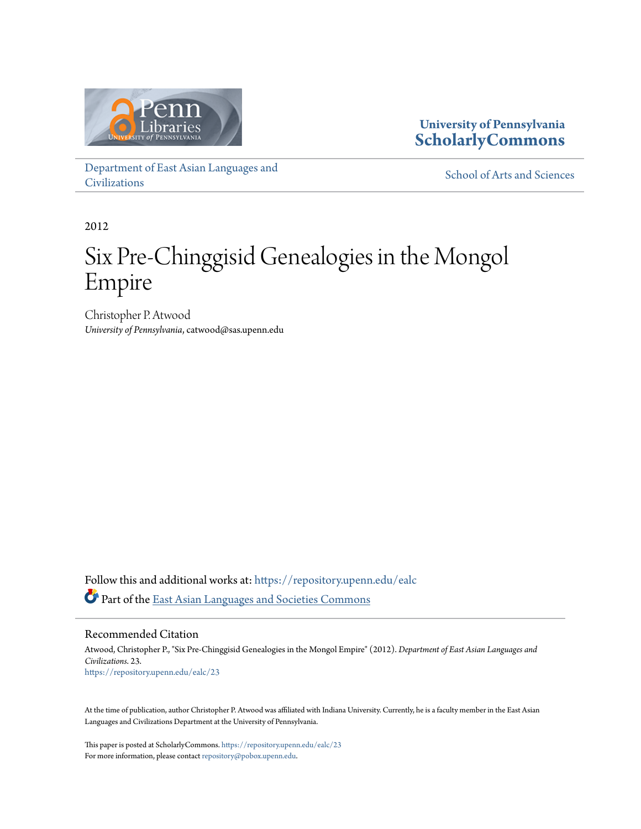

### **University of Pennsylvania [ScholarlyCommons](https://repository.upenn.edu?utm_source=repository.upenn.edu%2Fealc%2F23&utm_medium=PDF&utm_campaign=PDFCoverPages)**

[Department of East Asian Languages and](https://repository.upenn.edu/ealc?utm_source=repository.upenn.edu%2Fealc%2F23&utm_medium=PDF&utm_campaign=PDFCoverPages) [Civilizations](https://repository.upenn.edu/ealc?utm_source=repository.upenn.edu%2Fealc%2F23&utm_medium=PDF&utm_campaign=PDFCoverPages)

[School of Arts and Sciences](https://repository.upenn.edu/sas?utm_source=repository.upenn.edu%2Fealc%2F23&utm_medium=PDF&utm_campaign=PDFCoverPages)

2012

# Six Pre-Chinggisid Genealogies in the Mongol Empire

Christopher P. Atwood *University of Pennsylvania*, catwood@sas.upenn.edu

Follow this and additional works at: [https://repository.upenn.edu/ealc](https://repository.upenn.edu/ealc?utm_source=repository.upenn.edu%2Fealc%2F23&utm_medium=PDF&utm_campaign=PDFCoverPages) Part of the [East Asian Languages and Societies Commons](http://network.bepress.com/hgg/discipline/481?utm_source=repository.upenn.edu%2Fealc%2F23&utm_medium=PDF&utm_campaign=PDFCoverPages)

Recommended Citation

Atwood, Christopher P., "Six Pre-Chinggisid Genealogies in the Mongol Empire" (2012). *Department of East Asian Languages and Civilizations*. 23. [https://repository.upenn.edu/ealc/23](https://repository.upenn.edu/ealc/23?utm_source=repository.upenn.edu%2Fealc%2F23&utm_medium=PDF&utm_campaign=PDFCoverPages)

At the time of publication, author Christopher P. Atwood was affiliated with Indiana University. Currently, he is a faculty member in the East Asian Languages and Civilizations Department at the University of Pennsylvania.

This paper is posted at ScholarlyCommons. <https://repository.upenn.edu/ealc/23> For more information, please contact [repository@pobox.upenn.edu.](mailto:repository@pobox.upenn.edu)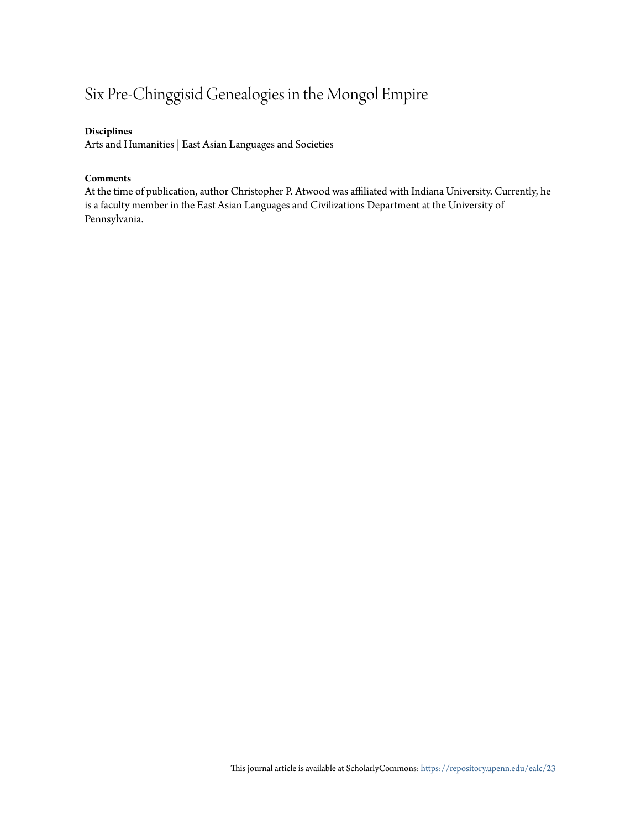## Six Pre-Chinggisid Genealogies in the Mongol Empire

#### **Disciplines**

Arts and Humanities | East Asian Languages and Societies

#### **Comments**

At the time of publication, author Christopher P. Atwood was affiliated with Indiana University. Currently, he is a faculty member in the East Asian Languages and Civilizations Department at the University of Pennsylvania.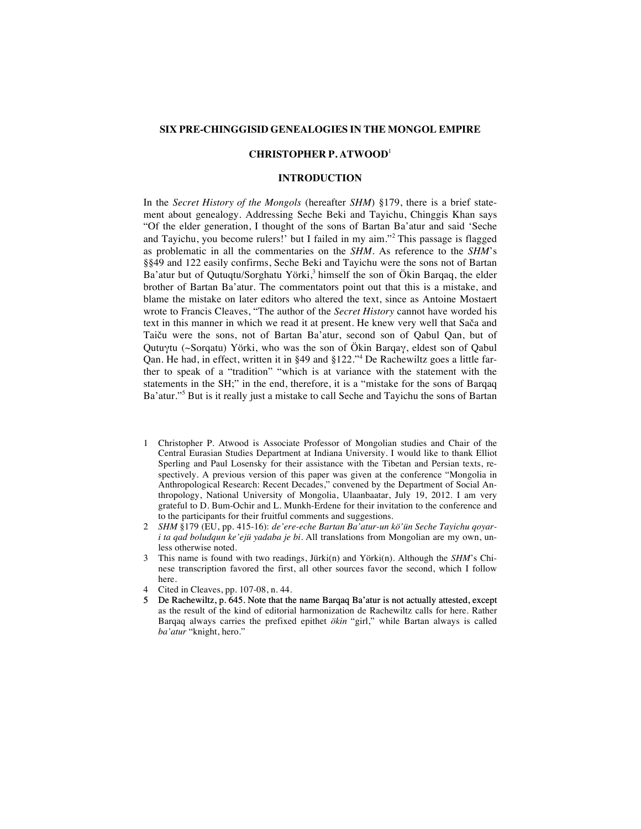#### **SIX PRE-CHINGGISID GENEALOGIES IN THE MONGOL EMPIRE**

#### **CHRISTOPHER P. ATWOOD**<sup>1</sup>

#### **INTRODUCTION**

In the *Secret History of the Mongols* (hereafter *SHM*) §179, there is a brief statement about genealogy. Addressing Seche Beki and Tayichu, Chinggis Khan says "Of the elder generation, I thought of the sons of Bartan Ba'atur and said 'Seche and Tayichu, you become rulers!' but I failed in my aim."<sup>2</sup> This passage is flagged as problematic in all the commentaries on the *SHM*. As reference to the *SHM*'s §§49 and 122 easily confirms, Seche Beki and Tayichu were the sons not of Bartan Ba'atur but of Qutuqtu/Sorghatu Yörki, $3$  himself the son of Ökin Barqaq, the elder brother of Bartan Ba'atur. The commentators point out that this is a mistake, and blame the mistake on later editors who altered the text, since as Antoine Mostaert wrote to Francis Cleaves, "The author of the *Secret History* cannot have worded his text in this manner in which we read it at present. He knew very well that Sača and Taiču were the sons, not of Bartan Ba'atur, second son of Qabul Qan, but of Qutuγtu (~Sorqatu) Yörki, who was the son of Ökin Barqaγ, eldest son of Qabul Qan. He had, in effect, written it in §49 and §122."<sup>4</sup> De Rachewiltz goes a little farther to speak of a "tradition" "which is at variance with the statement with the statements in the SH;" in the end, therefore, it is a "mistake for the sons of Barqaq Ba'atur."<sup>5</sup> But is it really just a mistake to call Seche and Tayichu the sons of Bartan

- 1 Christopher P. Atwood is Associate Professor of Mongolian studies and Chair of the Central Eurasian Studies Department at Indiana University. I would like to thank Elliot Sperling and Paul Losensky for their assistance with the Tibetan and Persian texts, respectively. A previous version of this paper was given at the conference "Mongolia in Anthropological Research: Recent Decades," convened by the Department of Social Anthropology, National University of Mongolia, Ulaanbaatar, July 19, 2012. I am very grateful to D. Bum-Ochir and L. Munkh-Erdene for their invitation to the conference and to the participants for their fruitful comments and suggestions.
- 2 *SHM* §179 (EU, pp. 415-16): *de'ere-eche Bartan Ba'atur-un kö'ün Seche Tayichu qoyari ta qad boludqun ke'ejü yadaba je bi.* All translations from Mongolian are my own, unless otherwise noted.
- 3 This name is found with two readings, Jürki(n) and Yörki(n). Although the *SHM*'s Chinese transcription favored the first, all other sources favor the second, which I follow here.
- 4 Cited in Cleaves, pp. 107-08, n. 44.
- 5 De Rachewiltz, p. 645. Note that the name Barqaq Ba'atur is not actually attested, except as the result of the kind of editorial harmonization de Rachewiltz calls for here. Rather Barqaq always carries the prefixed epithet *ökin* "girl," while Bartan always is called *ba'atur* "knight, hero."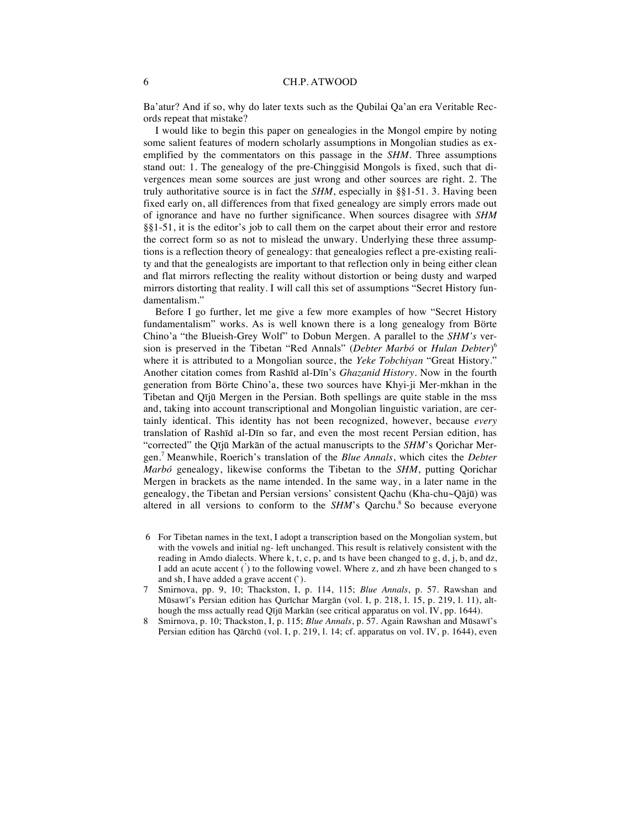Ba'atur? And if so, why do later texts such as the Qubilai Qa'an era Veritable Records repeat that mistake?

I would like to begin this paper on genealogies in the Mongol empire by noting some salient features of modern scholarly assumptions in Mongolian studies as exemplified by the commentators on this passage in the *SHM*. Three assumptions stand out: 1. The genealogy of the pre-Chinggisid Mongols is fixed, such that divergences mean some sources are just wrong and other sources are right. 2. The truly authoritative source is in fact the *SHM*, especially in §§1-51. 3. Having been fixed early on, all differences from that fixed genealogy are simply errors made out of ignorance and have no further significance. When sources disagree with *SHM*  §§1-51, it is the editor's job to call them on the carpet about their error and restore the correct form so as not to mislead the unwary. Underlying these three assumptions is a reflection theory of genealogy: that genealogies reflect a pre-existing reality and that the genealogists are important to that reflection only in being either clean and flat mirrors reflecting the reality without distortion or being dusty and warped mirrors distorting that reality. I will call this set of assumptions "Secret History fundamentalism."

Before I go further, let me give a few more examples of how "Secret History fundamentalism" works. As is well known there is a long genealogy from Börte Chino'a "the Blueish-Grey Wolf" to Dobun Mergen. A parallel to the *SHM's* version is preserved in the Tibetan "Red Annals" (*Debter Marbó* or *Hulan Debter*) 6 where it is attributed to a Mongolian source, the *Yeke Tobchiyan* "Great History." Another citation comes from Rashīd al-Dīn's *Ghazanid History*. Now in the fourth generation from Börte Chino'a, these two sources have Khyi-ji Mer-mkhan in the Tibetan and Qījū Mergen in the Persian. Both spellings are quite stable in the mss and, taking into account transcriptional and Mongolian linguistic variation, are certainly identical. This identity has not been recognized, however, because *every* translation of Rashīd al-Dīn so far, and even the most recent Persian edition, has "corrected" the Qījū Markān of the actual manuscripts to the *SHM*'s Qorichar Mergen.<sup>7</sup> Meanwhile, Roerich's translation of the *Blue Annals*, which cites the *Debter Marbó* genealogy, likewise conforms the Tibetan to the *SHM*, putting Qorichar Mergen in brackets as the name intended. In the same way, in a later name in the genealogy, the Tibetan and Persian versions' consistent Qachu (Kha-chu~Qājū) was altered in all versions to conform to the  $SHM$ 's Oarchu.<sup>8</sup> So because everyone

- 6 For Tibetan names in the text, I adopt a transcription based on the Mongolian system, but with the vowels and initial ng- left unchanged. This result is relatively consistent with the reading in Amdo dialects. Where k, t, c, p, and ts have been changed to g, d, j, b, and dz, I add an acute accent  $()$  to the following vowel. Where z, and zh have been changed to s and sh, I have added a grave accent (`).
- 7 Smirnova, pp. 9, 10; Thackston, I, p. 114, 115; *Blue Annals*, p. 57. Rawshan and Mūsawī's Persian edition has Qurīchar Margān (vol. I, p. 218, l. 15, p. 219, l. 11), although the mss actually read Qījū Markān (see critical apparatus on vol. IV, pp. 1644).
- 8 Smirnova, p. 10; Thackston, I, p. 115; *Blue Annals*, p. 57. Again Rawshan and Mūsawī's Persian edition has Qārchū (vol. I, p. 219, l. 14; cf. apparatus on vol. IV, p. 1644), even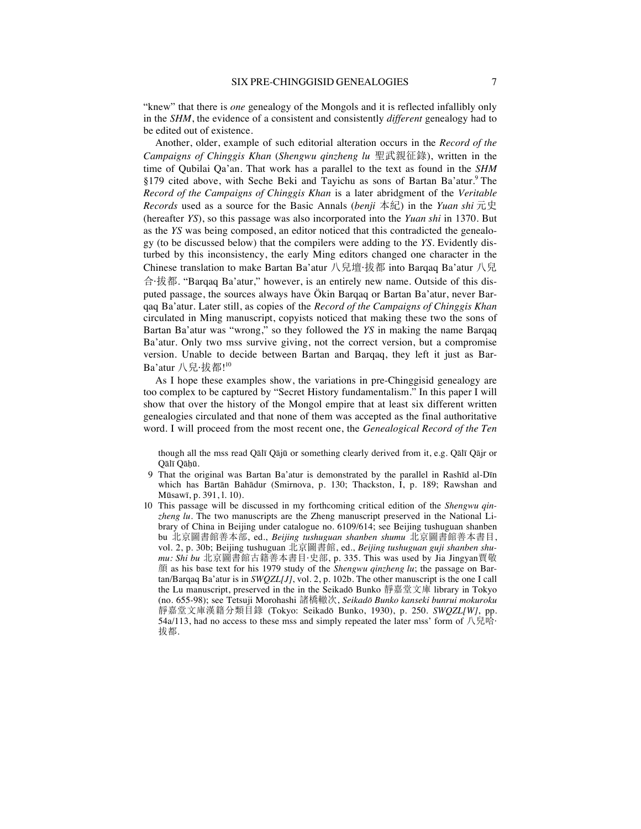"knew" that there is *one* genealogy of the Mongols and it is reflected infallibly only in the *SHM*, the evidence of a consistent and consistently *different* genealogy had to be edited out of existence.

Another, older, example of such editorial alteration occurs in the *Record of the Campaigns of Chinggis Khan* (*Shengwu qinzheng lu* 聖武親征錄), written in the time of Qubilai Qa'an. That work has a parallel to the text as found in the *SHM*  §179 cited above, with Seche Beki and Tayichu as sons of Bartan Ba'atur.<sup>9</sup> The *Record of the Campaigns of Chinggis Khan* is a later abridgment of the *Veritable Records* used as a source for the Basic Annals (*benji* 本紀) in the *Yuan shi* 元史 (hereafter *YS*), so this passage was also incorporated into the *Yuan shi* in 1370. But as the *YS* was being composed, an editor noticed that this contradicted the genealogy (to be discussed below) that the compilers were adding to the *YS*. Evidently disturbed by this inconsistency, the early Ming editors changed one character in the Chinese translation to make Bartan Ba'atur 八兒壇 拔都 into Barqaq Ba'atur 八兒 6·Ė. "Barqaq Ba'atur," however, is an entirely new name. Outside of this disputed passage, the sources always have Ökin Barqaq or Bartan Ba'atur, never Barqaq Ba'atur. Later still, as copies of the *Record of the Campaigns of Chinggis Khan*  circulated in Ming manuscript, copyists noticed that making these two the sons of Bartan Ba'atur was "wrong," so they followed the *YS* in making the name Barqaq Ba'atur. Only two mss survive giving, not the correct version, but a compromise version. Unable to decide between Bartan and Barqaq, they left it just as Bar-Ba'atur 八兒·拔都! $^{10}$ 

As I hope these examples show, the variations in pre-Chinggisid genealogy are too complex to be captured by "Secret History fundamentalism." In this paper I will show that over the history of the Mongol empire that at least six different written genealogies circulated and that none of them was accepted as the final authoritative word. I will proceed from the most recent one, the *Genealogical Record of the Ten* 

though all the mss read Qālī Qājū or something clearly derived from it, e.g. Qālī Qājr or Qālī Qāḥū.

- 9 That the original was Bartan Ba'atur is demonstrated by the parallel in Rashīd al-Dīn which has Bartān Bahādur (Smirnova, p. 130; Thackston, I, p. 189; Rawshan and Mūsawī, p. 391, l. 10).
- 10 This passage will be discussed in my forthcoming critical edition of the *Shengwu qinzheng lu*. The two manuscripts are the Zheng manuscript preserved in the National Library of China in Beijing under catalogue no. 6109/614; see Beijing tushuguan shanben bu 北京圖書館善本部, ed., *Beijing tushuguan shanben shumu* 北京圖書館善本書目, vol. 2, p. 30b; Beijing tushuguan 北京圖書館, ed., *Beijing tushuguan guji shanben shumu: Shi bu* 北京圖書館古籍善本書目·史部, p. 335. This was used by Jia Jingyan賈敬 ĩ as his base text for his 1979 study of the *Shengwu qinzheng lu*; the passage on Bartan/Barqaq Ba'atur is in *SWQZL[J]*, vol. 2, p. 102b. The other manuscript is the one I call the Lu manuscript, preserved in the in the Seikadō Bunko 靜嘉堂文庫 library in Tokyo (no. 655-98); see Tetsuji Morohashi ā¥č¦, *Seikadō Bunko kanseki bunrui mokuroku* 靜嘉堂文庫漢籍分類目錄 (Tokyo: Seikadō Bunko, 1930), p. 250. *SWQZL[W]*, pp. 54a/113, had no access to these mss and simply repeated the later mss' form of  $\Diamond \boxplus \mathbb{R}^2$ 拔都.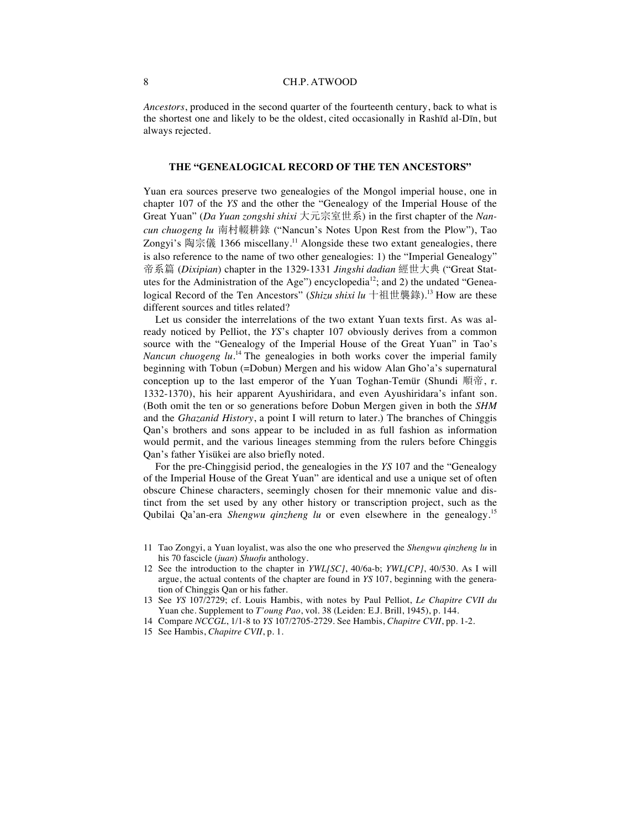*Ancestors*, produced in the second quarter of the fourteenth century, back to what is the shortest one and likely to be the oldest, cited occasionally in Rashīd al-Dīn, but always rejected.

#### **THE "GENEALOGICAL RECORD OF THE TEN ANCESTORS"**

Yuan era sources preserve two genealogies of the Mongol imperial house, one in chapter 107 of the *YS* and the other the "Genealogy of the Imperial House of the Great Yuan" (*Da Yuan zongshi shixi* 大元宗室世系) in the first chapter of the *Nan*cun chuogeng lu 南村輟耕錄 ("Nancun's Notes Upon Rest from the Plow"), Tao Zongyi's 陶宗儀 1366 miscellany.<sup>11</sup> Alongside these two extant genealogies, there is also reference to the name of two other genealogies: 1) the "Imperial Genealogy" 帝系篇 (Dixipian) chapter in the 1329-1331 *Jingshi dadian* 經世大典 ("Great Statutes for the Administration of the Age") encyclopedia<sup>12</sup>; and 2) the undated "Genealogical Record of the Ten Ancestors" (*Shizu shixi lu* 十祖世襲錄).<sup>13</sup> How are these different sources and titles related?

Let us consider the interrelations of the two extant Yuan texts first. As was already noticed by Pelliot, the *YS*'s chapter 107 obviously derives from a common source with the "Genealogy of the Imperial House of the Great Yuan" in Tao's *Nancun chuogeng lu*. <sup>14</sup> The genealogies in both works cover the imperial family beginning with Tobun (=Dobun) Mergen and his widow Alan Gho'a's supernatural conception up to the last emperor of the Yuan Toghan-Temür (Shundi 順帝, r. 1332-1370), his heir apparent Ayushiridara, and even Ayushiridara's infant son. (Both omit the ten or so generations before Dobun Mergen given in both the *SHM* and the *Ghazanid History*, a point I will return to later.) The branches of Chinggis Qan's brothers and sons appear to be included in as full fashion as information would permit, and the various lineages stemming from the rulers before Chinggis Qan's father Yisükei are also briefly noted.

For the pre-Chinggisid period, the genealogies in the *YS* 107 and the "Genealogy of the Imperial House of the Great Yuan" are identical and use a unique set of often obscure Chinese characters, seemingly chosen for their mnemonic value and distinct from the set used by any other history or transcription project, such as the Qubilai Qa'an-era *Shengwu qinzheng lu* or even elsewhere in the genealogy.<sup>15</sup>

- 12 See the introduction to the chapter in *YWL[SC]*, 40/6a-b; *YWL[CP]*, 40/530. As I will argue, the actual contents of the chapter are found in *YS* 107, beginning with the generation of Chinggis Qan or his father.
- 13 See *YS* 107/2729; cf. Louis Hambis, with notes by Paul Pelliot, *Le Chapitre CVII du*  Yuan che. Supplement to *T'oung Pao*, vol. 38 (Leiden: E.J. Brill, 1945), p. 144.
- 14 Compare *NCCGL*, 1/1-8 to *YS* 107/2705-2729. See Hambis, *Chapitre CVII*, pp. 1-2.
- 15 See Hambis, *Chapitre CVII*, p. 1.

<sup>11</sup> Tao Zongyi, a Yuan loyalist, was also the one who preserved the *Shengwu qinzheng lu* in his 70 fascicle (*juan*) *Shuofu* anthology.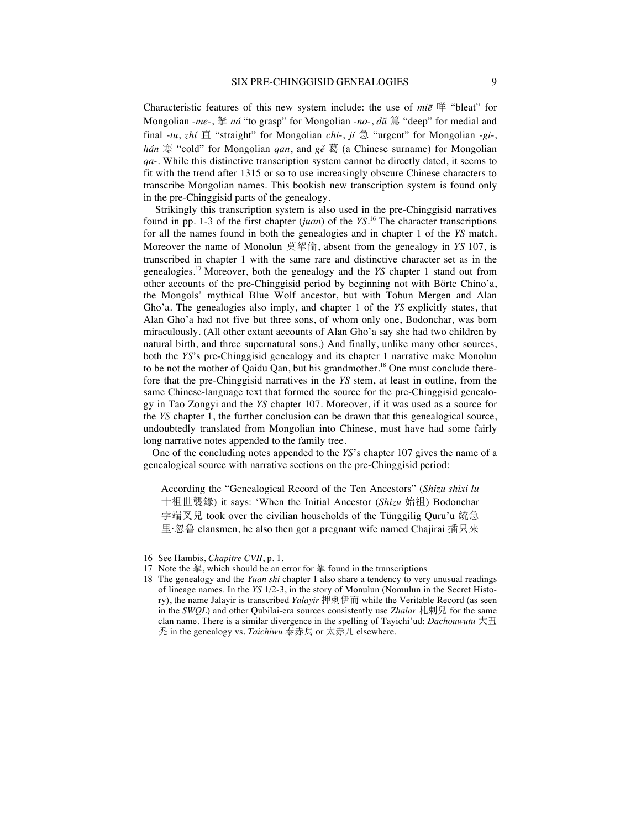Characteristic features of this new system include: the use of *mie* 咩 "bleat" for Mongolian -*me*-, 拏 *ná* "to grasp" for Mongolian -*no*-, *dŭ* 篤 "deep" for medial and final  $-tu$ ,  $zh$ *í*  $\dot{H}$  "straight" for Mongolian *chi*-, *jí*  $\dot{H}$  "urgent" for Mongolian -*gi*-, *hán* 寒 "cold" for Mongolian *qan*, and *gě* 葛 (a Chinese surname) for Mongolian *qa-.* While this distinctive transcription system cannot be directly dated, it seems to fit with the trend after 1315 or so to use increasingly obscure Chinese characters to transcribe Mongolian names. This bookish new transcription system is found only in the pre-Chinggisid parts of the genealogy.

Strikingly this transcription system is also used in the pre-Chinggisid narratives found in pp. 1-3 of the first chapter (*juan*) of the *YS*. <sup>16</sup> The character transcriptions for all the names found in both the genealogies and in chapter 1 of the *YS* match. Moreover the name of Monolun 莫挐倫, absent from the genealogy in *YS* 107, is transcribed in chapter 1 with the same rare and distinctive character set as in the genealogies.<sup>17</sup> Moreover, both the genealogy and the *YS* chapter 1 stand out from other accounts of the pre-Chinggisid period by beginning not with Börte Chino'a, the Mongols' mythical Blue Wolf ancestor, but with Tobun Mergen and Alan Gho'a. The genealogies also imply, and chapter 1 of the *YS* explicitly states, that Alan Gho'a had not five but three sons, of whom only one, Bodonchar, was born miraculously. (All other extant accounts of Alan Gho'a say she had two children by natural birth, and three supernatural sons.) And finally, unlike many other sources, both the *YS*'s pre-Chinggisid genealogy and its chapter 1 narrative make Monolun to be not the mother of Qaidu Qan, but his grandmother.<sup>18</sup> One must conclude therefore that the pre-Chinggisid narratives in the *YS* stem, at least in outline, from the same Chinese-language text that formed the source for the pre-Chinggisid genealogy in Tao Zongyi and the *YS* chapter 107. Moreover, if it was used as a source for the *YS* chapter 1, the further conclusion can be drawn that this genealogical source, undoubtedly translated from Mongolian into Chinese, must have had some fairly long narrative notes appended to the family tree.

One of the concluding notes appended to the *YS*'s chapter 107 gives the name of a genealogical source with narrative sections on the pre-Chinggisid period:

According the "Genealogical Record of the Ten Ancestors" (*Shizu shixi lu* 十祖世襲錄) it says: 'When the Initial Ancestor (*Shizu* 始祖) Bodonchar 孛端叉兒 took over the civilian households of the Tünggilig Quru'u 統急 里·忽魯 clansmen, he also then got a pregnant wife named Chajirai 插只來

<sup>16</sup> See Hambis, *Chapitre CVII*, p. 1.

<sup>17</sup> Note the 挐, which should be an error for  $#$  found in the transcriptions

<sup>18</sup> The genealogy and the *Yuan shi* chapter 1 also share a tendency to very unusual readings of lineage names. In the *YS* 1/2-3, in the story of Monulun (Nomulun in the Secret History), the name Jalayir is transcribed *Yalayir* 押剌伊而 while the Veritable Record (as seen in the *SWQL*) and other Qubilai-era sources consistently use *Zhalar*  $\hbar \mathbf{R}$  for the same clan name. There is a similar divergence in the spelling of Tayichi'ud: *Dachouwutu*  $\pm \mathbb{H}$ 秃 in the genealogy vs. *Taichiwu* 泰赤烏 or 太赤兀 elsewhere.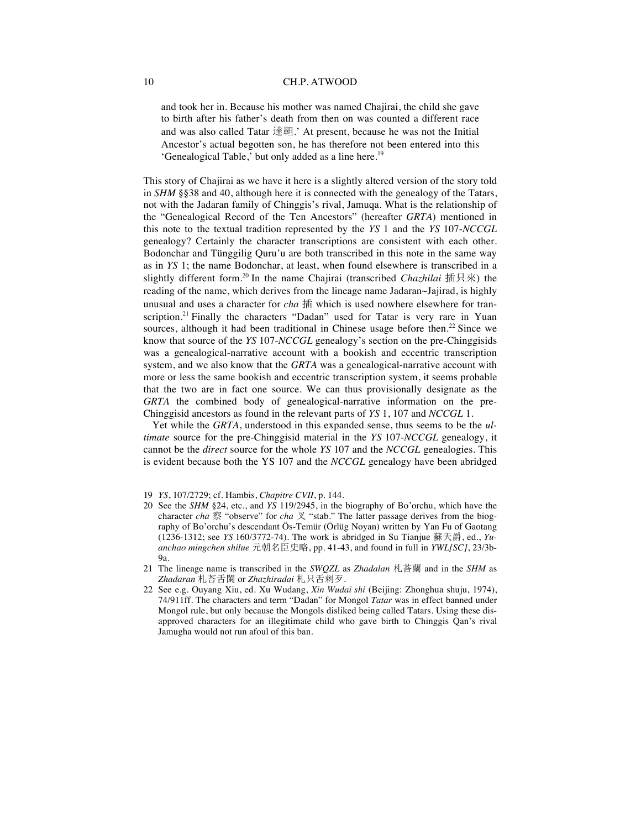and took her in. Because his mother was named Chajirai, the child she gave to birth after his father's death from then on was counted a different race and was also called Tatar 達靼.' At present, because he was not the Initial Ancestor's actual begotten son, he has therefore not been entered into this 'Genealogical Table,' but only added as a line here.<sup>19</sup>

This story of Chajirai as we have it here is a slightly altered version of the story told in *SHM* §§38 and 40, although here it is connected with the genealogy of the Tatars, not with the Jadaran family of Chinggis's rival, Jamuqa. What is the relationship of the "Genealogical Record of the Ten Ancestors" (hereafter *GRTA*) mentioned in this note to the textual tradition represented by the *YS* 1 and the *YS* 107-*NCCGL*  genealogy? Certainly the character transcriptions are consistent with each other. Bodonchar and Tünggilig Quru'u are both transcribed in this note in the same way as in *YS* 1; the name Bodonchar, at least, when found elsewhere is transcribed in a slightly different form.<sup>20</sup> In the name Chajirai (transcribed *Chazhilai* 插只來) the reading of the name, which derives from the lineage name Jadaran~Jajirad, is highly unusual and uses a character for *cha* 插 which is used nowhere elsewhere for transcription.<sup>21</sup> Finally the characters "Dadan" used for Tatar is very rare in Yuan sources, although it had been traditional in Chinese usage before then.<sup>22</sup> Since we know that source of the *YS* 107-*NCCGL* genealogy's section on the pre-Chinggisids was a genealogical-narrative account with a bookish and eccentric transcription system, and we also know that the *GRTA* was a genealogical-narrative account with more or less the same bookish and eccentric transcription system, it seems probable that the two are in fact one source. We can thus provisionally designate as the *GRTA* the combined body of genealogical-narrative information on the pre-Chinggisid ancestors as found in the relevant parts of *YS* 1, 107 and *NCCGL* 1.

Yet while the *GRTA*, understood in this expanded sense, thus seems to be the *ultimate* source for the pre-Chinggisid material in the *YS* 107-*NCCGL* genealogy, it cannot be the *direct* source for the whole *YS* 107 and the *NCCGL* genealogies. This is evident because both the YS 107 and the *NCCGL* genealogy have been abridged

- 19 *YS*, 107/2729; cf. Hambis, *Chapitre CVII*, p. 144.
- 20 See the *SHM* §24, etc., and *YS* 119/2945, in the biography of Bo'orchu, which have the character *cha* 察 "observe" for *cha* 又 "stab." The latter passage derives from the biography of Bo'orchu's descendant Ös-Temür (Örlüg Noyan) written by Yan Fu of Gaotang  $(1236-1312;$  see *YS* 160/3772-74). The work is abridged in Su Tianjue 蘇天爵, ed., *Yu*anchao mingchen shilue 元朝名臣史略, pp. 41-43, and found in full in *YWL[SC]*, 23/3b-9a.
- 21 The lineage name is transcribed in the *SWOZL* as *Zhadalan* 札荅蘭 and in the *SHM* as Zhadaran 札荅舌闌 or *Zhazhiradai* 札只舌刺歹.
- 22 See e.g. Ouyang Xiu, ed. Xu Wudang, *Xin Wudai shi* (Beijing: Zhonghua shuju, 1974), 74/911ff. The characters and term "Dadan" for Mongol *Tatar* was in effect banned under Mongol rule, but only because the Mongols disliked being called Tatars. Using these disapproved characters for an illegitimate child who gave birth to Chinggis Qan's rival Jamugha would not run afoul of this ban.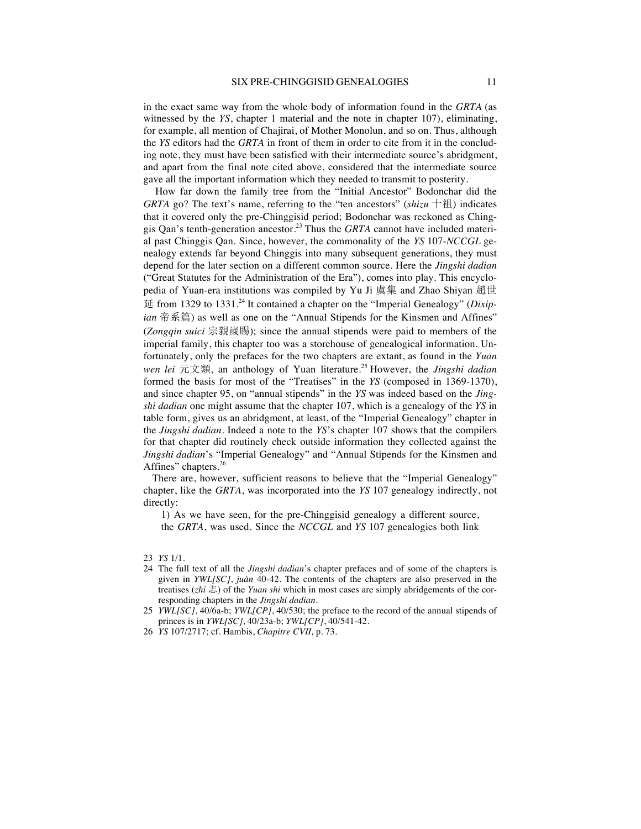in the exact same way from the whole body of information found in the *GRTA* (as witnessed by the *YS*, chapter 1 material and the note in chapter 107), eliminating, for example, all mention of Chajirai, of Mother Monolun, and so on. Thus, although the *YS* editors had the *GRTA* in front of them in order to cite from it in the concluding note, they must have been satisfied with their intermediate source's abridgment, and apart from the final note cited above, considered that the intermediate source gave all the important information which they needed to transmit to posterity.

How far down the family tree from the "Initial Ancestor" Bodonchar did the *GRTA* go? The text's name, referring to the "ten ancestors" (*shizu*  $\pm$   $\mathbb{H}$ ) indicates that it covered only the pre-Chinggisid period; Bodonchar was reckoned as Chinggis Qan's tenth-generation ancestor.<sup>23</sup> Thus the *GRTA* cannot have included material past Chinggis Qan. Since, however, the commonality of the *YS* 107-*NCCGL* genealogy extends far beyond Chinggis into many subsequent generations, they must depend for the later section on a different common source. Here the *Jingshi dadian*  ("Great Statutes for the Administration of the Era"), comes into play. This encyclopedia of Yuan-era institutions was compiled by Yu Ji 虞集 and Zhao Shiyan 趙世 o from 1329 to 1331.<sup>24</sup> It contained a chapter on the "Imperial Genealogy" (*Dixipian* 帝系篇) as well as one on the "Annual Stipends for the Kinsmen and Affines" (*Zongqin suici* ^ýią); since the annual stipends were paid to members of the imperial family, this chapter too was a storehouse of genealogical information. Unfortunately, only the prefaces for the two chapters are extant, as found in the *Yuan wen lei* 元文類, an anthology of Yuan literature.<sup>25</sup> However, the *Jingshi dadian* formed the basis for most of the "Treatises" in the *YS* (composed in 1369-1370), and since chapter 95, on "annual stipends" in the *YS* was indeed based on the *Jingshi dadian* one might assume that the chapter 107, which is a genealogy of the *YS* in table form, gives us an abridgment, at least, of the "Imperial Genealogy" chapter in the *Jingshi dadian*. Indeed a note to the *YS*'s chapter 107 shows that the compilers for that chapter did routinely check outside information they collected against the *Jingshi dadian*'s "Imperial Genealogy" and "Annual Stipends for the Kinsmen and Affines" chapters.<sup>26</sup>

There are, however, sufficient reasons to believe that the "Imperial Genealogy" chapter, like the *GRTA*, was incorporated into the *YS* 107 genealogy indirectly, not directly:

1) As we have seen, for the pre-Chinggisid genealogy a different source, the *GRTA*, was used. Since the *NCCGL* and *YS* 107 genealogies both link

<sup>23</sup> *YS* 1/1.

<sup>24</sup> The full text of all the *Jingshi dadian*'s chapter prefaces and of some of the chapters is given in *YWL[SC]*, *juàn* 40-42. The contents of the chapters are also preserved in the treatises (*zhi* 志) of the *Yuan shi* which in most cases are simply abridgements of the corresponding chapters in the *Jingshi dadian*.

<sup>25</sup> *YWL[SC]*, 40/6a-b; *YWL[CP]*, 40/530; the preface to the record of the annual stipends of princes is in *YWL[SC]*, 40/23a-b; *YWL[CP]*, 40/541-42.

<sup>26</sup> *YS* 107/2717; cf. Hambis, *Chapitre CVII,* p. 73.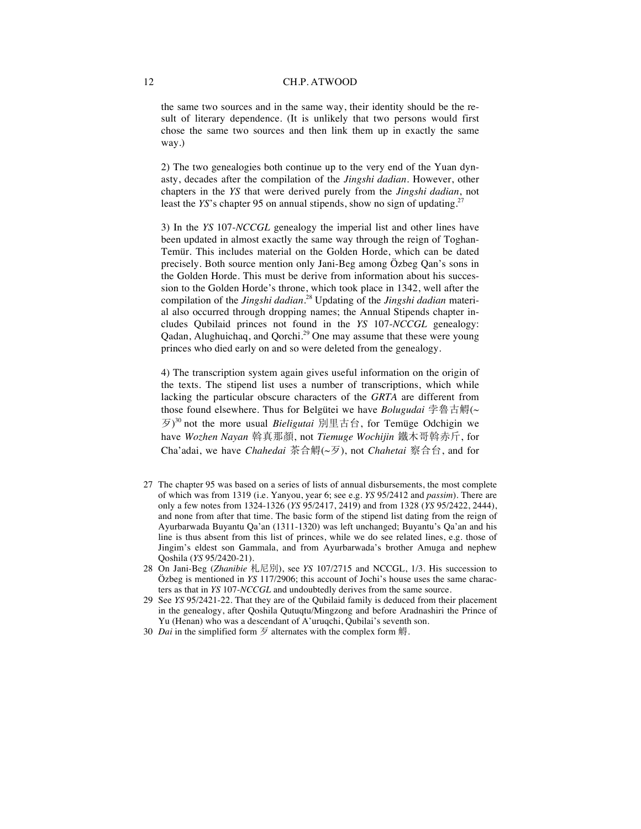the same two sources and in the same way, their identity should be the result of literary dependence. (It is unlikely that two persons would first chose the same two sources and then link them up in exactly the same way.)

2) The two genealogies both continue up to the very end of the Yuan dynasty, decades after the compilation of the *Jingshi dadian*. However, other chapters in the *YS* that were derived purely from the *Jingshi dadian*, not least the *YS*'s chapter 95 on annual stipends, show no sign of updating.<sup>27</sup>

3) In the *YS* 107-*NCCGL* genealogy the imperial list and other lines have been updated in almost exactly the same way through the reign of Toghan-Temür. This includes material on the Golden Horde, which can be dated precisely. Both source mention only Jani-Beg among Özbeg Qan's sons in the Golden Horde. This must be derive from information about his succession to the Golden Horde's throne, which took place in 1342, well after the compilation of the *Jingshi dadian*. <sup>28</sup> Updating of the *Jingshi dadian* material also occurred through dropping names; the Annual Stipends chapter includes Qubilaid princes not found in the *YS* 107-*NCCGL* genealogy: Qadan, Alughuichaq, and Qorchi.<sup>29</sup> One may assume that these were young princes who died early on and so were deleted from the genealogy.

4) The transcription system again gives useful information on the origin of the texts. The stipend list uses a number of transcriptions, which while lacking the particular obscure characters of the *GRTA* are different from those found elsewhere. Thus for Belgütei we have *Bolugudai* 孛魯古鷠(~  $\mathcal{F}$ )<sup>30</sup> not the more usual *Bieligutai*  $\mathbb{H}\boxplus$  in  $\hat{H}$ ; for Temüge Odchigin we have *Wozhen Nayan* 斡真那顏, not Tiemuge Wochijin 鐵木哥斡赤斤, for Cha'adai, we have *Chahedai* 茶合鱘(~歹), not *Chahetai* 察合台, and for

- 27 The chapter 95 was based on a series of lists of annual disbursements, the most complete of which was from 1319 (i.e. Yanyou, year 6; see e.g. *YS* 95/2412 and *passim*). There are only a few notes from 1324-1326 (*YS* 95/2417, 2419) and from 1328 (*YS* 95/2422, 2444), and none from after that time. The basic form of the stipend list dating from the reign of Ayurbarwada Buyantu Qa'an (1311-1320) was left unchanged; Buyantu's Qa'an and his line is thus absent from this list of princes, while we do see related lines, e.g. those of Jingim's eldest son Gammala, and from Ayurbarwada's brother Amuga and nephew Qoshila (*YS* 95/2420-21).
- 28 On Jani-Beg (Zhanibie 札尼別), see *YS* 107/2715 and NCCGL, 1/3. His succession to Özbeg is mentioned in *YS* 117/2906; this account of Jochi's house uses the same characters as that in *YS* 107-*NCCGL* and undoubtedly derives from the same source.
- 29 See *YS* 95/2421-22. That they are of the Qubilaid family is deduced from their placement in the genealogy, after Qoshila Qutuqtu/Mingzong and before Aradnashiri the Prince of Yu (Henan) who was a descendant of A'uruqchi, Qubilai's seventh son.
- 30 *Dai* in the simplified form  $\overline{z}$  alternates with the complex form  $\overline{w}$ .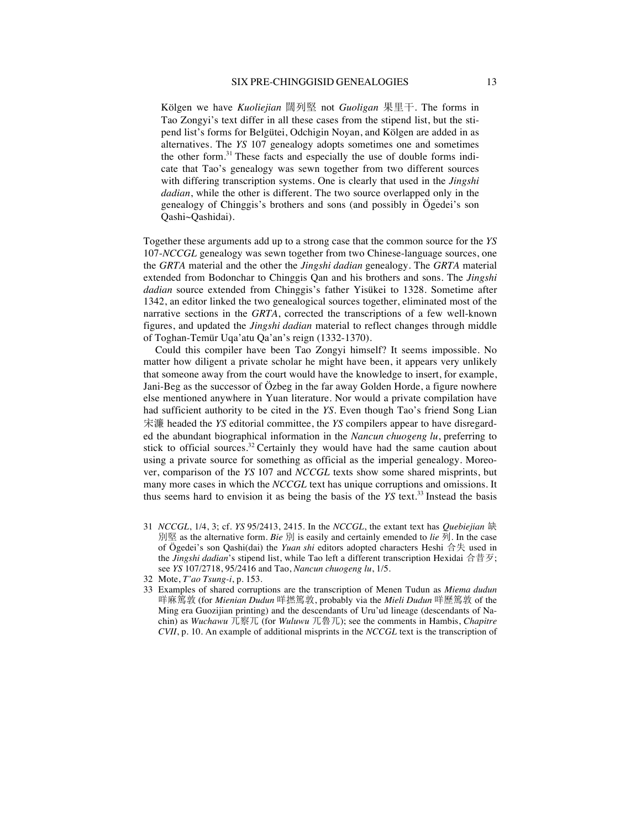Kölgen we have *Kuoliejian* 闊列堅 not *Guoligan* 果里干. The forms in Tao Zongyi's text differ in all these cases from the stipend list, but the stipend list's forms for Belgütei, Odchigin Noyan, and Kölgen are added in as alternatives. The *YS* 107 genealogy adopts sometimes one and sometimes the other form.<sup>31</sup> These facts and especially the use of double forms indicate that Tao's genealogy was sewn together from two different sources with differing transcription systems. One is clearly that used in the *Jingshi dadian*, while the other is different. The two source overlapped only in the genealogy of Chinggis's brothers and sons (and possibly in Ögedei's son Qashi~Qashidai).

Together these arguments add up to a strong case that the common source for the *YS*  107-*NCCGL* genealogy was sewn together from two Chinese-language sources, one the *GRTA* material and the other the *Jingshi dadian* genealogy. The *GRTA* material extended from Bodonchar to Chinggis Qan and his brothers and sons. The *Jingshi dadian* source extended from Chinggis's father Yisükei to 1328. Sometime after 1342, an editor linked the two genealogical sources together, eliminated most of the narrative sections in the *GRTA*, corrected the transcriptions of a few well-known figures, and updated the *Jingshi dadian* material to reflect changes through middle of Toghan-Temür Uqa'atu Qa'an's reign (1332-1370).

Could this compiler have been Tao Zongyi himself? It seems impossible. No matter how diligent a private scholar he might have been, it appears very unlikely that someone away from the court would have the knowledge to insert, for example, Jani-Beg as the successor of Özbeg in the far away Golden Horde, a figure nowhere else mentioned anywhere in Yuan literature. Nor would a private compilation have had sufficient authority to be cited in the *YS*. Even though Tao's friend Song Lian 宋濂 headed the *YS* editorial committee, the *YS* compilers appear to have disregarded the abundant biographical information in the *Nancun chuogeng lu*, preferring to stick to official sources. $32$  Certainly they would have had the same caution about using a private source for something as official as the imperial genealogy. Moreover, comparison of the *YS* 107 and *NCCGL* texts show some shared misprints, but many more cases in which the *NCCGL* text has unique corruptions and omissions. It thus seems hard to envision it as being the basis of the *YS* text.<sup>33</sup> Instead the basis

- 31 *NCCGL*, 1/4, 3; cf. *YS* 95/2413, 2415. In the *NCCGL*, the extant text has *Quebiejian* à 別堅 as the alternative form. *Bie* 別 is easily and certainly emended to *lie* 列. In the case of Ögedei's son Qashi(dai) the *Yuan shi* editors adopted characters Heshi 合失 used in the *Jingshi dadian*'s stipend list, while Tao left a different transcription Hexidai  $\hat{\sigma} \cdot \hat{\sigma}$ ; see *YS* 107/2718, 95/2416 and Tao, *Nancun chuogeng lu*, 1/5.
- 32 Mote, *T'ao Tsung-i*, p. 153.
- 33 Examples of shared corruptions are the transcription of Menen Tudun as *Miema dudun*  咩麻篤敦 (for *Mienian Dudun* 咩撚篤敦, probably via the *Mieli Dudun* 咩歷篤敦 of the Ming era Guozijian printing) and the descendants of Uru'ud lineage (descendants of Nachin) as *Wuchawu* 兀察兀 (for *Wuluwu* 兀魯兀); see the comments in Hambis, *Chapitre CVII*, p. 10. An example of additional misprints in the *NCCGL* text is the transcription of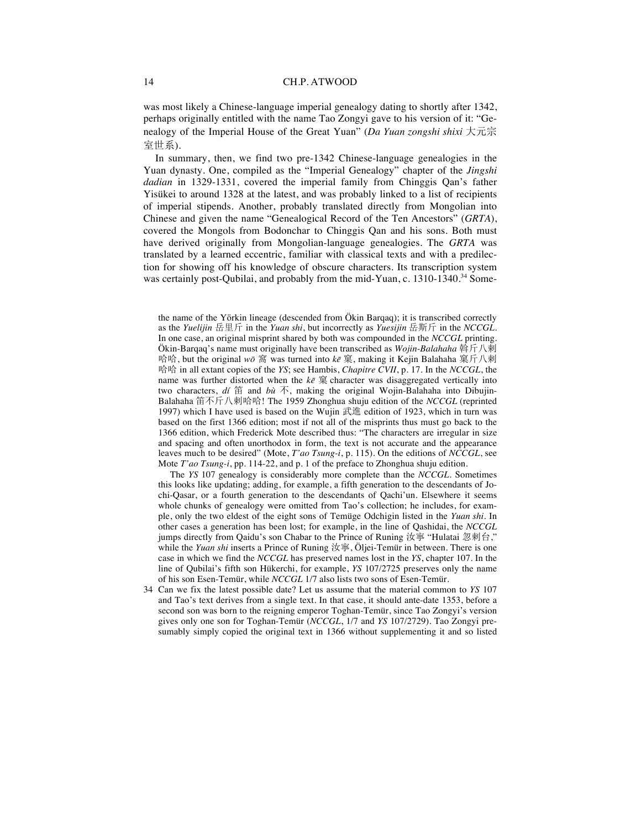was most likely a Chinese-language imperial genealogy dating to shortly after 1342, perhaps originally entitled with the name Tao Zongyi gave to his version of it: "Genealogy of the Imperial House of the Great Yuan" (*Da Yuan zongshi shixi* 大元宗 室世系).

In summary, then, we find two pre-1342 Chinese-language genealogies in the Yuan dynasty. One, compiled as the "Imperial Genealogy" chapter of the *Jingshi dadian* in 1329-1331, covered the imperial family from Chinggis Qan's father Yisükei to around 1328 at the latest, and was probably linked to a list of recipients of imperial stipends. Another, probably translated directly from Mongolian into Chinese and given the name "Genealogical Record of the Ten Ancestors" (*GRTA*), covered the Mongols from Bodonchar to Chinggis Qan and his sons. Both must have derived originally from Mongolian-language genealogies. The *GRTA* was translated by a learned eccentric, familiar with classical texts and with a predilection for showing off his knowledge of obscure characters. Its transcription system was certainly post-Qubilai, and probably from the mid-Yuan, c. 1310-1340.<sup>34</sup> Some-

the name of the Yörkin lineage (descended from Ökin Barqaq); it is transcribed correctly as the *Yuelijin* 岳里斤 in the *Yuan shi*, but incorrectly as *Yuesijin* 岳斯斤 in the *NCCGL*. In one case, an original misprint shared by both was compounded in the *NCCGL* printing.  $\ddot{\text{O}}\text{kin-Barqaa}$ 's name must originally have been transcribed as *Wojin-Balahaha* 斡斤八剌 哈哈, but the original  $w\bar{o}$  窩 was turned into *ke* 窠, making it Kejin Balahaha 窠斤八剌 哈哈 in all extant copies of the *YS*; see Hambis, *Chapitre CVII*, p. 17. In the *NCCGL*, the name was further distorted when the  $k\bar{e}$   $\hat{\mathbb{R}}$  character was disaggregated vertically into two characters,  $d\vec{t}$   $\hat{\text{H}}$  and  $b\vec{u}$   $\hat{\text{F}}$ , making the original Wojin-Balahaha into Dibujin-Balahaha 笛不斤八剌哈哈! The 1959 Zhonghua shuju edition of the *NCCGL* (reprinted 1997) which I have used is based on the Wujin  $\mathbb{R}$  dedition of 1923, which in turn was based on the first 1366 edition; most if not all of the misprints thus must go back to the 1366 edition, which Frederick Mote described thus: "The characters are irregular in size and spacing and often unorthodox in form, the text is not accurate and the appearance leaves much to be desired" (Mote, *T'ao Tsung-i*, p. 115). On the editions of *NCCGL*, see Mote *T'ao Tsung-i*, pp. 114-22, and p. 1 of the preface to Zhonghua shuju edition.

The *YS* 107 genealogy is considerably more complete than the *NCCGL*. Sometimes this looks like updating; adding, for example, a fifth generation to the descendants of Jochi-Qasar, or a fourth generation to the descendants of Qachi'un. Elsewhere it seems whole chunks of genealogy were omitted from Tao's collection; he includes, for example, only the two eldest of the eight sons of Temüge Odchigin listed in the *Yuan shi*. In other cases a generation has been lost; for example, in the line of Qashidai, the *NCCGL* jumps directly from Qaidu's son Chabar to the Prince of Runing 汝寧 "Hulatai 忽剌台." while the *Yuan shi* inserts a Prince of Runing 汝寧, Öljei-Temür in between. There is one case in which we find the *NCCGL* has preserved names lost in the *YS*, chapter 107. In the line of Qubilai's fifth son Hükerchi, for example, *YS* 107/2725 preserves only the name of his son Esen-Temür, while *NCCGL* 1/7 also lists two sons of Esen-Temür.

34 Can we fix the latest possible date? Let us assume that the material common to *YS* 107 and Tao's text derives from a single text. In that case, it should ante-date 1353, before a second son was born to the reigning emperor Toghan-Temür, since Tao Zongyi's version gives only one son for Toghan-Temür (*NCCGL*, 1/7 and *YS* 107/2729). Tao Zongyi presumably simply copied the original text in 1366 without supplementing it and so listed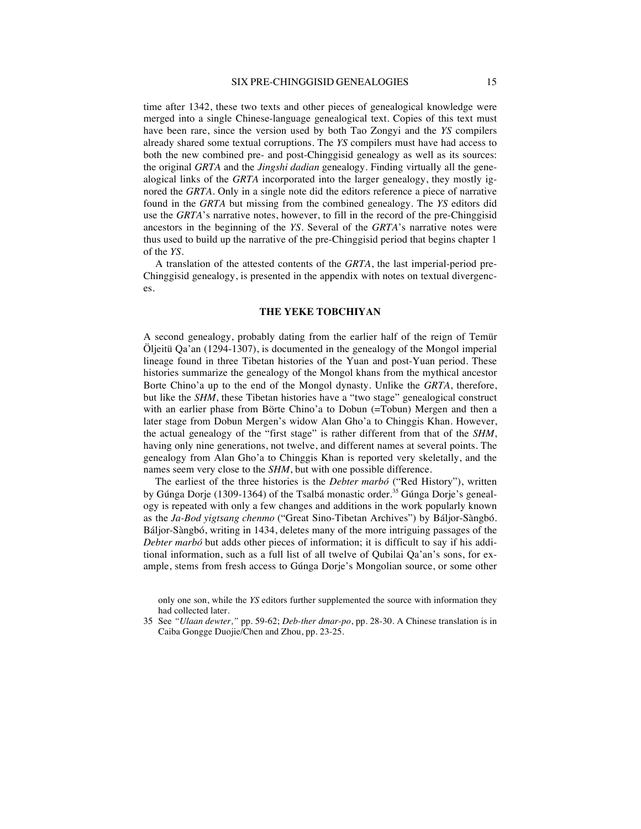time after 1342, these two texts and other pieces of genealogical knowledge were merged into a single Chinese-language genealogical text. Copies of this text must have been rare, since the version used by both Tao Zongyi and the *YS* compilers already shared some textual corruptions. The *YS* compilers must have had access to both the new combined pre- and post-Chinggisid genealogy as well as its sources: the original *GRTA* and the *Jingshi dadian* genealogy. Finding virtually all the genealogical links of the *GRTA* incorporated into the larger genealogy, they mostly ignored the *GRTA*. Only in a single note did the editors reference a piece of narrative found in the *GRTA* but missing from the combined genealogy. The *YS* editors did use the *GRTA*'s narrative notes, however, to fill in the record of the pre-Chinggisid ancestors in the beginning of the *YS*. Several of the *GRTA*'s narrative notes were thus used to build up the narrative of the pre-Chinggisid period that begins chapter 1 of the *YS*.

A translation of the attested contents of the *GRTA*, the last imperial-period pre-Chinggisid genealogy, is presented in the appendix with notes on textual divergences.

#### **THE YEKE TOBCHIYAN**

A second genealogy, probably dating from the earlier half of the reign of Temür Öljeitü Qa'an (1294-1307), is documented in the genealogy of the Mongol imperial lineage found in three Tibetan histories of the Yuan and post-Yuan period. These histories summarize the genealogy of the Mongol khans from the mythical ancestor Borte Chino'a up to the end of the Mongol dynasty. Unlike the *GRTA*, therefore, but like the *SHM*, these Tibetan histories have a "two stage" genealogical construct with an earlier phase from Börte Chino'a to Dobun (=Tobun) Mergen and then a later stage from Dobun Mergen's widow Alan Gho'a to Chinggis Khan. However, the actual genealogy of the "first stage" is rather different from that of the *SHM*, having only nine generations, not twelve, and different names at several points. The genealogy from Alan Gho'a to Chinggis Khan is reported very skeletally, and the names seem very close to the *SHM*, but with one possible difference.

The earliest of the three histories is the *Debter marbó* ("Red History"), written by Gúnga Dorje (1309-1364) of the Tsalbá monastic order.<sup>35</sup> Gúnga Dorje's genealogy is repeated with only a few changes and additions in the work popularly known as the *Ja-Bod yigtsang chenmo* ("Great Sino-Tibetan Archives") by Báljor-Sàngbó. Báljor-Sàngbó, writing in 1434, deletes many of the more intriguing passages of the *Debter marbó* but adds other pieces of information; it is difficult to say if his additional information, such as a full list of all twelve of Qubilai Qa'an's sons, for example, stems from fresh access to Gúnga Dorje's Mongolian source, or some other

only one son, while the *YS* editors further supplemented the source with information they had collected later.

<sup>35</sup> See *"Ulaan dewter,"* pp. 59-62; *Deb-ther dmar-po*, pp. 28-30. A Chinese translation is in Caiba Gongge Duojie/Chen and Zhou, pp. 23-25.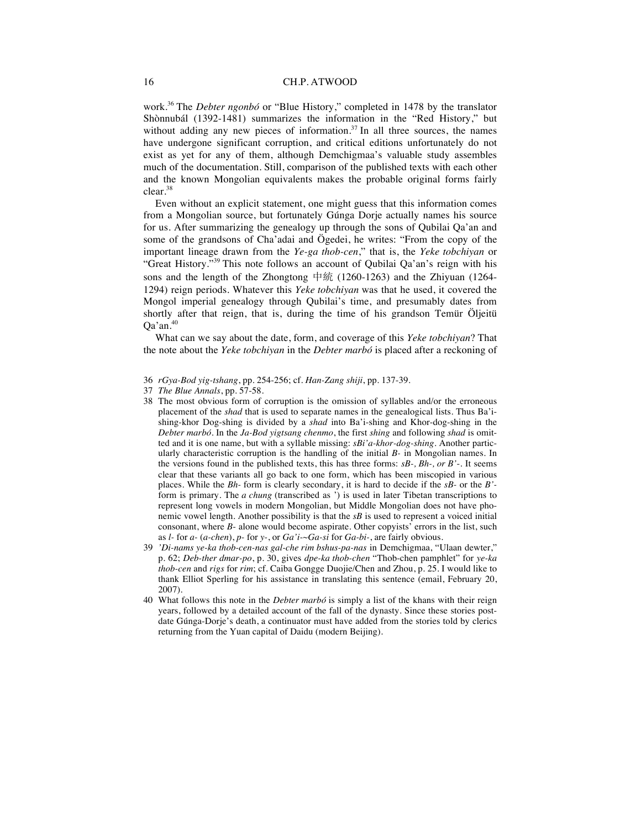work.<sup>36</sup> The *Debter ngonbó* or "Blue History," completed in 1478 by the translator Shònnubál (1392-1481) summarizes the information in the "Red History," but without adding any new pieces of information. $37$  In all three sources, the names have undergone significant corruption, and critical editions unfortunately do not exist as yet for any of them, although Demchigmaa's valuable study assembles much of the documentation. Still, comparison of the published texts with each other and the known Mongolian equivalents makes the probable original forms fairly clear.38

Even without an explicit statement, one might guess that this information comes from a Mongolian source, but fortunately Gúnga Dorje actually names his source for us. After summarizing the genealogy up through the sons of Qubilai Qa'an and some of the grandsons of Cha'adai and Ögedei, he writes: "From the copy of the important lineage drawn from the *Ye-ga thob-cen*," that is, the *Yeke tobchiyan* or "Great History."<sup>39</sup> This note follows an account of Qubilai Qa'an's reign with his sons and the length of the Zhongtong 中統  $(1260-1263)$  and the Zhiyuan  $(1264-1263)$ 1294) reign periods. Whatever this *Yeke tobchiyan* was that he used, it covered the Mongol imperial genealogy through Qubilai's time, and presumably dates from shortly after that reign, that is, during the time of his grandson Temür Öljeitü  $Oa'an.<sup>40</sup>$ 

What can we say about the date, form, and coverage of this *Yeke tobchiyan*? That the note about the *Yeke tobchiyan* in the *Debter marbó* is placed after a reckoning of

- 36 *rGya-Bod yig-tshang*, pp. 254-256; cf. *Han-Zang shiji*, pp. 137-39.
- 37 *The Blue Annals*, pp. 57-58.
- 38 The most obvious form of corruption is the omission of syllables and/or the erroneous placement of the *shad* that is used to separate names in the genealogical lists. Thus Ba'ishing-khor Dog-shing is divided by a *shad* into Ba'i-shing and Khor-dog-shing in the *Debter marbó*. In the *Ja-Bod yigtsang chenmo*, the first *shing* and following *shad* is omitted and it is one name, but with a syllable missing: *sBi'a-khor-dog-shing*. Another particularly characteristic corruption is the handling of the initial *B-* in Mongolian names. In the versions found in the published texts, this has three forms: *sB-, Bh-, or B'*-. It seems clear that these variants all go back to one form, which has been miscopied in various places. While the *Bh-* form is clearly secondary, it is hard to decide if the *sB-* or the *B'* form is primary. The *a chung* (transcribed as ') is used in later Tibetan transcriptions to represent long vowels in modern Mongolian, but Middle Mongolian does not have phonemic vowel length. Another possibility is that the *sB* is used to represent a voiced initial consonant, where *B*- alone would become aspirate. Other copyists' errors in the list, such as *l-* for *a-* (*a-chen*), *p-* for *y-*, or *Ga'i-~Ga-si* for *Ga-bi-*, are fairly obvious.
- 39 *'Di-nams ye-ka thob-cen-nas gal-che rim bshus-pa-nas* in Demchigmaa, "Ulaan dewter," p. 62; *Deb-ther dmar-po*, p. 30, gives *dpe-ka thob-chen* "Thob-chen pamphlet" for *ye-ka thob-cen* and *rigs* for *rim*; cf. Caiba Gongge Duojie/Chen and Zhou, p. 25. I would like to thank Elliot Sperling for his assistance in translating this sentence (email, February 20, 2007).
- 40 What follows this note in the *Debter marbó* is simply a list of the khans with their reign years, followed by a detailed account of the fall of the dynasty. Since these stories postdate Gúnga-Dorje's death, a continuator must have added from the stories told by clerics returning from the Yuan capital of Daidu (modern Beijing).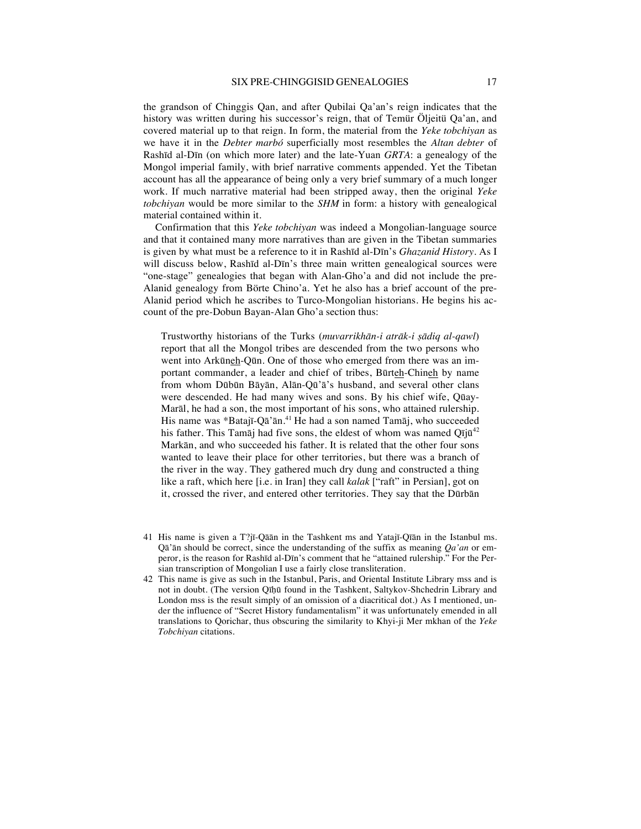the grandson of Chinggis Qan, and after Qubilai Qa'an's reign indicates that the history was written during his successor's reign, that of Temür Öljeitü Qa'an, and covered material up to that reign. In form, the material from the *Yeke tobchiyan* as we have it in the *Debter marbó* superficially most resembles the *Altan debter* of Rashīd al-Dīn (on which more later) and the late-Yuan *GRTA*: a genealogy of the Mongol imperial family, with brief narrative comments appended. Yet the Tibetan account has all the appearance of being only a very brief summary of a much longer work. If much narrative material had been stripped away, then the original *Yeke tobchiyan* would be more similar to the *SHM* in form: a history with genealogical material contained within it.

Confirmation that this *Yeke tobchiyan* was indeed a Mongolian-language source and that it contained many more narratives than are given in the Tibetan summaries is given by what must be a reference to it in Rashīd al-Dīn's *Ghazanid History*. As I will discuss below, Rashīd al-Dīn's three main written genealogical sources were "one-stage" genealogies that began with Alan-Gho'a and did not include the pre-Alanid genealogy from Börte Chino'a. Yet he also has a brief account of the pre-Alanid period which he ascribes to Turco-Mongolian historians. He begins his account of the pre-Dobun Bayan-Alan Gho'a section thus:

Trustworthy historians of the Turks (*muvarrikhān-i atrāk-i ṣādiq al-qawl*) report that all the Mongol tribes are descended from the two persons who went into Arkūneh-Qūn. One of those who emerged from there was an important commander, a leader and chief of tribes, Būrteh-Chineh by name from whom Dūbūn Bāyān, Alān-Qū'ā's husband, and several other clans were descended. He had many wives and sons. By his chief wife, Qūay-Marāl, he had a son, the most important of his sons, who attained rulership. His name was \*Batajī-Qā'ān.<sup>41</sup> He had a son named Tamāj, who succeeded his father. This Tamāj had five sons, the eldest of whom was named  $Q\bar{q}q^{2}$ Markān, and who succeeded his father. It is related that the other four sons wanted to leave their place for other territories, but there was a branch of the river in the way. They gathered much dry dung and constructed a thing like a raft, which here [i.e. in Iran] they call *kalak* ["raft" in Persian], got on it, crossed the river, and entered other territories. They say that the Dūrbān

- 41 His name is given a T?jī-Qāān in the Tashkent ms and Yatajī-Qīān in the Istanbul ms. Qā'ān should be correct, since the understanding of the suffix as meaning *Qa'an* or emperor, is the reason for Rashīd al-Dīn's comment that he "attained rulership." For the Persian transcription of Mongolian I use a fairly close transliteration.
- 42 This name is give as such in the Istanbul, Paris, and Oriental Institute Library mss and is not in doubt. (The version Qīhū found in the Tashkent, Saltykov-Shchedrin Library and London mss is the result simply of an omission of a diacritical dot.) As I mentioned, under the influence of "Secret History fundamentalism" it was unfortunately emended in all translations to Qorichar, thus obscuring the similarity to Khyi-ji Mer mkhan of the *Yeke Tobchiyan* citations.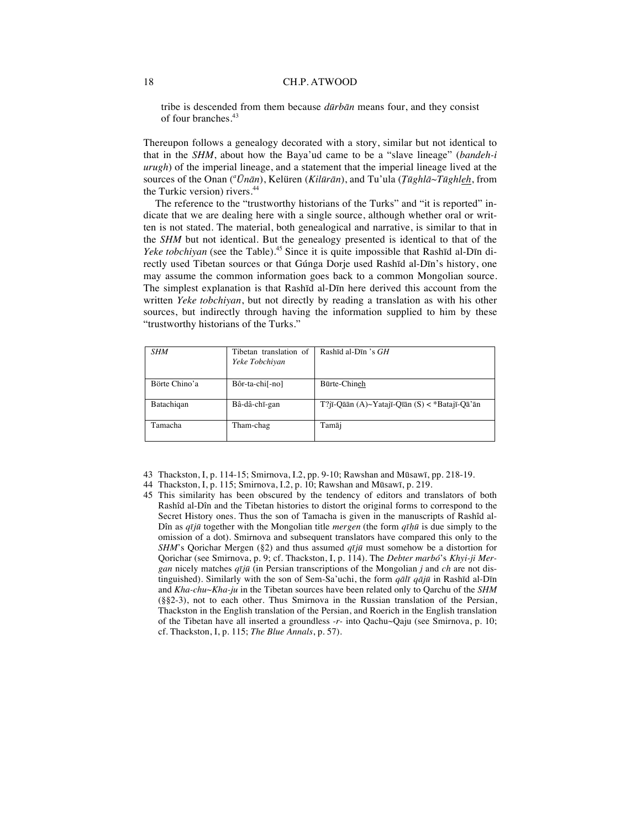tribe is descended from them because *dūrbān* means four, and they consist of four branches.<sup>43</sup>

Thereupon follows a genealogy decorated with a story, similar but not identical to that in the *SHM*, about how the Baya'ud came to be a "slave lineage" (*bandeh-i urugh*) of the imperial lineage, and a statement that the imperial lineage lived at the sources of the Onan (*<sup>a</sup> Ūnān*), Kelüren (*Kilūrān*), and Tu'ula (*Ṭūghlā~Tūghleh*, from the Turkic version) rivers.<sup>44</sup>

The reference to the "trustworthy historians of the Turks" and "it is reported" indicate that we are dealing here with a single source, although whether oral or written is not stated. The material, both genealogical and narrative, is similar to that in the *SHM* but not identical. But the genealogy presented is identical to that of the *Yeke tobchiyan* (see the Table).<sup>45</sup> Since it is quite impossible that Rashīd al-Dīn directly used Tibetan sources or that Gúnga Dorje used Rashīd al-Dīn's history, one may assume the common information goes back to a common Mongolian source. The simplest explanation is that Rashīd al-Dīn here derived this account from the written *Yeke tobchiyan*, but not directly by reading a translation as with his other sources, but indirectly through having the information supplied to him by these "trustworthy historians of the Turks."

| <b>SHM</b>    | Tibetan translation of<br>Yeke Tobchiyan | Rashid al-Din 's $GH$                            |
|---------------|------------------------------------------|--------------------------------------------------|
| Börte Chino'a | Bôr-ta-chi[-no]                          | Būrte-Chineh                                     |
| Batachigan    | Bâ-dâ-chī-gan                            | $T$ ?jī-Qāān (A)~Yatajī-Qīān (S) < *Batajī-Qā'ān |
| Tamacha       | Tham-chag                                | Tamāj                                            |

43 Thackston, I, p. 114-15; Smirnova, I.2, pp. 9-10; Rawshan and Mūsawī, pp. 218-19.

45 This similarity has been obscured by the tendency of editors and translators of both Rashîd al-Dîn and the Tibetan histories to distort the original forms to correspond to the Secret History ones. Thus the son of Tamacha is given in the manuscripts of Rashîd al-Dîn as *qījū* together with the Mongolian title *mergen* (the form *qīḥū* is due simply to the omission of a dot). Smirnova and subsequent translators have compared this only to the *SHM*'s Qorichar Mergen (§2) and thus assumed *qījū* must somehow be a distortion for Qorichar (see Smirnova, p. 9; cf. Thackston, I, p. 114). The *Debter marbó*'s *Khyi-ji Mergan* nicely matches *qījū* (in Persian transcriptions of the Mongolian *j* and *ch* are not distinguished). Similarly with the son of Sem-Sa'uchi, the form *qālī qājū* in Rashīd al-Dīn and *Kha-chu~Kha-ju* in the Tibetan sources have been related only to Qarchu of the *SHM* (§§2-3), not to each other. Thus Smirnova in the Russian translation of the Persian, Thackston in the English translation of the Persian, and Roerich in the English translation of the Tibetan have all inserted a groundless *-r-* into Qachu~Qaju (see Smirnova, p. 10; cf. Thackston, I, p. 115; *The Blue Annals*, p. 57).

<sup>44</sup> Thackston, I, p. 115; Smirnova, I.2, p. 10; Rawshan and Mūsawī, p. 219.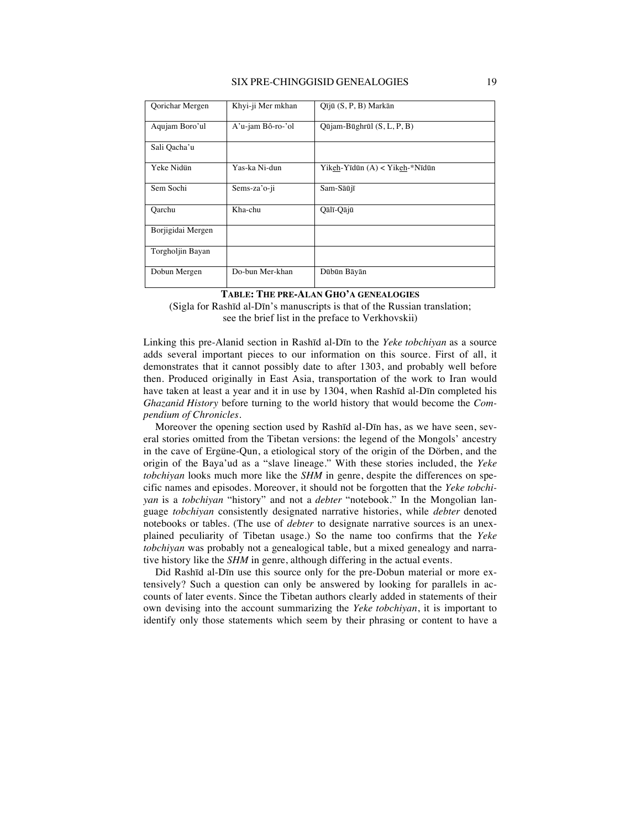#### SIX PRE-CHINGGISID GENEALOGIES 19

| Qorichar Mergen   | Khyi-ji Mer mkhan | Qījū (S, P, B) Markān          |
|-------------------|-------------------|--------------------------------|
| Aqujam Boro'ul    | A'u-jam Bô-ro-'ol | Qūjam-Būghrūl (S, L, P, B)     |
| Sali Qacha'u      |                   |                                |
| Yeke Nidün        | Yas-ka Ni-dun     | Yikeh-Yīdūn (A) < Yikeh-*Nīdūn |
| Sem Sochi         | Sems-za'o-ji      | Sam-Sāūjī                      |
| Oarchu            | Kha-chu           | Qālī-Qājū                      |
| Borjigidai Mergen |                   |                                |
| Torgholjin Bayan  |                   |                                |
| Dobun Mergen      | Do-bun Mer-khan   | Dūbūn Bāyān                    |

#### **TABLE: THE PRE-ALAN GHO'A GENEALOGIES**

(Sigla for Rashīd al-Dīn's manuscripts is that of the Russian translation; see the brief list in the preface to Verkhovskii)

Linking this pre-Alanid section in Rashīd al-Dīn to the *Yeke tobchiyan* as a source adds several important pieces to our information on this source. First of all, it demonstrates that it cannot possibly date to after 1303, and probably well before then. Produced originally in East Asia, transportation of the work to Iran would have taken at least a year and it in use by 1304, when Rashīd al-Dīn completed his *Ghazanid History* before turning to the world history that would become the *Compendium of Chronicles*.

Moreover the opening section used by Rashīd al-Dīn has, as we have seen, several stories omitted from the Tibetan versions: the legend of the Mongols' ancestry in the cave of Ergüne-Qun, a etiological story of the origin of the Dörben, and the origin of the Baya'ud as a "slave lineage." With these stories included, the *Yeke tobchiyan* looks much more like the *SHM* in genre, despite the differences on specific names and episodes. Moreover, it should not be forgotten that the *Yeke tobchiyan* is a *tobchiyan* "history" and not a *debter* "notebook." In the Mongolian language *tobchiyan* consistently designated narrative histories, while *debter* denoted notebooks or tables. (The use of *debter* to designate narrative sources is an unexplained peculiarity of Tibetan usage.) So the name too confirms that the *Yeke tobchiyan* was probably not a genealogical table, but a mixed genealogy and narrative history like the *SHM* in genre, although differing in the actual events.

Did Rashīd al-Dīn use this source only for the pre-Dobun material or more extensively? Such a question can only be answered by looking for parallels in accounts of later events. Since the Tibetan authors clearly added in statements of their own devising into the account summarizing the *Yeke tobchiyan*, it is important to identify only those statements which seem by their phrasing or content to have a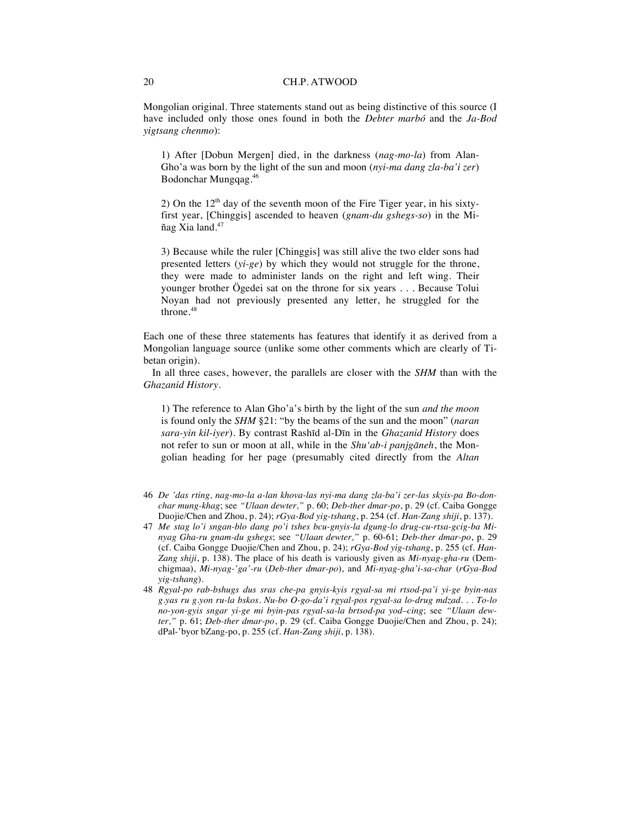Mongolian original. Three statements stand out as being distinctive of this source (I have included only those ones found in both the *Debter marbó* and the *Ja-Bod yigtsang chenmo*):

1) After [Dobun Mergen] died, in the darkness (*nag-mo-la*) from Alan-Gho'a was born by the light of the sun and moon (*nyi-ma dang zla-ba'i zer*) Bodonchar Mungqag.46

2) On the  $12<sup>th</sup>$  day of the seventh moon of the Fire Tiger year, in his sixtyfirst year, [Chinggis] ascended to heaven (*gnam-du gshegs-so*) in the Miñag Xia land.<sup>47</sup>

3) Because while the ruler [Chinggis] was still alive the two elder sons had presented letters (*yi-ge*) by which they would not struggle for the throne, they were made to administer lands on the right and left wing. Their younger brother Ögedei sat on the throne for six years . . . Because Tolui Noyan had not previously presented any letter, he struggled for the throne.<sup>48</sup>

Each one of these three statements has features that identify it as derived from a Mongolian language source (unlike some other comments which are clearly of Tibetan origin).

In all three cases, however, the parallels are closer with the *SHM* than with the *Ghazanid History*.

1) The reference to Alan Gho'a's birth by the light of the sun *and the moon*  is found only the *SHM* §21: "by the beams of the sun and the moon" (*naran sara-yin kil-iyer*). By contrast Rashīd al-Dīn in the *Ghazanid History* does not refer to sun or moon at all, while in the *Shu'ab-i panjgāneh*, the Mongolian heading for her page (presumably cited directly from the *Altan* 

- 46 *De 'das rting, nag-mo-la a-lan khova-las nyi-ma dang zla-ba'i zer-las skyis-pa Bo-donchar mung-khag*; see *"Ulaan dewter,"* p. 60; *Deb-ther dmar-po*, p. 29 (cf. Caiba Gongge Duojie/Chen and Zhou, p. 24); *rGya-Bod yig-tshang*, p. 254 (cf. *Han-Zang shiji*, p. 137).
- 47 *Me stag lo'i sngan-blo dang po'i tshes bcu-gnyis-la dgung-lo drug-cu-rtsa-gcig-ba Minyag Gha-ru gnam-du gshegs*; see *"Ulaan dewter,"* p. 60-61; *Deb-ther dmar-po*, p. 29 (cf. Caiba Gongge Duojie/Chen and Zhou, p. 24); *rGya-Bod yig-tshang*, p. 255 (cf. *Han-Zang shiji*, p. 138). The place of his death is variously given as *Mi-nyag-gha-ru* (Demchigmaa), *Mi-nyag-'ga'-ru* (*Deb-ther dmar-po*), and *Mi-nyag-gha'i-sa-char* (*rGya-Bod yig-tshang*).
- 48 *Rgyal-po rab-bshugs dus sras che-pa gnyis-kyis rgyal-sa mi rtsod-pa'i yi-ge byin-nas g.yas ru g.yon ru-la bskos. Nu-bo O-go-da'i rgyal-pos rgyal-sa lo-drug mdzad. . . To-lo no-yon-gyis sngar yi-ge mi byin-pas rgyal-sa-la brtsod-pa yod–cing*; see *"Ulaan dewter,"* p. 61; *Deb-ther dmar-po*, p. 29 (cf. Caiba Gongge Duojie/Chen and Zhou, p. 24); dPal-'byor bZang-po, p. 255 (cf. *Han-Zang shiji*, p. 138).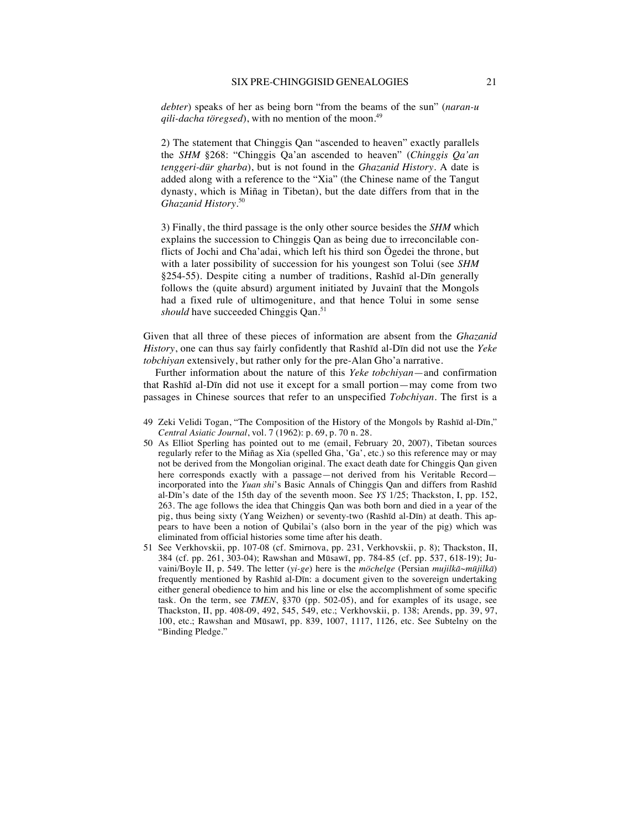*debter*) speaks of her as being born "from the beams of the sun" (*naran-u qili-dacha töregsed*), with no mention of the moon.<sup>49</sup>

2) The statement that Chinggis Qan "ascended to heaven" exactly parallels the *SHM* §268: "Chinggis Qa'an ascended to heaven" (*Chinggis Qa'an tenggeri-dür gharba*), but is not found in the *Ghazanid History*. A date is added along with a reference to the "Xia" (the Chinese name of the Tangut dynasty, which is Miñag in Tibetan), but the date differs from that in the *Ghazanid History*. 50

3) Finally, the third passage is the only other source besides the *SHM* which explains the succession to Chinggis Qan as being due to irreconcilable conflicts of Jochi and Cha'adai, which left his third son Ögedei the throne, but with a later possibility of succession for his youngest son Tolui (see *SHM* §254-55). Despite citing a number of traditions, Rashīd al-Dīn generally follows the (quite absurd) argument initiated by Juvainī that the Mongols had a fixed rule of ultimogeniture, and that hence Tolui in some sense *should* have succeeded Chinggis Qan.<sup>51</sup>

Given that all three of these pieces of information are absent from the *Ghazanid History*, one can thus say fairly confidently that Rashīd al-Dīn did not use the *Yeke tobchiyan* extensively, but rather only for the pre-Alan Gho'a narrative.

Further information about the nature of this *Yeke tobchiyan*—and confirmation that Rashīd al-Dīn did not use it except for a small portion—may come from two passages in Chinese sources that refer to an unspecified *Tobchiyan*. The first is a

- 49 Zeki Velidi Togan, "The Composition of the History of the Mongols by Rashīd al-Dīn," *Central Asiatic Journal*, vol. 7 (1962): p. 69, p. 70 n. 28.
- 50 As Elliot Sperling has pointed out to me (email, February 20, 2007), Tibetan sources regularly refer to the Miñag as Xia (spelled Gha, 'Ga', etc.) so this reference may or may not be derived from the Mongolian original. The exact death date for Chinggis Qan given here corresponds exactly with a passage—not derived from his Veritable Record incorporated into the *Yuan shi*'s Basic Annals of Chinggis Qan and differs from Rashīd al-Dīn's date of the 15th day of the seventh moon. See *YS* 1/25; Thackston, I, pp. 152, 263. The age follows the idea that Chinggis Qan was both born and died in a year of the pig, thus being sixty (Yang Weizhen) or seventy-two (Rashīd al-Dīn) at death. This appears to have been a notion of Qubilai's (also born in the year of the pig) which was eliminated from official histories some time after his death.
- 51 See Verkhovskii, pp. 107-08 (cf. Smirnova, pp. 231, Verkhovskii, p. 8); Thackston, II, 384 (cf. pp. 261, 303-04); Rawshan and Mūsawī, pp. 784-85 (cf. pp. 537, 618-19); Juvaini/Boyle II, p. 549. The letter (*yi-ge*) here is the *möchelge* (Persian *mujilkā~mūjilkā*) frequently mentioned by Rashīd al-Dīn: a document given to the sovereign undertaking either general obedience to him and his line or else the accomplishment of some specific task. On the term, see *TMEN*, §370 (pp. 502-05), and for examples of its usage, see Thackston, II, pp. 408-09, 492, 545, 549, etc.; Verkhovskii, p. 138; Arends, pp. 39, 97, 100, etc.; Rawshan and Mūsawī, pp. 839, 1007, 1117, 1126, etc. See Subtelny on the "Binding Pledge."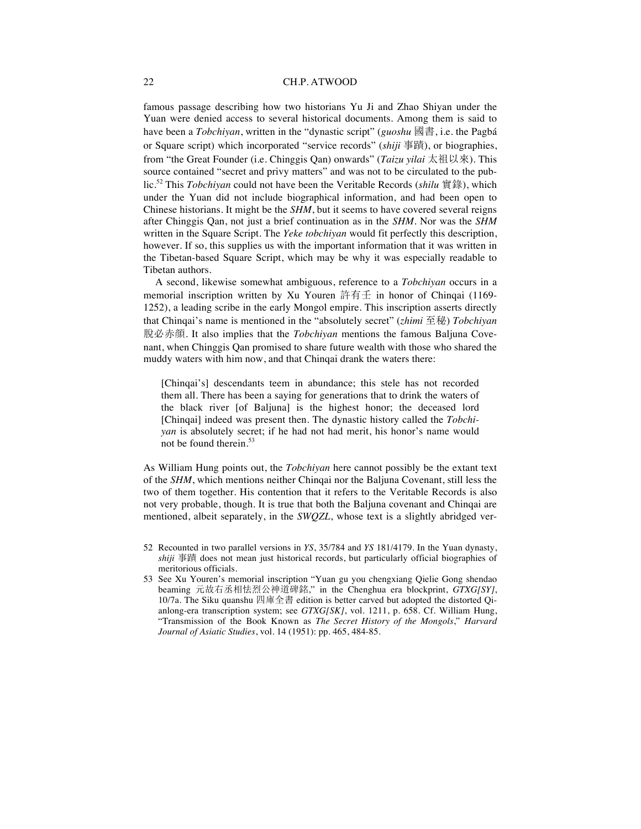famous passage describing how two historians Yu Ji and Zhao Shiyan under the Yuan were denied access to several historical documents. Among them is said to have been a *Tobchiyan*, written in the "dynastic script" (*guoshu* 國書, i.e. the Pagbá or Square script) which incorporated "service records" *(shiji* 事蹟), or biographies, from "the Great Founder (i.e. Chinggis Qan) onwards" (*Taizu yilai* 太祖以來). This source contained "secret and privy matters" and was not to be circulated to the public.<sup>52</sup> This *Tobchiyan* could not have been the Veritable Records (*shilu* 實錄), which under the Yuan did not include biographical information, and had been open to Chinese historians. It might be the *SHM*, but it seems to have covered several reigns after Chinggis Qan, not just a brief continuation as in the *SHM*. Nor was the *SHM*  written in the Square Script. The *Yeke tobchiyan* would fit perfectly this description, however. If so, this supplies us with the important information that it was written in the Tibetan-based Square Script, which may be why it was especially readable to Tibetan authors.

A second, likewise somewhat ambiguous, reference to a *Tobchiyan* occurs in a memorial inscription written by Xu Youren  $\frac{1}{100}$  in honor of Chinqai (1169-1252), a leading scribe in the early Mongol empire. This inscription asserts directly that Chinqai's name is mentioned in the "absolutely secret" (*zhimi* 至秘) *Tobchiyan*  $\hat{E}$   $\hat{E}$   $\hat{E}$ . It also implies that the *Tobchiyan* mentions the famous Baljuna Covenant, when Chinggis Qan promised to share future wealth with those who shared the muddy waters with him now, and that Chinqai drank the waters there:

[Chinqai's] descendants teem in abundance; this stele has not recorded them all. There has been a saying for generations that to drink the waters of the black river [of Baljuna] is the highest honor; the deceased lord [Chinqai] indeed was present then. The dynastic history called the *Tobchiyan* is absolutely secret; if he had not had merit, his honor's name would not be found therein.<sup>53</sup>

As William Hung points out, the *Tobchiyan* here cannot possibly be the extant text of the *SHM*, which mentions neither Chinqai nor the Baljuna Covenant, still less the two of them together. His contention that it refers to the Veritable Records is also not very probable, though. It is true that both the Baljuna covenant and Chinqai are mentioned, albeit separately, in the *SWQZL*, whose text is a slightly abridged ver-

- 52 Recounted in two parallel versions in *YS*, 35/784 and *YS* 181/4179. In the Yuan dynasty, *shiji* 事蹟 does not mean just historical records, but particularly official biographies of meritorious officials.
- 53 See Xu Youren's memorial inscription "Yuan gu you chengxiang Qielie Gong shendao beaming 元故右丞相怯烈公神道碑銘," in the Chenghua era blockprint, *GTXG[SY]*, 10/7a. The Siku quanshu  $\mathbb{Z}$   $\hat{\mathbb{F}}$  adition is better carved but adopted the distorted Qianlong-era transcription system; see *GTXG[SK]*, vol. 1211, p. 658. Cf. William Hung, "Transmission of the Book Known as *The Secret History of the Mongols*," *Harvard Journal of Asiatic Studies*, vol. 14 (1951): pp. 465, 484-85.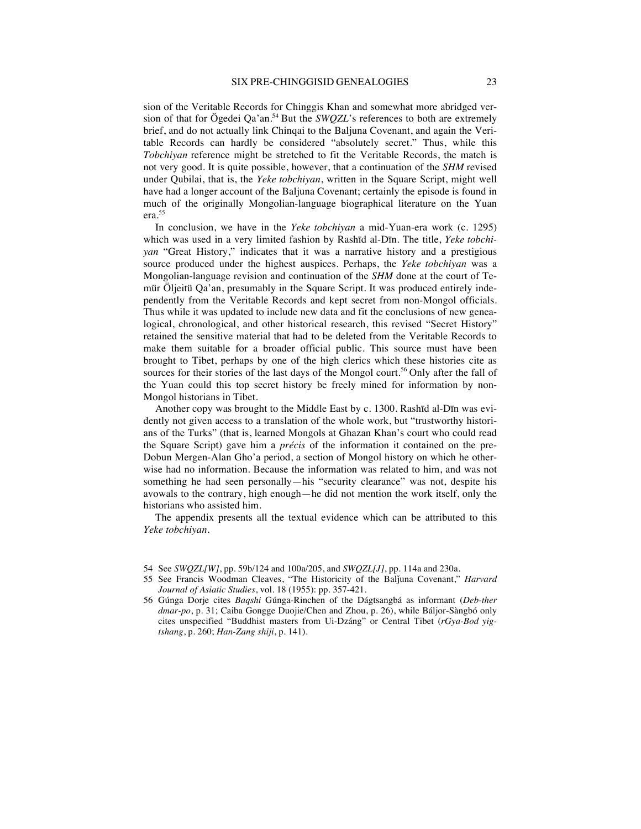sion of the Veritable Records for Chinggis Khan and somewhat more abridged version of that for Ögedei Qa'an.<sup>54</sup> But the *SWOZL*'s references to both are extremely brief, and do not actually link Chinqai to the Baljuna Covenant, and again the Veritable Records can hardly be considered "absolutely secret." Thus, while this *Tobchiyan* reference might be stretched to fit the Veritable Records, the match is not very good. It is quite possible, however, that a continuation of the *SHM* revised under Qubilai, that is, the *Yeke tobchiyan*, written in the Square Script, might well have had a longer account of the Baljuna Covenant; certainly the episode is found in much of the originally Mongolian-language biographical literature on the Yuan era.55

In conclusion, we have in the *Yeke tobchiyan* a mid-Yuan-era work (c. 1295) which was used in a very limited fashion by Rashīd al-Dīn. The title, *Yeke tobchiyan* "Great History," indicates that it was a narrative history and a prestigious source produced under the highest auspices. Perhaps, the *Yeke tobchiyan* was a Mongolian-language revision and continuation of the *SHM* done at the court of Temür Öljeitü Qa'an, presumably in the Square Script. It was produced entirely independently from the Veritable Records and kept secret from non-Mongol officials. Thus while it was updated to include new data and fit the conclusions of new genealogical, chronological, and other historical research, this revised "Secret History" retained the sensitive material that had to be deleted from the Veritable Records to make them suitable for a broader official public. This source must have been brought to Tibet, perhaps by one of the high clerics which these histories cite as sources for their stories of the last days of the Mongol court.<sup>56</sup> Only after the fall of the Yuan could this top secret history be freely mined for information by non-Mongol historians in Tibet.

Another copy was brought to the Middle East by c. 1300. Rashīd al-Dīn was evidently not given access to a translation of the whole work, but "trustworthy historians of the Turks" (that is, learned Mongols at Ghazan Khan's court who could read the Square Script) gave him a *précis* of the information it contained on the pre-Dobun Mergen-Alan Gho'a period, a section of Mongol history on which he otherwise had no information. Because the information was related to him, and was not something he had seen personally—his "security clearance" was not, despite his avowals to the contrary, high enough—he did not mention the work itself, only the historians who assisted him.

The appendix presents all the textual evidence which can be attributed to this *Yeke tobchiyan*.

- 54 See *SWQZL[W]*, pp. 59b/124 and 100a/205, and *SWQZL[J]*, pp. 114a and 230a.
- 55 See Francis Woodman Cleaves, "The Historicity of the Balǰuna Covenant," *Harvard Journal of Asiatic Studies*, vol. 18 (1955): pp. 357-421.
- 56 Gúnga Dorje cites *Baqshi* Gúnga-Rinchen of the Dágtsangbá as informant (*Deb-ther dmar-po*, p. 31; Caiba Gongge Duojie/Chen and Zhou, p. 26), while Báljor-Sàngbó only cites unspecified "Buddhist masters from Ui-Dzáng" or Central Tibet (*rGya-Bod yigtshang*, p. 260; *Han-Zang shiji*, p. 141).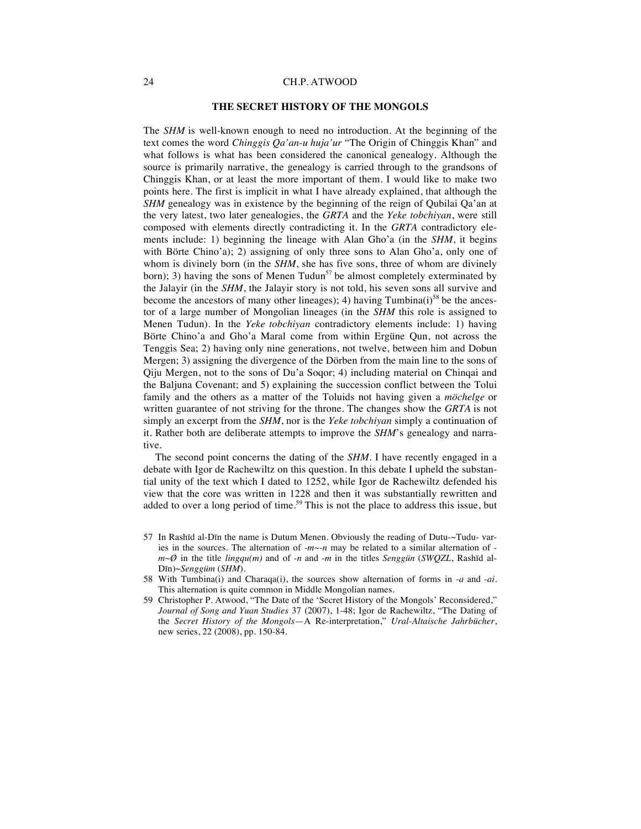#### **THE SECRET HISTORY OF THE MONGOLS**

The *SHM* is well-known enough to need no introduction. At the beginning of the text comes the word *Chinggis Qa'an-u huja'ur* "The Origin of Chinggis Khan" and what follows is what has been considered the canonical genealogy. Although the source is primarily narrative, the genealogy is carried through to the grandsons of Chinggis Khan, or at least the more important of them. I would like to make two points here. The first is implicit in what I have already explained, that although the *SHM* genealogy was in existence by the beginning of the reign of Qubilai Qa'an at the very latest, two later genealogies, the *GRTA* and the *Yeke tobchiyan*, were still composed with elements directly contradicting it. In the *GRTA* contradictory elements include: 1) beginning the lineage with Alan Gho'a (in the *SHM*, it begins with Börte Chino'a); 2) assigning of only three sons to Alan Gho'a, only one of whom is divinely born (in the *SHM*, she has five sons, three of whom are divinely born); 3) having the sons of Menen Tudun<sup>57</sup> be almost completely exterminated by the Jalayir (in the *SHM*, the Jalayir story is not told, his seven sons all survive and become the ancestors of many other lineages); 4) having  $Tumbina(i)^{58}$  be the ancestor of a large number of Mongolian lineages (in the *SHM* this role is assigned to Menen Tudun). In the *Yeke tobchiyan* contradictory elements include: 1) having Börte Chino'a and Gho'a Maral come from within Ergüne Qun, not across the Tenggis Sea; 2) having only nine generations, not twelve, between him and Dobun Mergen; 3) assigning the divergence of the Dörben from the main line to the sons of Qiju Mergen, not to the sons of Du'a Soqor; 4) including material on Chinqai and the Baljuna Covenant; and 5) explaining the succession conflict between the Tolui family and the others as a matter of the Toluids not having given a *möchelge* or written guarantee of not striving for the throne. The changes show the *GRTA* is not simply an excerpt from the *SHM*, nor is the *Yeke tobchiyan* simply a continuation of it. Rather both are deliberate attempts to improve the *SHM*'s genealogy and narrative.

The second point concerns the dating of the *SHM*. I have recently engaged in a debate with Igor de Rachewiltz on this question. In this debate I upheld the substantial unity of the text which I dated to 1252, while Igor de Rachewiltz defended his view that the core was written in 1228 and then it was substantially rewritten and added to over a long period of time.<sup>59</sup> This is not the place to address this issue, but

- 57 In Rashīd al-Dīn the name is Dutum Menen. Obviously the reading of Dutu-~Tudu- varies in the sources. The alternation of *-m~-n* may be related to a similar alternation of  *m~Ø* in the title *lingqu(m)* and of *-n* and *-m* in the titles *Senggün* (*SWQZL*, Rashīd al-Dīn)~*Senggüm* (*SHM*).
- 58 With Tumbina(i) and Charaqa(i), the sources show alternation of forms in *-a* and *-ai*. This alternation is quite common in Middle Mongolian names.
- 59 Christopher P. Atwood, "The Date of the 'Secret History of the Mongols' Reconsidered," *Journal of Song and Yuan Studies* 37 (2007), 1-48; Igor de Rachewiltz, "The Dating of the *Secret History of the Mongols*—A Re-interpretation," *Ural-Altaische Jahrbücher*, new series, 22 (2008), pp. 150-84.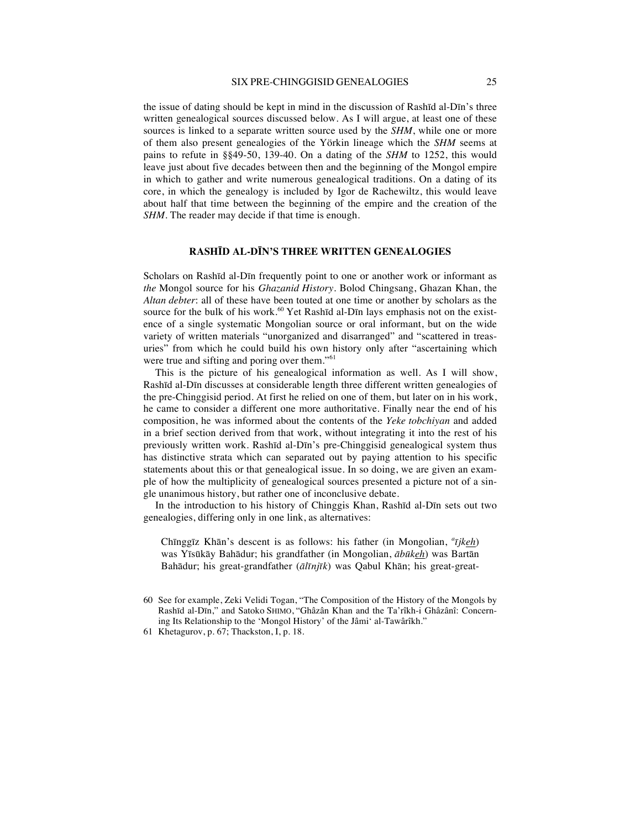#### SIX PRE-CHINGGISID GENEALOGIES 25

the issue of dating should be kept in mind in the discussion of Rashīd al-Dīn's three written genealogical sources discussed below. As I will argue, at least one of these sources is linked to a separate written source used by the *SHM*, while one or more of them also present genealogies of the Yörkin lineage which the *SHM* seems at pains to refute in §§49-50, 139-40. On a dating of the *SHM* to 1252, this would leave just about five decades between then and the beginning of the Mongol empire in which to gather and write numerous genealogical traditions. On a dating of its core, in which the genealogy is included by Igor de Rachewiltz, this would leave about half that time between the beginning of the empire and the creation of the *SHM*. The reader may decide if that time is enough.

#### **RASHĪD AL-DĪN'S THREE WRITTEN GENEALOGIES**

Scholars on Rashīd al-Dīn frequently point to one or another work or informant as *the* Mongol source for his *Ghazanid History*. Bolod Chingsang, Ghazan Khan, the *Altan debter*: all of these have been touted at one time or another by scholars as the source for the bulk of his work.<sup>60</sup> Yet Rashīd al-Dīn lays emphasis not on the existence of a single systematic Mongolian source or oral informant, but on the wide variety of written materials "unorganized and disarranged" and "scattered in treasuries" from which he could build his own history only after "ascertaining which were true and sifting and poring over them."<sup>61</sup>

This is the picture of his genealogical information as well. As I will show, Rashīd al-Dīn discusses at considerable length three different written genealogies of the pre-Chinggisid period. At first he relied on one of them, but later on in his work, he came to consider a different one more authoritative. Finally near the end of his composition, he was informed about the contents of the *Yeke tobchiyan* and added in a brief section derived from that work, without integrating it into the rest of his previously written work. Rashīd al-Dīn's pre-Chinggisid genealogical system thus has distinctive strata which can separated out by paying attention to his specific statements about this or that genealogical issue. In so doing, we are given an example of how the multiplicity of genealogical sources presented a picture not of a single unanimous history, but rather one of inconclusive debate.

In the introduction to his history of Chinggis Khan, Rashīd al-Dīn sets out two genealogies, differing only in one link, as alternatives:

Chīnggīz Khān's descent is as follows: his father (in Mongolian, *<sup>a</sup> ījkeh*) was Yīsūkāy Bahādur; his grandfather (in Mongolian, *ābūkeh*) was Bartān Bahādur; his great-grandfather (*ālīnjīk*) was Qabul Khān; his great-great-

<sup>60</sup> See for example, Zeki Velidi Togan, "The Composition of the History of the Mongols by Rashīd al-Dīn," and Satoko SHIMO, "Ghâzân Khan and the Ta'rîkh-i Ghâzânî: Concerning Its Relationship to the 'Mongol History' of the Jâmi' al-Tawârîkh."

<sup>61</sup> Khetagurov, p. 67; Thackston, I, p. 18.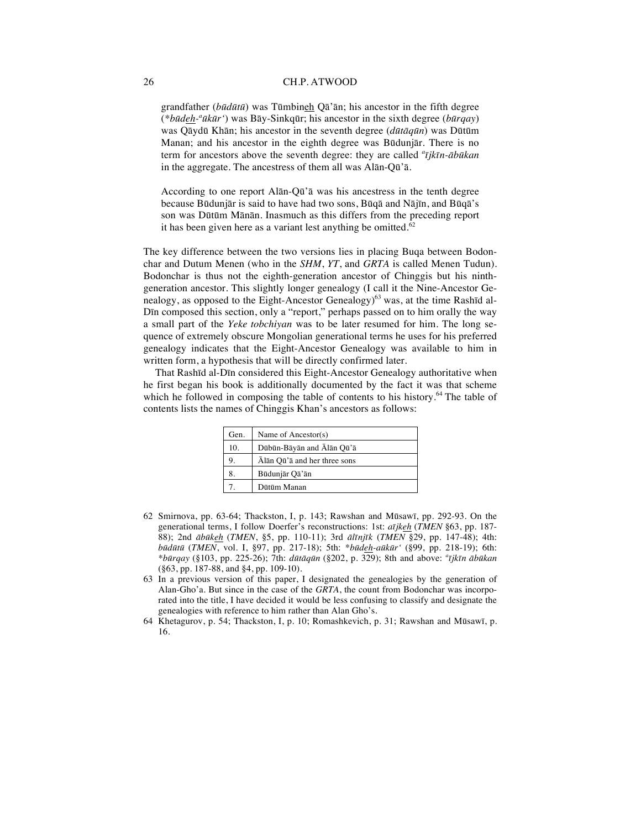grandfather (*būdūtū*) was Tūmbineh Qā'ān; his ancestor in the fifth degree (*\*būdeh-a ūkūr'*) was Bāy-Sinkqūr; his ancestor in the sixth degree (*būrqay*) was Qāydū Khān; his ancestor in the seventh degree (*dūtāqūn*) was Dūtūm Manan; and his ancestor in the eighth degree was Būdunjār. There is no term for ancestors above the seventh degree: they are called *<sup>a</sup> ījkīn-ābūkan*  in the aggregate. The ancestress of them all was Alān-Qū'ā.

According to one report Alān-Qū'ā was his ancestress in the tenth degree because Būdunjār is said to have had two sons, Būqā and Nājīn, and Būqā's son was Dūtūm Mānān. Inasmuch as this differs from the preceding report it has been given here as a variant lest anything be omitted. $62$ 

The key difference between the two versions lies in placing Buqa between Bodonchar and Dutum Menen (who in the *SHM*, *YT*, and *GRTA* is called Menen Tudun). Bodonchar is thus not the eighth-generation ancestor of Chinggis but his ninthgeneration ancestor. This slightly longer genealogy (I call it the Nine-Ancestor Genealogy, as opposed to the Eight-Ancestor Genealogy)<sup>63</sup> was, at the time Rashīd al-Dīn composed this section, only a "report," perhaps passed on to him orally the way a small part of the *Yeke tobchiyan* was to be later resumed for him. The long sequence of extremely obscure Mongolian generational terms he uses for his preferred genealogy indicates that the Eight-Ancestor Genealogy was available to him in written form, a hypothesis that will be directly confirmed later.

That Rashīd al-Dīn considered this Eight-Ancestor Genealogy authoritative when he first began his book is additionally documented by the fact it was that scheme which he followed in composing the table of contents to his history.<sup>64</sup> The table of contents lists the names of Chinggis Khan's ancestors as follows:

| Gen. | Name of Ancestor(s)          |
|------|------------------------------|
| 10.  | Dūbūn-Bāyān and Ālān Qū'ā    |
|      | Alān Qū'ā and her three sons |
|      | Būdunjār Qā'ān               |
|      | Dütüm Manan                  |

- 62 Smirnova, pp. 63-64; Thackston, I, p. 143; Rawshan and Mūsawī, pp. 292-93. On the generational terms, I follow Doerfer's reconstructions: 1st: *aījkeh* (*TMEN* §63, pp. 187- 88); 2nd *ābūkeh* (*TMEN*, §5, pp. 110-11); 3rd *ālīnjīk* (*TMEN* §29, pp. 147-48); 4th: *būdūtū* (*TMEN*, vol. I, §97, pp. 217-18); 5th: \**būdeh-aūkūr'* (§99, pp. 218-19); 6th: *\*būrqay* (§103, pp. 225-26); 7th: *dūtāqūn* (§202, p. 329); 8th and above: *<sup>a</sup> ījkīn ābūkan*  (§63, pp. 187-88, and §4, pp. 109-10).
- 63 In a previous version of this paper, I designated the genealogies by the generation of Alan-Gho'a. But since in the case of the *GRTA*, the count from Bodonchar was incorporated into the title, I have decided it would be less confusing to classify and designate the genealogies with reference to him rather than Alan Gho's.
- 64 Khetagurov, p. 54; Thackston, I, p. 10; Romashkevich, p. 31; Rawshan and Mūsawī, p. 16.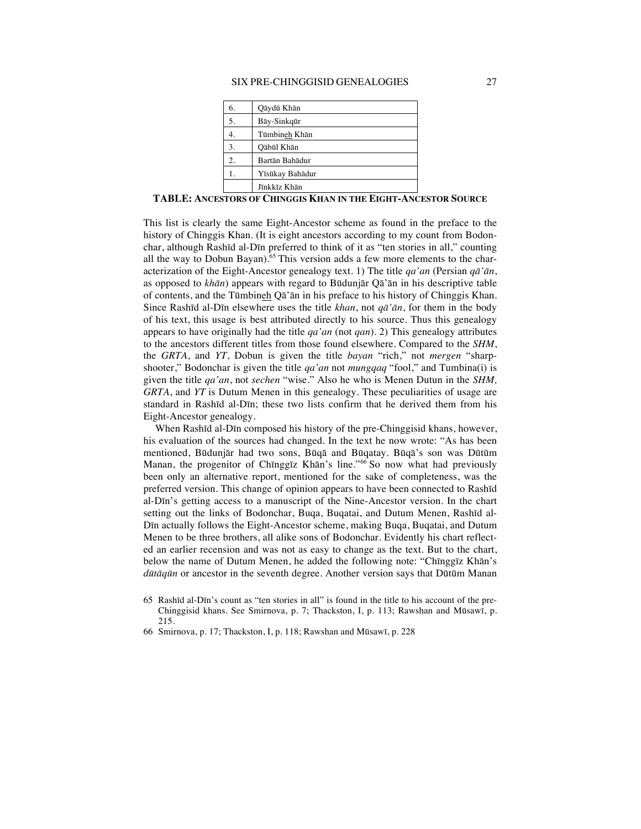#### SIX PRE-CHINGGISID GENEALOGIES 27

| 6. | Qāydū Khān      |
|----|-----------------|
| 5. | Bāy-Sinkqūr     |
|    | Tūmbineh Khān   |
| 3. | Qābūl Khān      |
| 2. | Bartān Bahādur  |
|    | Yīsūkay Bahādur |
|    | Jīnkkīz Khān    |

**TABLE: ANCESTORS OF CHINGGIS KHAN IN THE EIGHT-ANCESTOR SOURCE**

This list is clearly the same Eight-Ancestor scheme as found in the preface to the history of Chinggis Khan. (It is eight ancestors according to my count from Bodonchar, although Rashīd al-Dīn preferred to think of it as "ten stories in all," counting all the way to Dobun Bayan).<sup>65</sup> This version adds a few more elements to the characterization of the Eight-Ancestor genealogy text. 1) The title *qa'an* (Persian *qā'ān*, as opposed to *khān*) appears with regard to Būdunjār Qā'ān in his descriptive table of contents, and the Tūmbineh Qā'ān in his preface to his history of Chinggis Khan. Since Rashīd al-Dīn elsewhere uses the title *khan*, not *qā'ān*, for them in the body of his text, this usage is best attributed directly to his source. Thus this genealogy appears to have originally had the title *qa'an* (not *qan*). 2) This genealogy attributes to the ancestors different titles from those found elsewhere. Compared to the *SHM*, the *GRTA*, and *YT*, Dobun is given the title *bayan* "rich," not *mergen* "sharpshooter," Bodonchar is given the title *qa'an* not *mungqaq* "fool," and Tumbina(i) is given the title *qa'an*, not *sechen* "wise." Also he who is Menen Dutun in the *SHM, GRTA*, and *YT* is Dutum Menen in this genealogy. These peculiarities of usage are standard in Rashīd al-Dīn; these two lists confirm that he derived them from his Eight-Ancestor genealogy.

When Rashīd al-Dīn composed his history of the pre-Chinggisid khans, however, his evaluation of the sources had changed. In the text he now wrote: "As has been mentioned, Būdunjār had two sons, Būqā and Būqatay. Būqā's son was Dūtūm Manan, the progenitor of Chinggiz Khan's line."<sup>66</sup> So now what had previously been only an alternative report, mentioned for the sake of completeness, was the preferred version. This change of opinion appears to have been connected to Rashīd al-Dīn's getting access to a manuscript of the Nine-Ancestor version. In the chart setting out the links of Bodonchar, Buqa, Buqatai, and Dutum Menen, Rashīd al-Dīn actually follows the Eight-Ancestor scheme, making Buqa, Buqatai, and Dutum Menen to be three brothers, all alike sons of Bodonchar. Evidently his chart reflected an earlier recension and was not as easy to change as the text. But to the chart, below the name of Dutum Menen, he added the following note: "Chīnggīz Khān's *dūtāqūn* or ancestor in the seventh degree. Another version says that Dūtūm Manan

- 65 Rashīd al-Dīn's count as "ten stories in all" is found in the title to his account of the pre-Chinggisid khans. See Smirnova, p. 7; Thackston, I, p. 113; Rawshan and Mūsawī, p. 215.
- 66 Smirnova, p. 17; Thackston, I, p. 118; Rawshan and Mūsawī, p. 228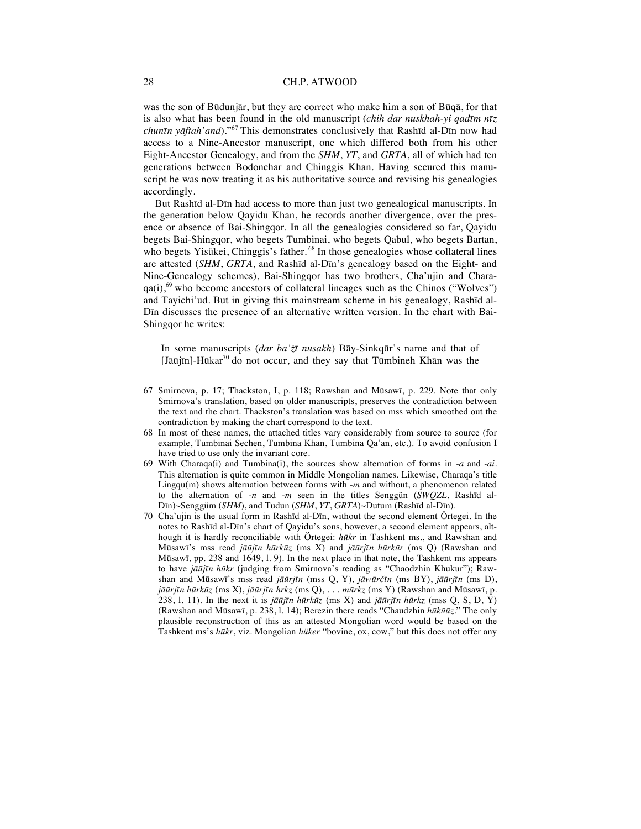was the son of Būdunjār, but they are correct who make him a son of Būqā, for that is also what has been found in the old manuscript (*chih dar nuskhah-yi qadīm nīz chunīn yāftah'and*)."<sup>67</sup> This demonstrates conclusively that Rashīd al-Dīn now had access to a Nine-Ancestor manuscript, one which differed both from his other Eight-Ancestor Genealogy, and from the *SHM*, *YT*, and *GRTA*, all of which had ten generations between Bodonchar and Chinggis Khan. Having secured this manuscript he was now treating it as his authoritative source and revising his genealogies accordingly.

But Rashīd al-Dīn had access to more than just two genealogical manuscripts. In the generation below Qayidu Khan, he records another divergence, over the presence or absence of Bai-Shingqor. In all the genealogies considered so far, Qayidu begets Bai-Shingqor, who begets Tumbinai, who begets Qabul, who begets Bartan, who begets Yisükei, Chinggis's father.<sup>68</sup> In those genealogies whose collateral lines are attested (*SHM*, *GRTA*, and Rashīd al-Dīn's genealogy based on the Eight- and Nine-Genealogy schemes), Bai-Shingqor has two brothers, Cha'ujin and Chara $qa(i)$ ,<sup>69</sup> who become ancestors of collateral lineages such as the Chinos ("Wolves") and Tayichi'ud. But in giving this mainstream scheme in his genealogy, Rashīd al-Dīn discusses the presence of an alternative written version. In the chart with Bai-Shingqor he writes:

In some manuscripts (*dar ba'żī nusakh*) Bāy-Sinkqūr's name and that of  $J\bar{a}\bar{a}$   $\bar{a}$  in ]-Hūkar<sup>70</sup> do not occur, and they say that Tūmbineh Khān was the

- 67 Smirnova, p. 17; Thackston, I, p. 118; Rawshan and Mūsawī, p. 229. Note that only Smirnova's translation, based on older manuscripts, preserves the contradiction between the text and the chart. Thackston's translation was based on mss which smoothed out the contradiction by making the chart correspond to the text.
- 68 In most of these names, the attached titles vary considerably from source to source (for example, Tumbinai Sechen, Tumbina Khan, Tumbina Qa'an, etc.). To avoid confusion I have tried to use only the invariant core.
- 69 With Charaqa(i) and Tumbina(i), the sources show alternation of forms in *-a* and *-ai*. This alternation is quite common in Middle Mongolian names. Likewise, Charaqa's title Lingqu(m) shows alternation between forms with -*m* and without, a phenomenon related to the alternation of -*n* and -*m* seen in the titles Senggün (*SWQZL*, Rashīd al-Dīn)~Senggüm (*SHM*), and Tudun (*SHM*, *YT*, *GRTA*)~Dutum (Rashīd al-Dīn).
- 70 Cha'ujin is the usual form in Rashīd al-Dīn, without the second element Örtegei. In the notes to Rashīd al-Dīn's chart of Qayidu's sons, however, a second element appears, although it is hardly reconciliable with Örtegei: *hūkr* in Tashkent ms., and Rawshan and Mūsawī's mss read *jāūjīn hūrkūz* (ms X) and *jāūrjīn hūrkūr* (ms Q) (Rawshan and Mūsawī, pp. 238 and 1649, l. 9). In the next place in that note, the Tashkent ms appears to have *jāūjīn hūkr* (judging from Smirnova's reading as "Chaodzhin Khukur"); Rawshan and Mūsawī's mss read *jāūrjīn* (mss Q, Y), *jāwūrčīn* (ms BY), *jāūrjīn* (ms D), *jāūrjīn hūrkūz* (ms X), *jāūrjīn hrkz* (ms Q), . . . *mūrkz* (ms Y) (Rawshan and Mūsawī, p. 238, 1. 11). In the next it is *jāūjīn hūrkūz* (ms X) and *jāūrjīn hūrkz* (mss Q, S, D, Y) (Rawshan and Mūsawī, p. 238, l. 14); Berezin there reads "Chaudzhin *hūkūūz*." The only plausible reconstruction of this as an attested Mongolian word would be based on the Tashkent ms's *hūkr*, viz. Mongolian *hüker* "bovine, ox, cow," but this does not offer any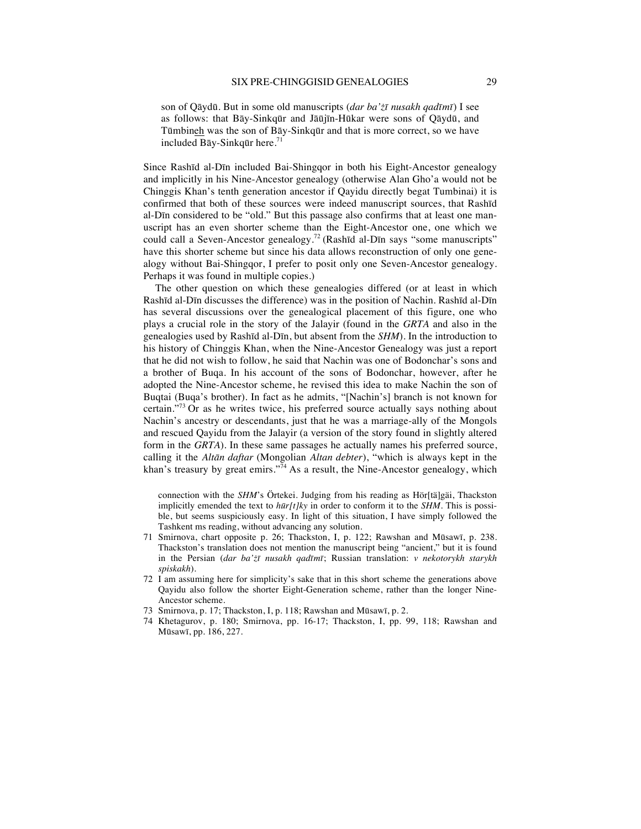son of Qāydū. But in some old manuscripts (*dar ba'żī nusakh qadīmī*) I see as follows: that Bāy-Sinkqūr and Jāūjīn-Hūkar were sons of Qāydū, and Tūmbineh was the son of Bāy-Sinkqūr and that is more correct, so we have included Bāy-Sinkqūr here.<sup>71</sup>

Since Rashīd al-Dīn included Bai-Shingqor in both his Eight-Ancestor genealogy and implicitly in his Nine-Ancestor genealogy (otherwise Alan Gho'a would not be Chinggis Khan's tenth generation ancestor if Qayidu directly begat Tumbinai) it is confirmed that both of these sources were indeed manuscript sources, that Rashīd al-Dīn considered to be "old." But this passage also confirms that at least one manuscript has an even shorter scheme than the Eight-Ancestor one, one which we could call a Seven-Ancestor genealogy.<sup>72</sup> (Rashīd al-Dīn says "some manuscripts" have this shorter scheme but since his data allows reconstruction of only one genealogy without Bai-Shingqor, I prefer to posit only one Seven-Ancestor genealogy. Perhaps it was found in multiple copies.)

The other question on which these genealogies differed (or at least in which Rashīd al-Dīn discusses the difference) was in the position of Nachin. Rashīd al-Dīn has several discussions over the genealogical placement of this figure, one who plays a crucial role in the story of the Jalayir (found in the *GRTA* and also in the genealogies used by Rashīd al-Dīn, but absent from the *SHM*). In the introduction to his history of Chinggis Khan, when the Nine-Ancestor Genealogy was just a report that he did not wish to follow, he said that Nachin was one of Bodonchar's sons and a brother of Buqa. In his account of the sons of Bodonchar, however, after he adopted the Nine-Ancestor scheme, he revised this idea to make Nachin the son of Buqtai (Buqa's brother). In fact as he admits, "[Nachin's] branch is not known for certain."<sup>73</sup> Or as he writes twice, his preferred source actually says nothing about Nachin's ancestry or descendants, just that he was a marriage-ally of the Mongols and rescued Qayidu from the Jalayir (a version of the story found in slightly altered form in the *GRTA*). In these same passages he actually names his preferred source, calling it the *Altān daftar* (Mongolian *Altan debter*), "which is always kept in the khan's treasury by great emirs."<sup>74</sup> As a result, the Nine-Ancestor genealogy, which

connection with the *SHM*'s Örtekei. Judging from his reading as Hör[tä]gäi, Thackston implicitly emended the text to *hūr[t]ky* in order to conform it to the *SHM*. This is possible, but seems suspiciously easy. In light of this situation, I have simply followed the Tashkent ms reading, without advancing any solution.

- 71 Smirnova, chart opposite p. 26; Thackston, I, p. 122; Rawshan and Mūsawī, p. 238. Thackston's translation does not mention the manuscript being "ancient," but it is found in the Persian (*dar ba'żī nusakh qadīmī*; Russian translation: *v nekotorykh starykh spiskakh*).
- 72 I am assuming here for simplicity's sake that in this short scheme the generations above Qayidu also follow the shorter Eight-Generation scheme, rather than the longer Nine-Ancestor scheme.
- 73 Smirnova, p. 17; Thackston, I, p. 118; Rawshan and Mūsawī, p. 2.
- 74 Khetagurov, p. 180; Smirnova, pp. 16-17; Thackston, I, pp. 99, 118; Rawshan and Mūsawī, pp. 186, 227.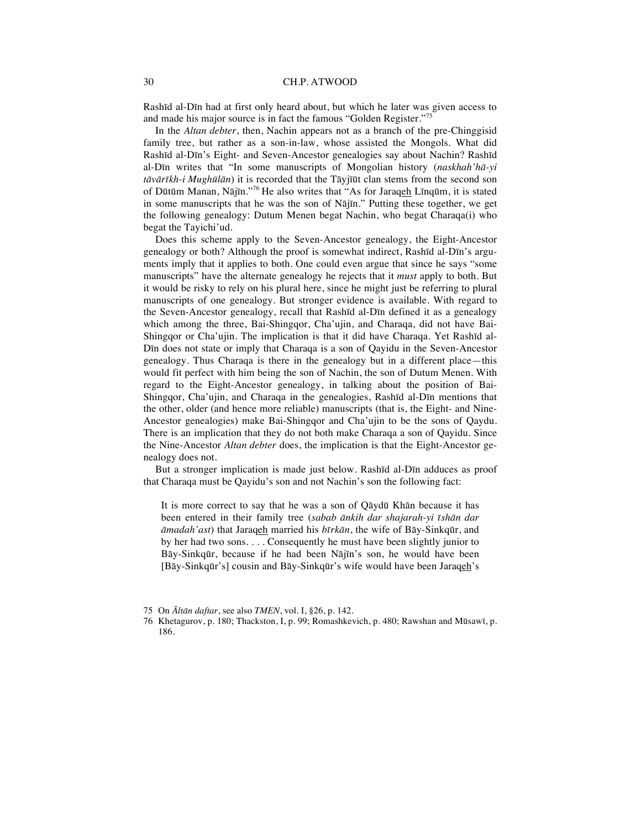Rashīd al-Dīn had at first only heard about, but which he later was given access to and made his major source is in fact the famous "Golden Register."<sup>75</sup>

In the *Altan debter*, then, Nachin appears not as a branch of the pre-Chinggisid family tree, but rather as a son-in-law, whose assisted the Mongols. What did Rashīd al-Dīn's Eight- and Seven-Ancestor genealogies say about Nachin? Rashīd al-Dīn writes that "In some manuscripts of Mongolian history (*naskhah'hā-yi tāvārīkh-i Mughūlān*) it is recorded that the Tāyjīūt clan stems from the second son of Dūtūm Manan, Nājīn."<sup>76</sup> He also writes that "As for Jaraqeh Līnqūm, it is stated in some manuscripts that he was the son of Nājīn." Putting these together, we get the following genealogy: Dutum Menen begat Nachin, who begat Charaqa(i) who begat the Tayichi'ud.

Does this scheme apply to the Seven-Ancestor genealogy, the Eight-Ancestor genealogy or both? Although the proof is somewhat indirect, Rashīd al-Dīn's arguments imply that it applies to both. One could even argue that since he says "some manuscripts" have the alternate genealogy he rejects that it *must* apply to both. But it would be risky to rely on his plural here, since he might just be referring to plural manuscripts of one genealogy. But stronger evidence is available. With regard to the Seven-Ancestor genealogy, recall that Rashīd al-Dīn defined it as a genealogy which among the three, Bai-Shingqor, Cha'ujin, and Charaqa, did not have Bai-Shingqor or Cha'ujin. The implication is that it did have Charaqa. Yet Rashīd al-Dīn does not state or imply that Charaqa is a son of Qayidu in the Seven-Ancestor genealogy. Thus Charaqa is there in the genealogy but in a different place—this would fit perfect with him being the son of Nachin, the son of Dutum Menen. With regard to the Eight-Ancestor genealogy, in talking about the position of Bai-Shingqor, Cha'ujin, and Charaqa in the genealogies, Rashīd al-Dīn mentions that the other, older (and hence more reliable) manuscripts (that is, the Eight- and Nine-Ancestor genealogies) make Bai-Shingqor and Cha'ujin to be the sons of Qaydu. There is an implication that they do not both make Charaqa a son of Qayidu. Since the Nine-Ancestor *Altan debter* does, the implication is that the Eight-Ancestor genealogy does not.

But a stronger implication is made just below. Rashīd al-Dīn adduces as proof that Charaqa must be Qayidu's son and not Nachin's son the following fact:

It is more correct to say that he was a son of Qāydū Khān because it has been entered in their family tree (*sabab ānkih dar shajarah-yi īshān dar āmadah'ast*) that Jaraqeh married his *bīrkān*, the wife of Bāy-Sinkqūr, and by her had two sons. . . . Consequently he must have been slightly junior to Bāy-Sinkqūr, because if he had been Nājīn's son, he would have been [Bāy-Sinkqūr's] cousin and Bāy-Sinkqūr's wife would have been Jaraqeh's

<sup>75</sup> On *Āltān daftar*, see also *TMEN*, vol. I, §26, p. 142.

<sup>76</sup> Khetagurov, p. 180; Thackston, I, p. 99; Romashkevich, p. 480; Rawshan and Mūsawī, p. 186.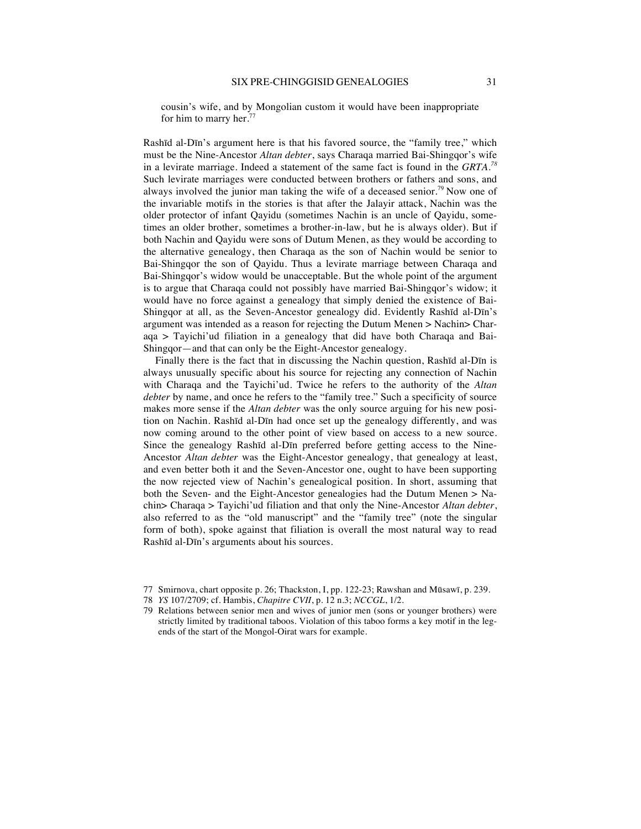cousin's wife, and by Mongolian custom it would have been inappropriate for him to marry her. $77$ 

Rashīd al-Dīn's argument here is that his favored source, the "family tree," which must be the Nine-Ancestor *Altan debter*, says Charaqa married Bai-Shingqor's wife in a levirate marriage. Indeed a statement of the same fact is found in the *GRTA.<sup>78</sup>* Such levirate marriages were conducted between brothers or fathers and sons, and always involved the junior man taking the wife of a deceased senior.<sup>79</sup> Now one of the invariable motifs in the stories is that after the Jalayir attack, Nachin was the older protector of infant Qayidu (sometimes Nachin is an uncle of Qayidu, sometimes an older brother, sometimes a brother-in-law, but he is always older). But if both Nachin and Qayidu were sons of Dutum Menen, as they would be according to the alternative genealogy, then Charaqa as the son of Nachin would be senior to Bai-Shingqor the son of Qayidu. Thus a levirate marriage between Charaqa and Bai-Shingqor's widow would be unacceptable. But the whole point of the argument is to argue that Charaqa could not possibly have married Bai-Shingqor's widow; it would have no force against a genealogy that simply denied the existence of Bai-Shingqor at all, as the Seven-Ancestor genealogy did. Evidently Rashīd al-Dīn's argument was intended as a reason for rejecting the Dutum Menen > Nachin> Charaqa > Tayichi'ud filiation in a genealogy that did have both Charaqa and Bai-Shingqor—and that can only be the Eight-Ancestor genealogy.

Finally there is the fact that in discussing the Nachin question, Rashīd al-Dīn is always unusually specific about his source for rejecting any connection of Nachin with Charaqa and the Tayichi'ud. Twice he refers to the authority of the *Altan debter* by name, and once he refers to the "family tree." Such a specificity of source makes more sense if the *Altan debter* was the only source arguing for his new position on Nachin. Rashīd al-Dīn had once set up the genealogy differently, and was now coming around to the other point of view based on access to a new source. Since the genealogy Rashīd al-Dīn preferred before getting access to the Nine-Ancestor *Altan debter* was the Eight-Ancestor genealogy, that genealogy at least, and even better both it and the Seven-Ancestor one, ought to have been supporting the now rejected view of Nachin's genealogical position. In short, assuming that both the Seven- and the Eight-Ancestor genealogies had the Dutum Menen > Nachin> Charaqa > Tayichi'ud filiation and that only the Nine-Ancestor *Altan debter*, also referred to as the "old manuscript" and the "family tree" (note the singular form of both), spoke against that filiation is overall the most natural way to read Rashīd al-Dīn's arguments about his sources.

<sup>77</sup> Smirnova, chart opposite p. 26; Thackston, I, pp. 122-23; Rawshan and Mūsawī, p. 239.

<sup>78</sup> *YS* 107/2709; cf. Hambis, *Chapitre CVII*, p. 12 n.3; *NCCGL*, 1/2.

<sup>79</sup> Relations between senior men and wives of junior men (sons or younger brothers) were strictly limited by traditional taboos. Violation of this taboo forms a key motif in the legends of the start of the Mongol-Oirat wars for example.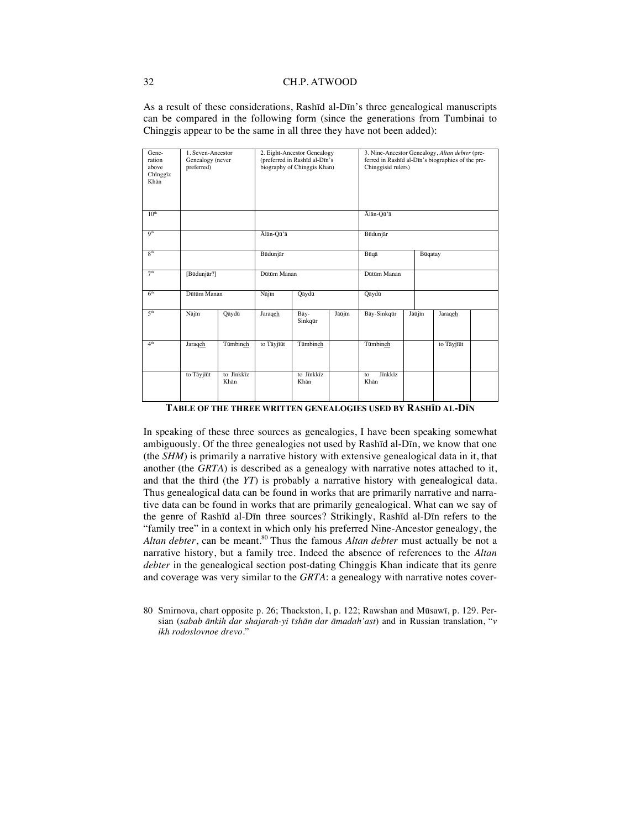As a result of these considerations, Rashīd al-Dīn's three genealogical manuscripts can be compared in the following form (since the generations from Tumbinai to Chinggis appear to be the same in all three they have not been added):

| Gene-<br>ration<br>above<br>Chīnggīz<br>Khān | 1. Seven-Ancestor<br>Genealogy (never<br>preferred) |                    | 2. Eight-Ancestor Genealogy<br>(preferred in Rashīd al-Dīn's<br>biography of Chinggis Khan) |                    | 3. Nine-Ancestor Genealogy, Altan debter (pre-<br>ferred in Rashīd al-Dīn's biographies of the pre-<br>Chinggisid rulers) |                       |        |            |  |
|----------------------------------------------|-----------------------------------------------------|--------------------|---------------------------------------------------------------------------------------------|--------------------|---------------------------------------------------------------------------------------------------------------------------|-----------------------|--------|------------|--|
| 10 <sup>th</sup>                             |                                                     |                    |                                                                                             |                    | Ālān-Qū'ā                                                                                                                 |                       |        |            |  |
| Q <sup>th</sup>                              |                                                     |                    | Ālān-Qū'ā                                                                                   |                    | Būdunjār                                                                                                                  |                       |        |            |  |
| R <sup>th</sup>                              |                                                     |                    | Būdunjār                                                                                    |                    |                                                                                                                           | Būqā                  |        | Būqatay    |  |
| 7 <sup>th</sup>                              | [Būdunjār?]                                         |                    | Dūtūm Manan                                                                                 |                    | Dütüm Manan                                                                                                               |                       |        |            |  |
| 6 <sup>th</sup>                              | Dütüm Manan                                         |                    | Nājīn                                                                                       | Qāydū              |                                                                                                                           | Qāydū                 |        |            |  |
| 5 <sup>th</sup>                              | Najīn                                               | Qāydū              | Jaraqeh                                                                                     | Bāy-<br>Sinkqūr    | Jāūjīn                                                                                                                    | Bāy-Sinkqūr           | Jāūjīn | Jaraqeh    |  |
| 4 <sup>th</sup>                              | Jaraqeh                                             | Tūmbineh           | to Tāyjīūt                                                                                  | Tūmbineh           |                                                                                                                           | Tümbineh              |        | to Tāyjīūt |  |
|                                              | to Tāyjīūt                                          | to Jīnkkīz<br>Khān |                                                                                             | to Jīnkkīz<br>Khān |                                                                                                                           | Jīnkkīz<br>to<br>Khān |        |            |  |

**TABLE OF THE THREE WRITTEN GENEALOGIES USED BY RASHĪD AL-DĪN**

In speaking of these three sources as genealogies, I have been speaking somewhat ambiguously. Of the three genealogies not used by Rashīd al-Dīn, we know that one (the *SHM*) is primarily a narrative history with extensive genealogical data in it, that another (the *GRTA*) is described as a genealogy with narrative notes attached to it, and that the third (the *YT*) is probably a narrative history with genealogical data. Thus genealogical data can be found in works that are primarily narrative and narrative data can be found in works that are primarily genealogical. What can we say of the genre of Rashīd al-Dīn three sources? Strikingly, Rashīd al-Dīn refers to the "family tree" in a context in which only his preferred Nine-Ancestor genealogy, the Altan debter, can be meant.<sup>80</sup> Thus the famous *Altan debter* must actually be not a narrative history, but a family tree. Indeed the absence of references to the *Altan debter* in the genealogical section post-dating Chinggis Khan indicate that its genre and coverage was very similar to the *GRTA*: a genealogy with narrative notes cover-

80 Smirnova, chart opposite p. 26; Thackston, I, p. 122; Rawshan and Mūsawī, p. 129. Persian (*sabab ānkih dar shajarah-yi īshān dar āmadah'ast*) and in Russian translation, "*v ikh rodoslovnoe drevo.*"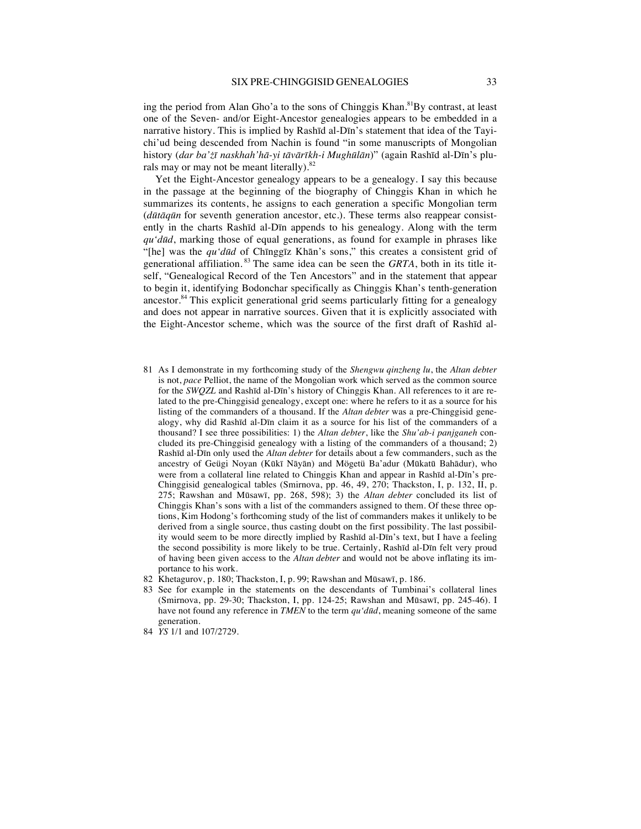ing the period from Alan Gho'a to the sons of Chinggis Khan.<sup>81</sup>By contrast, at least one of the Seven- and/or Eight-Ancestor genealogies appears to be embedded in a narrative history. This is implied by Rashīd al-Dīn's statement that idea of the Tayichi'ud being descended from Nachin is found "in some manuscripts of Mongolian history (*dar ba'żī naskhah'hā-yi tāvārīkh-i Mughūlān*)" (again Rashīd al-Dīn's plurals may or may not be meant literally). $82$ 

Yet the Eight-Ancestor genealogy appears to be a genealogy. I say this because in the passage at the beginning of the biography of Chinggis Khan in which he summarizes its contents, he assigns to each generation a specific Mongolian term (*dūtāqūn* for seventh generation ancestor, etc.). These terms also reappear consistently in the charts Rashīd al-Dīn appends to his genealogy. Along with the term *qu'dūd*, marking those of equal generations, as found for example in phrases like "[he] was the *qu'dūd* of Chīnggīz Khān's sons," this creates a consistent grid of generational affiliation. <sup>83</sup> The same idea can be seen the *GRTA*, both in its title itself, "Genealogical Record of the Ten Ancestors" and in the statement that appear to begin it, identifying Bodonchar specifically as Chinggis Khan's tenth-generation ancestor.84 This explicit generational grid seems particularly fitting for a genealogy and does not appear in narrative sources. Given that it is explicitly associated with the Eight-Ancestor scheme, which was the source of the first draft of Rashīd al-

- 81 As I demonstrate in my forthcoming study of the *Shengwu qinzheng lu*, the *Altan debter*  is not, *pace* Pelliot, the name of the Mongolian work which served as the common source for the *SWQZL* and Rashīd al-Dīn's history of Chinggis Khan. All references to it are related to the pre-Chinggisid genealogy, except one: where he refers to it as a source for his listing of the commanders of a thousand. If the *Altan debter* was a pre-Chinggisid genealogy, why did Rashīd al-Dīn claim it as a source for his list of the commanders of a thousand? I see three possibilities: 1) the *Altan debter*, like the *Shu'ab-i panjganeh* concluded its pre-Chinggisid genealogy with a listing of the commanders of a thousand; 2) Rashīd al-Dīn only used the *Altan debter* for details about a few commanders, such as the ancestry of Geügi Noyan (Kūkī Nāyān) and Mögetü Ba'adur (Mūkatū Bahādur), who were from a collateral line related to Chinggis Khan and appear in Rashīd al-Dīn's pre-Chinggisid genealogical tables (Smirnova, pp. 46, 49, 270; Thackston, I, p. 132, II, p. 275; Rawshan and Mūsawī, pp. 268, 598); 3) the *Altan debter* concluded its list of Chinggis Khan's sons with a list of the commanders assigned to them. Of these three options, Kim Hodong's forthcoming study of the list of commanders makes it unlikely to be derived from a single source, thus casting doubt on the first possibility. The last possibility would seem to be more directly implied by Rashīd al-Dīn's text, but I have a feeling the second possibility is more likely to be true. Certainly, Rashīd al-Dīn felt very proud of having been given access to the *Altan debter* and would not be above inflating its importance to his work.
- 82 Khetagurov, p. 180; Thackston, I, p. 99; Rawshan and Mūsawī, p. 186*.*
- 83 See for example in the statements on the descendants of Tumbinai's collateral lines (Smirnova, pp. 29-30; Thackston, I, pp. 124-25; Rawshan and Mūsawī, pp. 245-46). I have not found any reference in *TMEN* to the term *qu'dūd*, meaning someone of the same generation.
- 84 *YS* 1/1 and 107/2729.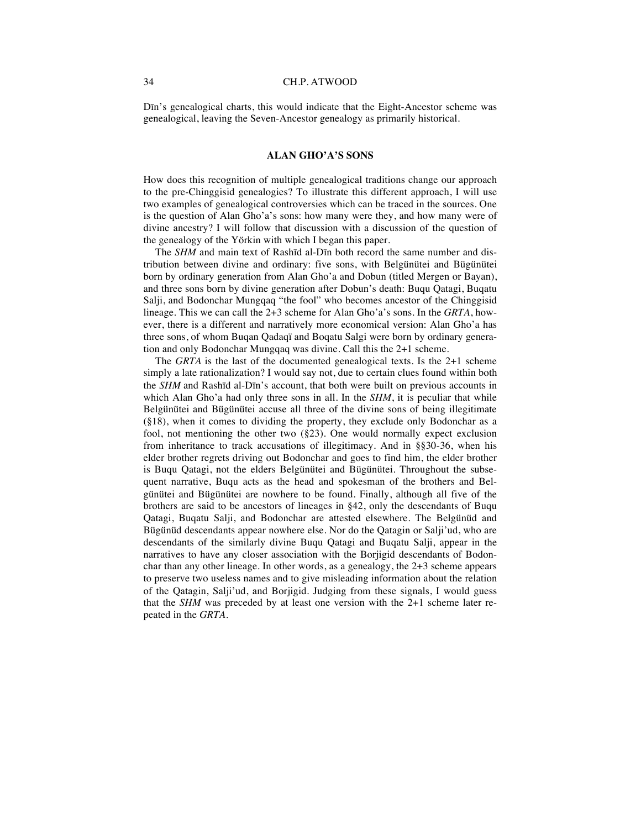Dīn's genealogical charts, this would indicate that the Eight-Ancestor scheme was genealogical, leaving the Seven-Ancestor genealogy as primarily historical.

#### **ALAN GHO'A'S SONS**

How does this recognition of multiple genealogical traditions change our approach to the pre-Chinggisid genealogies? To illustrate this different approach, I will use two examples of genealogical controversies which can be traced in the sources. One is the question of Alan Gho'a's sons: how many were they, and how many were of divine ancestry? I will follow that discussion with a discussion of the question of the genealogy of the Yörkin with which I began this paper.

The *SHM* and main text of Rashīd al-Dīn both record the same number and distribution between divine and ordinary: five sons, with Belgünütei and Bügünütei born by ordinary generation from Alan Gho'a and Dobun (titled Mergen or Bayan), and three sons born by divine generation after Dobun's death: Buqu Qatagi, Buqatu Salji, and Bodonchar Mungqaq "the fool" who becomes ancestor of the Chinggisid lineage. This we can call the 2+3 scheme for Alan Gho'a's sons. In the *GRTA*, however, there is a different and narratively more economical version: Alan Gho'a has three sons, of whom Buqan Qadaqï and Boqatu Salgi were born by ordinary generation and only Bodonchar Mungqaq was divine. Call this the 2+1 scheme.

The *GRTA* is the last of the documented genealogical texts. Is the 2+1 scheme simply a late rationalization? I would say not, due to certain clues found within both the *SHM* and Rashīd al-Dīn's account, that both were built on previous accounts in which Alan Gho'a had only three sons in all. In the *SHM*, it is peculiar that while Belgünütei and Bügünütei accuse all three of the divine sons of being illegitimate (§18), when it comes to dividing the property, they exclude only Bodonchar as a fool, not mentioning the other two (§23). One would normally expect exclusion from inheritance to track accusations of illegitimacy. And in §§30-36, when his elder brother regrets driving out Bodonchar and goes to find him, the elder brother is Buqu Qatagi, not the elders Belgünütei and Bügünütei. Throughout the subsequent narrative, Buqu acts as the head and spokesman of the brothers and Belgünütei and Bügünütei are nowhere to be found. Finally, although all five of the brothers are said to be ancestors of lineages in §42, only the descendants of Buqu Qatagi, Buqatu Salji, and Bodonchar are attested elsewhere. The Belgünüd and Bügünüd descendants appear nowhere else. Nor do the Qatagin or Salji'ud, who are descendants of the similarly divine Buqu Qatagi and Buqatu Salji, appear in the narratives to have any closer association with the Borjigid descendants of Bodonchar than any other lineage. In other words, as a genealogy, the 2+3 scheme appears to preserve two useless names and to give misleading information about the relation of the Qatagin, Salji'ud, and Borjigid. Judging from these signals, I would guess that the *SHM* was preceded by at least one version with the 2+1 scheme later repeated in the *GRTA*.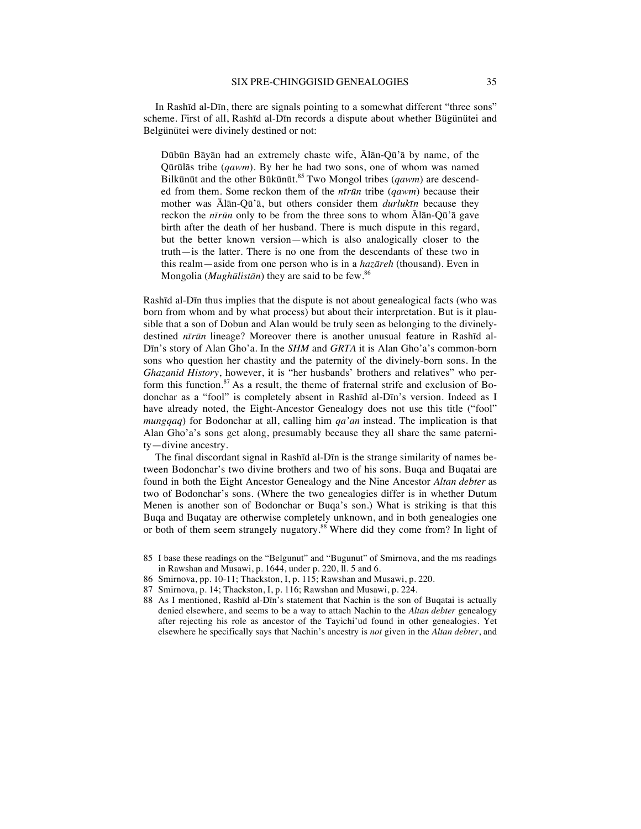In Rashīd al-Dīn, there are signals pointing to a somewhat different "three sons" scheme. First of all, Rashīd al-Dīn records a dispute about whether Bügünütei and Belgünütei were divinely destined or not:

Dūbūn Bāyān had an extremely chaste wife, Ālān-Qū'ā by name, of the Qūrūlās tribe (*qawm*). By her he had two sons, one of whom was named Bilkūnūt and the other Būkūnūt.<sup>85</sup> Two Mongol tribes (*qawm*) are descended from them. Some reckon them of the *nīrūn* tribe (*qawm*) because their mother was Ālān-Qū'ā, but others consider them *durlukīn* because they reckon the *nīrūn* only to be from the three sons to whom Ālān-Qū'ā gave birth after the death of her husband. There is much dispute in this regard, but the better known version—which is also analogically closer to the truth—is the latter. There is no one from the descendants of these two in this realm—aside from one person who is in a *hazāreh* (thousand). Even in Mongolia (*Mughūlistān*) they are said to be few.<sup>86</sup>

Rashīd al-Dīn thus implies that the dispute is not about genealogical facts (who was born from whom and by what process) but about their interpretation. But is it plausible that a son of Dobun and Alan would be truly seen as belonging to the divinelydestined *nīrūn* lineage? Moreover there is another unusual feature in Rashīd al-Dīn's story of Alan Gho'a. In the *SHM* and *GRTA* it is Alan Gho'a's common-born sons who question her chastity and the paternity of the divinely-born sons. In the *Ghazanid History*, however, it is "her husbands' brothers and relatives" who perform this function.<sup>87</sup> As a result, the theme of fraternal strife and exclusion of Bodonchar as a "fool" is completely absent in Rashīd al-Dīn's version. Indeed as I have already noted, the Eight-Ancestor Genealogy does not use this title ("fool" *mungqaq*) for Bodonchar at all, calling him *qa'an* instead. The implication is that Alan Gho'a's sons get along, presumably because they all share the same paternity—divine ancestry.

The final discordant signal in Rashīd al-Dīn is the strange similarity of names between Bodonchar's two divine brothers and two of his sons. Buqa and Buqatai are found in both the Eight Ancestor Genealogy and the Nine Ancestor *Altan debter* as two of Bodonchar's sons. (Where the two genealogies differ is in whether Dutum Menen is another son of Bodonchar or Buqa's son.) What is striking is that this Buqa and Buqatay are otherwise completely unknown, and in both genealogies one or both of them seem strangely nugatory.<sup>88</sup> Where did they come from? In light of

- 85 I base these readings on the "Belgunut" and "Bugunut" of Smirnova, and the ms readings in Rawshan and Musawi, p. 1644, under p. 220, ll. 5 and 6.
- 86 Smirnova, pp. 10-11; Thackston, I, p. 115; Rawshan and Musawi, p. 220.
- 87 Smirnova, p. 14; Thackston, I, p. 116; Rawshan and Musawi, p. 224.
- 88 As I mentioned, Rashīd al-Dīn's statement that Nachin is the son of Buqatai is actually denied elsewhere, and seems to be a way to attach Nachin to the *Altan debter* genealogy after rejecting his role as ancestor of the Tayichi'ud found in other genealogies. Yet elsewhere he specifically says that Nachin's ancestry is *not* given in the *Altan debter*, and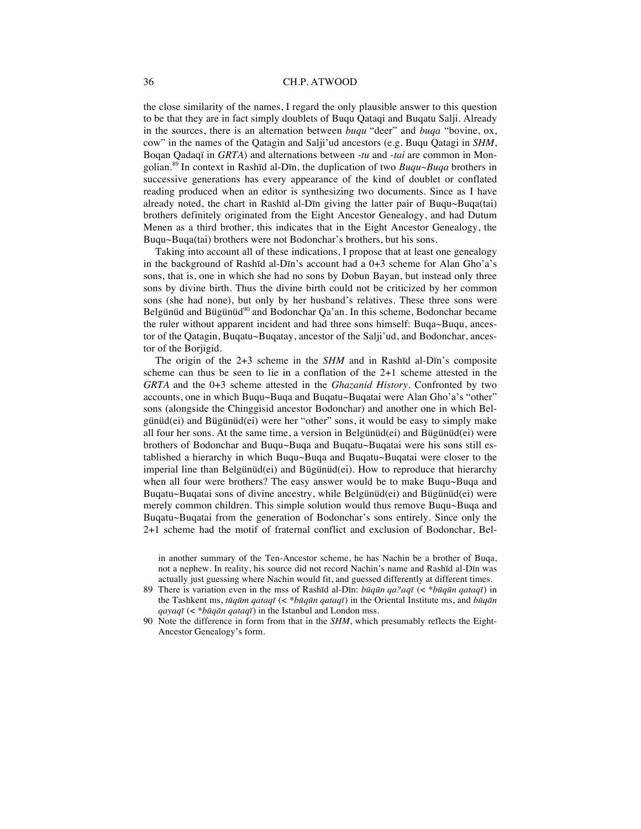the close similarity of the names, I regard the only plausible answer to this question to be that they are in fact simply doublets of Buqu Qataqi and Buqatu Salji. Already in the sources, there is an alternation between *buqu* "deer" and *buqa* "bovine, ox, cow" in the names of the Qatagin and Salji'ud ancestors (e.g. Buqu Qatagi in *SHM*, Boqan Qadaqï in *GRTA*) and alternations between -*tu* and -*tai* are common in Mongolian.<sup>89</sup> In context in Rashīd al-Dīn, the duplication of two *Buqu~Buqa* brothers in successive generations has every appearance of the kind of doublet or conflated reading produced when an editor is synthesizing two documents. Since as I have already noted, the chart in Rashīd al-Dīn giving the latter pair of Buqu~Buqa(tai) brothers definitely originated from the Eight Ancestor Genealogy, and had Dutum Menen as a third brother, this indicates that in the Eight Ancestor Genealogy, the Buqu~Buqa(tai) brothers were not Bodonchar's brothers, but his sons.

Taking into account all of these indications, I propose that at least one genealogy in the background of Rashīd al-Dīn's account had a 0+3 scheme for Alan Gho'a's sons, that is, one in which she had no sons by Dobun Bayan, but instead only three sons by divine birth. Thus the divine birth could not be criticized by her common sons (she had none), but only by her husband's relatives. These three sons were Belgünüd and Bügünüd<sup>90</sup> and Bodonchar Qa'an. In this scheme, Bodonchar became the ruler without apparent incident and had three sons himself: Buqa~Buqu, ancestor of the Qatagin, Buqatu~Buqatay, ancestor of the Salji'ud, and Bodonchar, ancestor of the Boriigid.

The origin of the 2+3 scheme in the *SHM* and in Rashīd al-Dīn's composite scheme can thus be seen to lie in a conflation of the 2+1 scheme attested in the *GRTA* and the 0+3 scheme attested in the *Ghazanid History*. Confronted by two accounts, one in which Buqu~Buqa and Buqatu~Buqatai were Alan Gho'a's "other" sons (alongside the Chinggisid ancestor Bodonchar) and another one in which Belgünüd(ei) and Bügünüd(ei) were her "other" sons, it would be easy to simply make all four her sons. At the same time, a version in Belgünüd(ei) and Bügünüd(ei) were brothers of Bodonchar and Buqu~Buqa and Buqatu~Buqatai were his sons still established a hierarchy in which Buqu~Buqa and Buqatu~Buqatai were closer to the imperial line than Belgünüd(ei) and Bügünüd(ei). How to reproduce that hierarchy when all four were brothers? The easy answer would be to make Buqu~Buqa and Buqatu~Buqatai sons of divine ancestry, while Belgünüd(ei) and Bügünüd(ei) were merely common children. This simple solution would thus remove Buqu~Buqa and Buqatu~Buqatai from the generation of Bodonchar's sons entirely. Since only the 2+1 scheme had the motif of fraternal conflict and exclusion of Bodonchar, Bel-

in another summary of the Ten-Ancestor scheme, he has Nachin be a brother of Buqa, not a nephew. In reality, his source did not record Nachin's name and Rashīd al-Dīn was actually just guessing where Nachin would fit, and guessed differently at different times.

- 89 There is variation even in the mss of Rashīd al-Dīn: *būqūn qa?aqī* (< *\*būqūn qataqī*) in the Tashkent ms, *tūqūm qataqī* (< *\*būqūn qataqī*) in the Oriental Institute ms, and *būqān qayaqī* (< *\*būqān qataqī*) in the Istanbul and London mss.
- 90 Note the difference in form from that in the *SHM*, which presumably reflects the Eight-Ancestor Genealogy's form.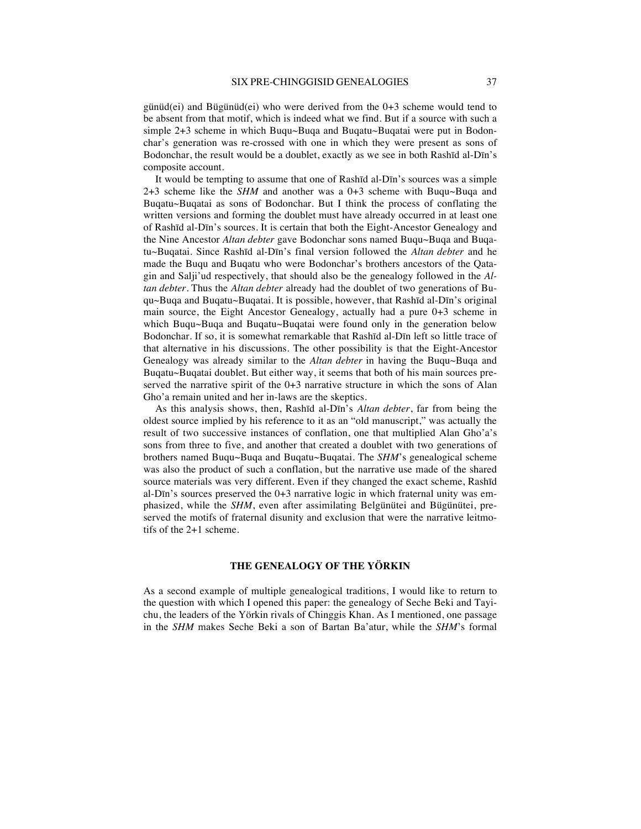günüd(ei) and Bügünüd(ei) who were derived from the  $0+3$  scheme would tend to be absent from that motif, which is indeed what we find. But if a source with such a simple 2+3 scheme in which Buqu~Buqa and Buqatu~Buqatai were put in Bodonchar's generation was re-crossed with one in which they were present as sons of Bodonchar, the result would be a doublet, exactly as we see in both Rashīd al-Dīn's composite account.

It would be tempting to assume that one of Rashīd al-Dīn's sources was a simple 2+3 scheme like the *SHM* and another was a 0+3 scheme with Buqu~Buqa and Buqatu~Buqatai as sons of Bodonchar. But I think the process of conflating the written versions and forming the doublet must have already occurred in at least one of Rashīd al-Dīn's sources. It is certain that both the Eight-Ancestor Genealogy and the Nine Ancestor *Altan debter* gave Bodonchar sons named Buqu~Buqa and Buqatu~Buqatai. Since Rashīd al-Dīn's final version followed the *Altan debter* and he made the Buqu and Buqatu who were Bodonchar's brothers ancestors of the Qatagin and Salji'ud respectively, that should also be the genealogy followed in the *Altan debter.* Thus the *Altan debter* already had the doublet of two generations of Buqu~Buqa and Buqatu~Buqatai. It is possible, however, that Rashīd al-Dīn's original main source, the Eight Ancestor Genealogy, actually had a pure 0+3 scheme in which Buqu~Buqa and Buqatu~Buqatai were found only in the generation below Bodonchar. If so, it is somewhat remarkable that Rashīd al-Dīn left so little trace of that alternative in his discussions. The other possibility is that the Eight-Ancestor Genealogy was already similar to the *Altan debter* in having the Buqu~Buqa and Buqatu~Buqatai doublet. But either way, it seems that both of his main sources preserved the narrative spirit of the  $0+3$  narrative structure in which the sons of Alan Gho'a remain united and her in-laws are the skeptics.

As this analysis shows, then, Rashīd al-Dīn's *Altan debter*, far from being the oldest source implied by his reference to it as an "old manuscript," was actually the result of two successive instances of conflation, one that multiplied Alan Gho'a's sons from three to five, and another that created a doublet with two generations of brothers named Buqu~Buqa and Buqatu~Buqatai. The *SHM*'s genealogical scheme was also the product of such a conflation, but the narrative use made of the shared source materials was very different. Even if they changed the exact scheme, Rashīd al-Dīn's sources preserved the 0+3 narrative logic in which fraternal unity was emphasized, while the *SHM*, even after assimilating Belgünütei and Bügünütei, preserved the motifs of fraternal disunity and exclusion that were the narrative leitmotifs of the 2+1 scheme.

#### **THE GENEALOGY OF THE YÖRKIN**

As a second example of multiple genealogical traditions, I would like to return to the question with which I opened this paper: the genealogy of Seche Beki and Tayichu, the leaders of the Yörkin rivals of Chinggis Khan. As I mentioned, one passage in the *SHM* makes Seche Beki a son of Bartan Ba'atur, while the *SHM*'s formal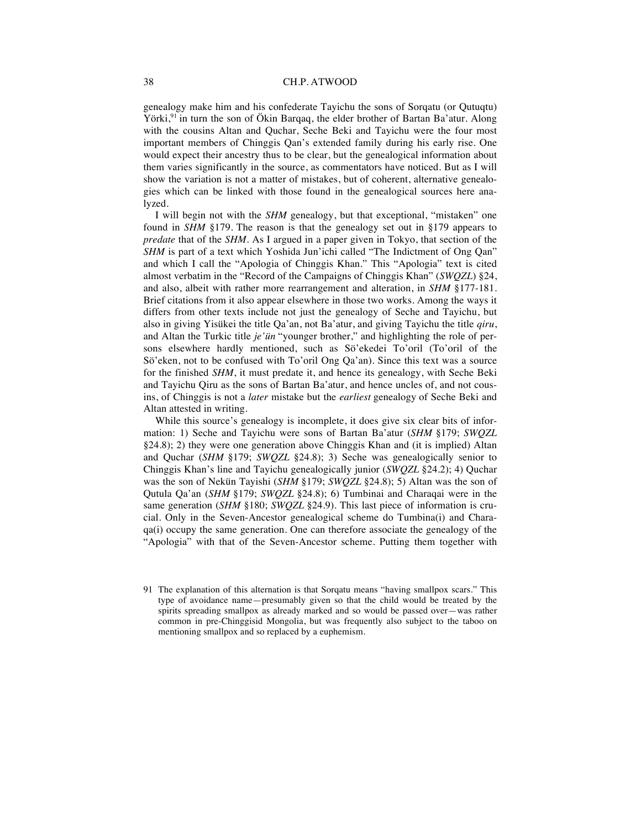genealogy make him and his confederate Tayichu the sons of Sorqatu (or Qutuqtu) Yörki,<sup>91</sup> in turn the son of Ökin Barqaq, the elder brother of Bartan Ba'atur. Along with the cousins Altan and Quchar, Seche Beki and Tayichu were the four most important members of Chinggis Qan's extended family during his early rise. One would expect their ancestry thus to be clear, but the genealogical information about them varies significantly in the source, as commentators have noticed. But as I will show the variation is not a matter of mistakes, but of coherent, alternative genealogies which can be linked with those found in the genealogical sources here analyzed.

I will begin not with the *SHM* genealogy, but that exceptional, "mistaken" one found in *SHM* §179*.* The reason is that the genealogy set out in §179 appears to *predate* that of the *SHM*. As I argued in a paper given in Tokyo, that section of the *SHM* is part of a text which Yoshida Jun'ichi called "The Indictment of Ong Qan" and which I call the "Apologia of Chinggis Khan." This "Apologia" text is cited almost verbatim in the "Record of the Campaigns of Chinggis Khan" (*SWQZL*) §24, and also, albeit with rather more rearrangement and alteration, in *SHM* §177-181. Brief citations from it also appear elsewhere in those two works. Among the ways it differs from other texts include not just the genealogy of Seche and Tayichu, but also in giving Yisükei the title Qa'an, not Ba'atur, and giving Tayichu the title *qiru*, and Altan the Turkic title *je'ün* "younger brother," and highlighting the role of persons elsewhere hardly mentioned, such as Sö'ekedei To'oril (To'oril of the Sö'eken, not to be confused with To'oril Ong Qa'an). Since this text was a source for the finished *SHM*, it must predate it, and hence its genealogy, with Seche Beki and Tayichu Qiru as the sons of Bartan Ba'atur, and hence uncles of, and not cousins, of Chinggis is not a *later* mistake but the *earliest* genealogy of Seche Beki and Altan attested in writing.

While this source's genealogy is incomplete, it does give six clear bits of information: 1) Seche and Tayichu were sons of Bartan Ba'atur (*SHM* §179; *SWQZL*  §24.8); 2) they were one generation above Chinggis Khan and (it is implied) Altan and Quchar (*SHM* §179; *SWQZL* §24.8); 3) Seche was genealogically senior to Chinggis Khan's line and Tayichu genealogically junior (*SWQZL* §24.2); 4) Quchar was the son of Nekün Tayishi (*SHM* §179; *SWQZL* §24.8); 5) Altan was the son of Qutula Qa'an (*SHM* §179; *SWQZL* §24.8); 6) Tumbinai and Charaqai were in the same generation (*SHM* §180; *SWQZL* §24.9). This last piece of information is crucial. Only in the Seven-Ancestor genealogical scheme do Tumbina(i) and Charaqa(i) occupy the same generation. One can therefore associate the genealogy of the "Apologia" with that of the Seven-Ancestor scheme. Putting them together with

<sup>91</sup> The explanation of this alternation is that Sorqatu means "having smallpox scars." This type of avoidance name—presumably given so that the child would be treated by the spirits spreading smallpox as already marked and so would be passed over—was rather common in pre-Chinggisid Mongolia, but was frequently also subject to the taboo on mentioning smallpox and so replaced by a euphemism.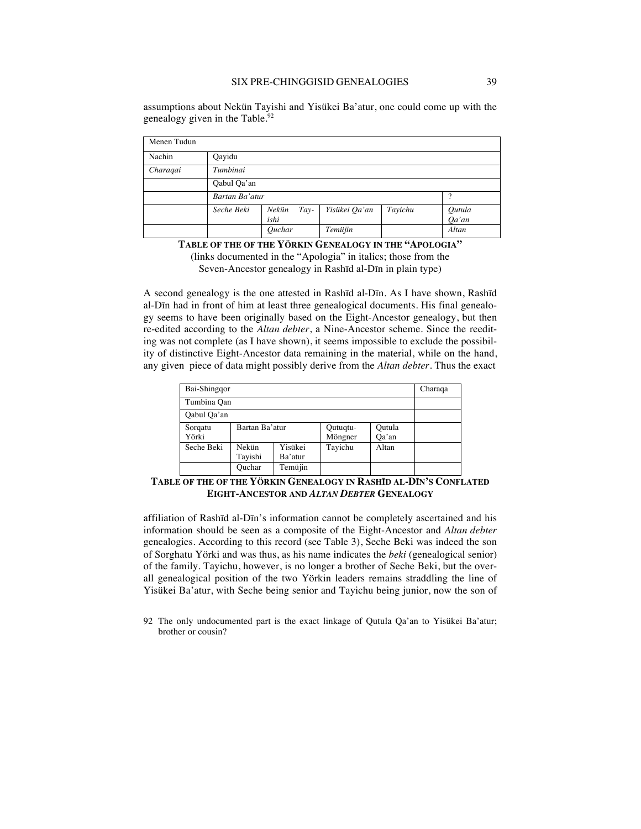assumptions about Nekün Tayishi and Yisükei Ba'atur, one could come up with the genealogy given in the Table.<sup>92</sup>

| Menen Tudun |                |                         |               |         |                    |  |  |
|-------------|----------------|-------------------------|---------------|---------|--------------------|--|--|
| Nachin      | Qayidu         |                         |               |         |                    |  |  |
| Charagai    | Tumbinai       |                         |               |         |                    |  |  |
|             | Qabul Qa'an    |                         |               |         |                    |  |  |
|             | Bartan Ba'atur |                         | ?             |         |                    |  |  |
|             | Seche Beki     | Nekün<br>$Tay-$<br>ishi | Yisükei Qa'an | Tayichu | Qutula<br>$Qa'$ an |  |  |
|             |                | Quchar                  | Temüjin       |         | Altan              |  |  |

**TABLE OF THE OF THE YÖRKIN GENEALOGY IN THE "APOLOGIA"** (links documented in the "Apologia" in italics; those from the

Seven-Ancestor genealogy in Rashīd al-Dīn in plain type)

A second genealogy is the one attested in Rashīd al-Dīn. As I have shown, Rashīd al-Dīn had in front of him at least three genealogical documents. His final genealogy seems to have been originally based on the Eight-Ancestor genealogy, but then re-edited according to the *Altan debter*, a Nine-Ancestor scheme. Since the reediting was not complete (as I have shown), it seems impossible to exclude the possibility of distinctive Eight-Ancestor data remaining in the material, while on the hand, any given piece of data might possibly derive from the *Altan debter*. Thus the exact

| Bai-Shingqor     | Charaqa          |                    |                     |                 |  |
|------------------|------------------|--------------------|---------------------|-----------------|--|
| Tumbina Qan      |                  |                    |                     |                 |  |
| Qabul Qa'an      |                  |                    |                     |                 |  |
| Sorgatu<br>Yörki | Bartan Ba'atur   |                    | Qutuqtu-<br>Möngner | Qutula<br>Qa'an |  |
| Seche Beki       | Nekün<br>Tayishi | Yisükei<br>Ba'atur | Tayichu             | Altan           |  |
|                  | Ouchar           | Temüjin            |                     |                 |  |

**TABLE OF THE OF THE YÖRKIN GENEALOGY IN RASHĪD AL-DĪN'S CONFLATED EIGHT-ANCESTOR AND** *ALTAN DEBTER* **GENEALOGY**

affiliation of Rashīd al-Dīn's information cannot be completely ascertained and his information should be seen as a composite of the Eight-Ancestor and *Altan debter* genealogies. According to this record (see Table 3), Seche Beki was indeed the son of Sorghatu Yörki and was thus, as his name indicates the *beki* (genealogical senior) of the family. Tayichu, however, is no longer a brother of Seche Beki, but the overall genealogical position of the two Yörkin leaders remains straddling the line of Yisükei Ba'atur, with Seche being senior and Tayichu being junior, now the son of

92 The only undocumented part is the exact linkage of Qutula Qa'an to Yisükei Ba'atur; brother or cousin?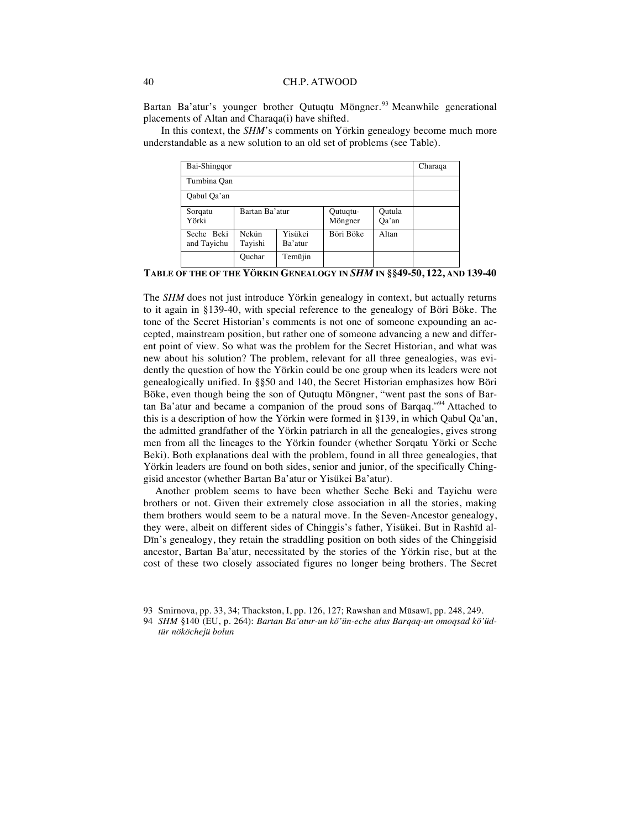Bartan Ba'atur's younger brother Qutuqtu Möngner.<sup>93</sup> Meanwhile generational placements of Altan and Charaqa(i) have shifted.

In this context, the *SHM*'s comments on Yörkin genealogy become much more understandable as a new solution to an old set of problems (see Table).

| Bai-Shinggor              |                  |                    |                     |                 | Charaqa |
|---------------------------|------------------|--------------------|---------------------|-----------------|---------|
| Tumbina Qan               |                  |                    |                     |                 |         |
| Qabul Qa'an               |                  |                    |                     |                 |         |
| Sorgatu<br>Yörki          | Bartan Ba'atur   |                    | Qutuqtu-<br>Möngner | Qutula<br>Qa'an |         |
| Seche Beki<br>and Tayichu | Nekün<br>Tavishi | Yisükei<br>Ba'atur | Böri Böke           | Altan           |         |
|                           | Quchar           | Temüjin            |                     |                 |         |

**TABLE OF THE OF THE YÖRKIN GENEALOGY IN** *SHM* **IN §§49-50, 122, AND 139-40**

The *SHM* does not just introduce Yörkin genealogy in context, but actually returns to it again in §139-40, with special reference to the genealogy of Böri Böke. The tone of the Secret Historian's comments is not one of someone expounding an accepted, mainstream position, but rather one of someone advancing a new and different point of view. So what was the problem for the Secret Historian, and what was new about his solution? The problem, relevant for all three genealogies, was evidently the question of how the Yörkin could be one group when its leaders were not genealogically unified. In §§50 and 140, the Secret Historian emphasizes how Böri Böke, even though being the son of Qutuqtu Möngner, "went past the sons of Bartan Ba'atur and became a companion of the proud sons of Barqaq."94 Attached to this is a description of how the Yörkin were formed in §139, in which Qabul Qa'an, the admitted grandfather of the Yörkin patriarch in all the genealogies, gives strong men from all the lineages to the Yörkin founder (whether Sorqatu Yörki or Seche Beki). Both explanations deal with the problem, found in all three genealogies, that Yörkin leaders are found on both sides, senior and junior, of the specifically Chinggisid ancestor (whether Bartan Ba'atur or Yisükei Ba'atur).

Another problem seems to have been whether Seche Beki and Tayichu were brothers or not. Given their extremely close association in all the stories, making them brothers would seem to be a natural move. In the Seven-Ancestor genealogy, they were, albeit on different sides of Chinggis's father, Yisükei. But in Rashīd al-Dīn's genealogy, they retain the straddling position on both sides of the Chinggisid ancestor, Bartan Ba'atur, necessitated by the stories of the Yörkin rise, but at the cost of these two closely associated figures no longer being brothers. The Secret

<sup>93</sup> Smirnova, pp. 33, 34; Thackston, I, pp. 126, 127; Rawshan and Mūsawī, pp. 248, 249.

<sup>94</sup> *SHM* §140 (EU, p. 264): *Bartan Ba'atur-un kö'ün-eche alus Barqaq-un omoqsad kö'üdtür nököchejü bolun*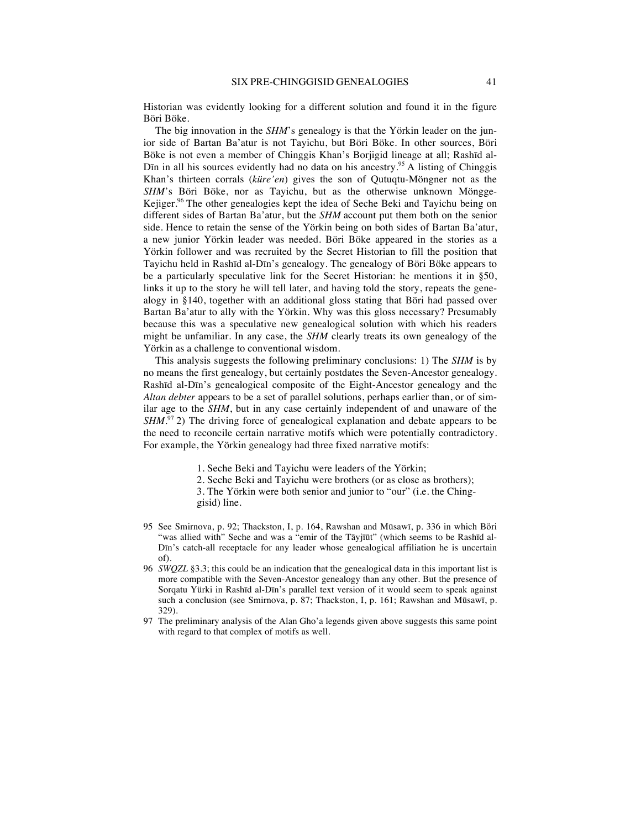Historian was evidently looking for a different solution and found it in the figure Böri Böke.

The big innovation in the *SHM*'s genealogy is that the Yörkin leader on the junior side of Bartan Ba'atur is not Tayichu, but Böri Böke. In other sources, Böri Böke is not even a member of Chinggis Khan's Borjigid lineage at all; Rashīd al-D<sub>In</sub> in all his sources evidently had no data on his ancestry.<sup>95</sup> A listing of Chinggis Khan's thirteen corrals (*küre'en*) gives the son of Qutuqtu-Möngner not as the *SHM*'s Böri Böke, nor as Tayichu, but as the otherwise unknown Möngge-Kejiger.<sup>96</sup> The other genealogies kept the idea of Seche Beki and Tayichu being on different sides of Bartan Ba'atur, but the *SHM* account put them both on the senior side. Hence to retain the sense of the Yörkin being on both sides of Bartan Ba'atur, a new junior Yörkin leader was needed. Böri Böke appeared in the stories as a Yörkin follower and was recruited by the Secret Historian to fill the position that Tayichu held in Rashīd al-Dīn's genealogy. The genealogy of Böri Böke appears to be a particularly speculative link for the Secret Historian: he mentions it in §50, links it up to the story he will tell later, and having told the story, repeats the genealogy in §140, together with an additional gloss stating that Böri had passed over Bartan Ba'atur to ally with the Yörkin. Why was this gloss necessary? Presumably because this was a speculative new genealogical solution with which his readers might be unfamiliar. In any case, the *SHM* clearly treats its own genealogy of the Yörkin as a challenge to conventional wisdom.

This analysis suggests the following preliminary conclusions: 1) The *SHM* is by no means the first genealogy, but certainly postdates the Seven-Ancestor genealogy. Rashīd al-Dīn's genealogical composite of the Eight-Ancestor genealogy and the *Altan debter* appears to be a set of parallel solutions, perhaps earlier than, or of similar age to the *SHM*, but in any case certainly independent of and unaware of the *SHM*.<sup>97</sup> 2) The driving force of genealogical explanation and debate appears to be the need to reconcile certain narrative motifs which were potentially contradictory. For example, the Yörkin genealogy had three fixed narrative motifs:

- 1. Seche Beki and Tayichu were leaders of the Yörkin;
- 2. Seche Beki and Tayichu were brothers (or as close as brothers);
- 3. The Yörkin were both senior and junior to "our" (i.e. the Chinggisid) line.
- 95 See Smirnova, p. 92; Thackston, I, p. 164, Rawshan and Mūsawī, p. 336 in which Böri "was allied with" Seche and was a "emir of the Tāyjīūt" (which seems to be Rashīd al-Dīn's catch-all receptacle for any leader whose genealogical affiliation he is uncertain of).
- 96 *SWQZL* §3.3; this could be an indication that the genealogical data in this important list is more compatible with the Seven-Ancestor genealogy than any other. But the presence of Sorqatu Yürki in Rashīd al-Dīn's parallel text version of it would seem to speak against such a conclusion (see Smirnova, p. 87; Thackston, I, p. 161; Rawshan and Mūsawī, p. 329).
- 97 The preliminary analysis of the Alan Gho'a legends given above suggests this same point with regard to that complex of motifs as well.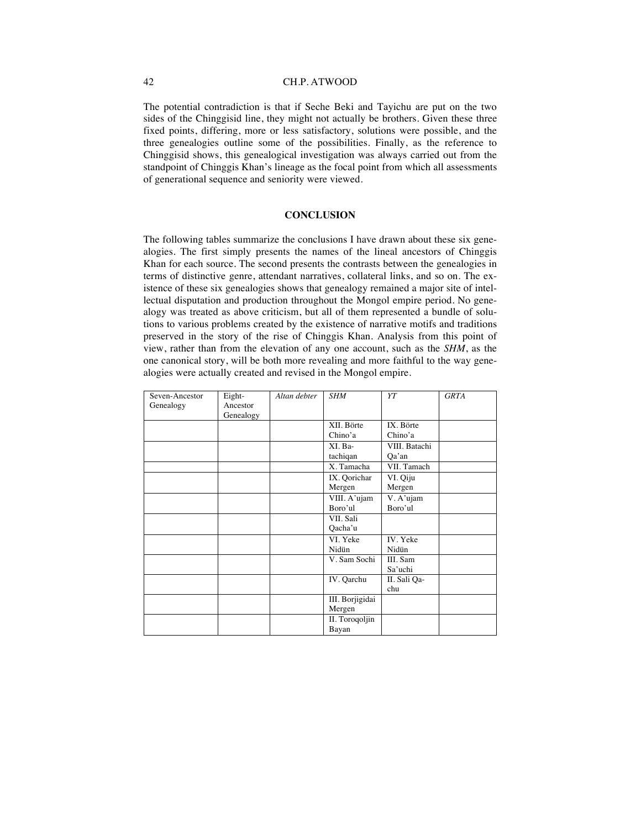The potential contradiction is that if Seche Beki and Tayichu are put on the two sides of the Chinggisid line, they might not actually be brothers. Given these three fixed points, differing, more or less satisfactory, solutions were possible, and the three genealogies outline some of the possibilities. Finally, as the reference to Chinggisid shows, this genealogical investigation was always carried out from the standpoint of Chinggis Khan's lineage as the focal point from which all assessments of generational sequence and seniority were viewed.

#### **CONCLUSION**

The following tables summarize the conclusions I have drawn about these six genealogies. The first simply presents the names of the lineal ancestors of Chinggis Khan for each source. The second presents the contrasts between the genealogies in terms of distinctive genre, attendant narratives, collateral links, and so on. The existence of these six genealogies shows that genealogy remained a major site of intellectual disputation and production throughout the Mongol empire period. No genealogy was treated as above criticism, but all of them represented a bundle of solutions to various problems created by the existence of narrative motifs and traditions preserved in the story of the rise of Chinggis Khan. Analysis from this point of view, rather than from the elevation of any one account, such as the *SHM*, as the one canonical story, will be both more revealing and more faithful to the way genealogies were actually created and revised in the Mongol empire.

| Seven-Ancestor | Eight-    | Altan debter | <b>SHM</b>      | ΥT            | <b>GRTA</b> |
|----------------|-----------|--------------|-----------------|---------------|-------------|
| Genealogy      | Ancestor  |              |                 |               |             |
|                | Genealogy |              |                 |               |             |
|                |           |              | XII. Börte      | IX. Börte     |             |
|                |           |              | Chino'a         | Chino'a       |             |
|                |           |              | XI. Ba-         | VIII. Batachi |             |
|                |           |              | tachiqan        | Qa'an         |             |
|                |           |              | X. Tamacha      | VII. Tamach   |             |
|                |           |              | IX. Qorichar    | VI. Qiju      |             |
|                |           |              | Mergen          | Mergen        |             |
|                |           |              | VIII. A'ujam    | V. A'ujam     |             |
|                |           |              | Boro'ul         | Boro'ul       |             |
|                |           |              | VII. Sali       |               |             |
|                |           |              | Qacha'u         |               |             |
|                |           |              | VI. Yeke        | IV. Yeke      |             |
|                |           |              | Nidün           | Nidün         |             |
|                |           |              | V. Sam Sochi    | III. Sam      |             |
|                |           |              |                 | Sa'uchi       |             |
|                |           |              | IV. Qarchu      | II. Sali Qa-  |             |
|                |           |              |                 | chu           |             |
|                |           |              | III. Borjigidai |               |             |
|                |           |              | Mergen          |               |             |
|                |           |              | II. Toroqoljin  |               |             |
|                |           |              | Bayan           |               |             |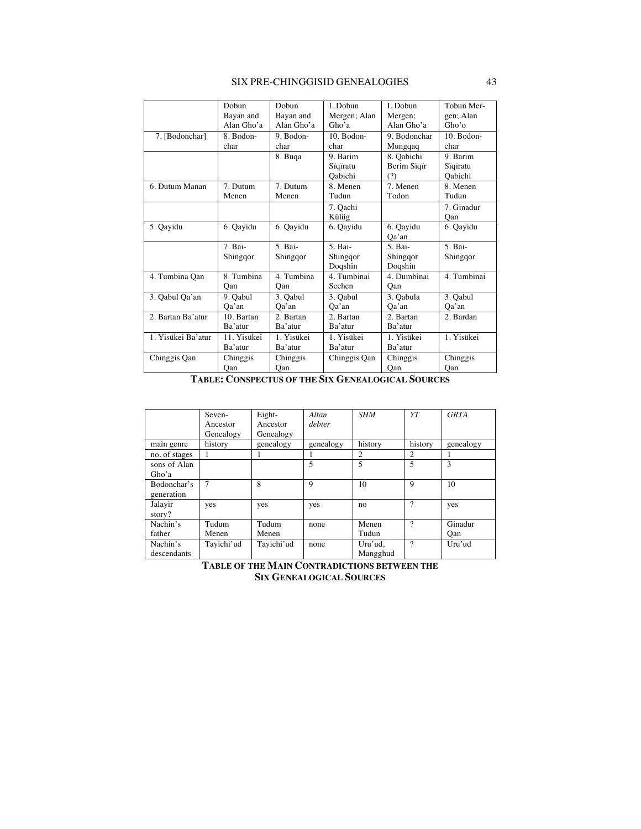#### SIX PRE-CHINGGISID GENEALOGIES 43

|                    | Dobun       | Dobun      | I. Dobun     | I. Dobun     | Tobun Mer-     |
|--------------------|-------------|------------|--------------|--------------|----------------|
|                    | Bayan and   | Bayan and  | Mergen; Alan | Mergen;      | gen; Alan      |
|                    | Alan Gho'a  | Alan Gho'a | Gho'a        | Alan Gho'a   | Gho'           |
| 7. [Bodonchar]     | 8. Bodon-   | 9. Bodon-  | 10. Bodon-   | 9. Bodonchar | $10.$ Bodon-   |
|                    | char        | char       | char         | Mungqaq      | char           |
|                    |             | 8. Buqa    | 9. Barim     | 8. Oabichi   | 9. Barim       |
|                    |             |            | Sïqïratu     | Berim Sïqïr  | Sïqïratu       |
|                    |             |            | Oabichi      | (?)          | <b>Oabichi</b> |
| 6. Dutum Manan     | 7. Dutum    | 7. Dutum   | 8. Menen     | 7. Menen     | 8. Menen       |
|                    | Menen       | Menen      | Tudun        | Todon        | Tudun          |
|                    |             |            | 7. Oachi     |              | 7. Ginadur     |
|                    |             |            | Külüg        |              | Oan            |
| 5. Qayidu          | 6. Qayidu   | 6. Qayidu  | 6. Qayidu    | 6. Qayidu    | 6. Qayidu      |
|                    |             |            |              | Oa'an        |                |
|                    | 7. Bai-     | 5. Bai-    | 5. Bai-      | 5. Bai-      | 5. Bai-        |
|                    | Shingqor    | Shingqor   | Shingqor     | Shingqor     | Shingqor       |
|                    |             |            | Doqshin      | Doqshin      |                |
| 4. Tumbina Qan     | 8. Tumbina  | 4. Tumbina | 4. Tumbinai  | 4. Dumbinai  | 4. Tumbinai    |
|                    | Oan         | Oan        | Sechen       | Oan          |                |
| 3. Qabul Qa'an     | 9. Oabul    | 3. Qabul   | 3. Oabul     | 3. Qabula    | 3. Qabul       |
|                    | Oa'an       | Oa'an      | Qa'an        | Qa'an        | Oa'an          |
| 2. Bartan Ba'atur  | 10. Bartan  | 2. Bartan  | 2. Bartan    | 2. Bartan    | 2. Bardan      |
|                    | Ba'atur     | Ba'atur    | Ba'atur      | Ba'atur      |                |
| 1. Yisükei Ba'atur | 11. Yisükei | 1. Yisükei | 1. Yisükei   | 1. Yisükei   | 1. Yisükei     |
|                    | Ba'atur     | Ba'atur    | Ba'atur      | Ba'atur      |                |
| Chinggis Qan       | Chinggis    | Chinggis   | Chinggis Qan | Chinggis     | Chinggis       |
|                    | Qan         | Qan        |              | Qan          | Qan            |

**TABLE: CONSPECTUS OF THE SIX GENEALOGICAL SOURCES**

|                           | Seven-<br>Ancestor<br>Genealogy | Eight-<br>Ancestor<br>Genealogy | Altan<br>debter | <b>SHM</b>          | YT       | <b>GRTA</b>    |
|---------------------------|---------------------------------|---------------------------------|-----------------|---------------------|----------|----------------|
| main genre                | history                         | genealogy                       | genealogy       | history             | history  | genealogy      |
| no. of stages             |                                 |                                 |                 | 2                   | 2        |                |
| sons of Alan<br>Gho'a     |                                 |                                 | 5               | 5                   | 5        | 3              |
| Bodonchar's<br>generation | $\tau$                          | 8                               | 9               | 10                  | 9        | 10             |
| Jalayir<br>story?         | yes                             | yes                             | yes             | no                  | 9        | yes            |
| Nachin's<br>father        | Tudum<br>Menen                  | Tudum<br>Menen                  | none            | Menen<br>Tudun      | 9        | Ginadur<br>Oan |
| Nachin's<br>descendants   | Tayichi'ud                      | Tayichi'ud                      | none            | Uru'ud,<br>Mangghud | $\gamma$ | Uru'ud         |

**TABLE OF THE MAIN CONTRADICTIONS BETWEEN THE SIX GENEALOGICAL SOURCES**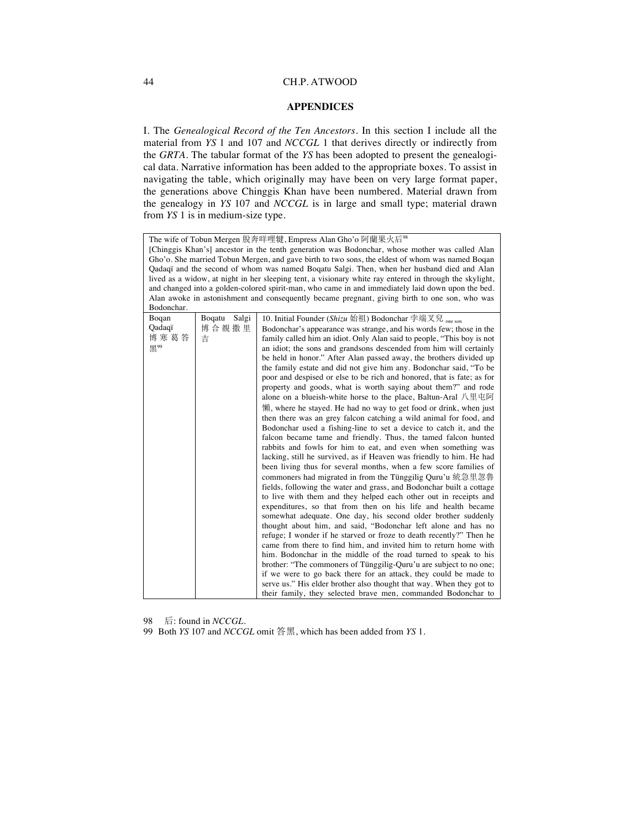#### **APPENDICES**

I. The *Genealogical Record of the Ten Ancestors*. In this section I include all the material from *YS* 1 and 107 and *NCCGL* 1 that derives directly or indirectly from the *GRTA*. The tabular format of the *YS* has been adopted to present the genealogical data. Narrative information has been added to the appropriate boxes. To assist in navigating the table, which originally may have been on very large format paper, the generations above Chinggis Khan have been numbered. Material drawn from the genealogy in *YS* 107 and *NCCGL* is in large and small type; material drawn from *YS* 1 is in medium-size type.

| The wife of Tobun Mergen 脫奔咩哩犍, Empress Alan Gho'o 阿蘭果火后%                                       |                 |                                                                                                         |  |  |  |
|-------------------------------------------------------------------------------------------------|-----------------|---------------------------------------------------------------------------------------------------------|--|--|--|
| [Chinggis Khan's] ancestor in the tenth generation was Bodonchar, whose mother was called Alan  |                 |                                                                                                         |  |  |  |
| Gho'o. She married Tobun Mergen, and gave birth to two sons, the eldest of whom was named Boqan |                 |                                                                                                         |  |  |  |
|                                                                                                 |                 | Qadaqi and the second of whom was named Boqatu Salgi. Then, when her husband died and Alan              |  |  |  |
|                                                                                                 |                 | lived as a widow, at night in her sleeping tent, a visionary white ray entered in through the skylight, |  |  |  |
|                                                                                                 |                 | and changed into a golden-colored spirit-man, who came in and immediately laid down upon the bed.       |  |  |  |
|                                                                                                 |                 | Alan awoke in astonishment and consequently became pregnant, giving birth to one son, who was           |  |  |  |
| Bodonchar.                                                                                      |                 |                                                                                                         |  |  |  |
| Boqan                                                                                           | Boqatu<br>Salgi | 10. Initial Founder (Shizu 始祖) Bodonchar 孛端叉兒 <sub>one son</sub>                                        |  |  |  |
| Qadaqï                                                                                          | 博合覩撒里           | Bodonchar's appearance was strange, and his words few; those in the                                     |  |  |  |
| 博寒葛答                                                                                            | 吉               | family called him an idiot. Only Alan said to people, "This boy is not                                  |  |  |  |
| 黑99                                                                                             |                 | an idiot; the sons and grandsons descended from him will certainly                                      |  |  |  |
|                                                                                                 |                 | be held in honor." After Alan passed away, the brothers divided up                                      |  |  |  |
|                                                                                                 |                 | the family estate and did not give him any. Bodonchar said, "To be                                      |  |  |  |
|                                                                                                 |                 | poor and despised or else to be rich and honored, that is fate; as for                                  |  |  |  |
|                                                                                                 |                 | property and goods, what is worth saying about them?" and rode                                          |  |  |  |
|                                                                                                 |                 | alone on a blueish-white horse to the place, Baltun-Aral 八里屯阿                                           |  |  |  |
|                                                                                                 |                 | 懶, where he stayed. He had no way to get food or drink, when just                                       |  |  |  |
|                                                                                                 |                 |                                                                                                         |  |  |  |
|                                                                                                 |                 | then there was an grey falcon catching a wild animal for food, and                                      |  |  |  |
|                                                                                                 |                 | Bodonchar used a fishing-line to set a device to catch it, and the                                      |  |  |  |
|                                                                                                 |                 | falcon became tame and friendly. Thus, the tamed falcon hunted                                          |  |  |  |
|                                                                                                 |                 | rabbits and fowls for him to eat, and even when something was                                           |  |  |  |
|                                                                                                 |                 | lacking, still he survived, as if Heaven was friendly to him. He had                                    |  |  |  |
|                                                                                                 |                 | been living thus for several months, when a few score families of                                       |  |  |  |
|                                                                                                 |                 | commoners had migrated in from the Tünggilig Quru'u 統急里忽魯                                               |  |  |  |
|                                                                                                 |                 | fields, following the water and grass, and Bodonchar built a cottage                                    |  |  |  |
|                                                                                                 |                 | to live with them and they helped each other out in receipts and                                        |  |  |  |
|                                                                                                 |                 | expenditures, so that from then on his life and health became                                           |  |  |  |
|                                                                                                 |                 | somewhat adequate. One day, his second older brother suddenly                                           |  |  |  |
|                                                                                                 |                 | thought about him, and said, "Bodonchar left alone and has no                                           |  |  |  |
|                                                                                                 |                 | refuge; I wonder if he starved or froze to death recently?" Then he                                     |  |  |  |
|                                                                                                 |                 | came from there to find him, and invited him to return home with                                        |  |  |  |
|                                                                                                 |                 | him. Bodonchar in the middle of the road turned to speak to his                                         |  |  |  |
|                                                                                                 |                 | brother: "The commoners of Tünggilig-Quru'u are subject to no one;                                      |  |  |  |
|                                                                                                 |                 | if we were to go back there for an attack, they could be made to                                        |  |  |  |
|                                                                                                 |                 | serve us." His elder brother also thought that way. When they got to                                    |  |  |  |
|                                                                                                 |                 | their family, they selected brave men, commanded Bodonchar to                                           |  |  |  |

98 后: found in *NCCGL*.

99 Both *YS* 107 and *NCCGL* omit 答黑, which has been added from *YS* 1.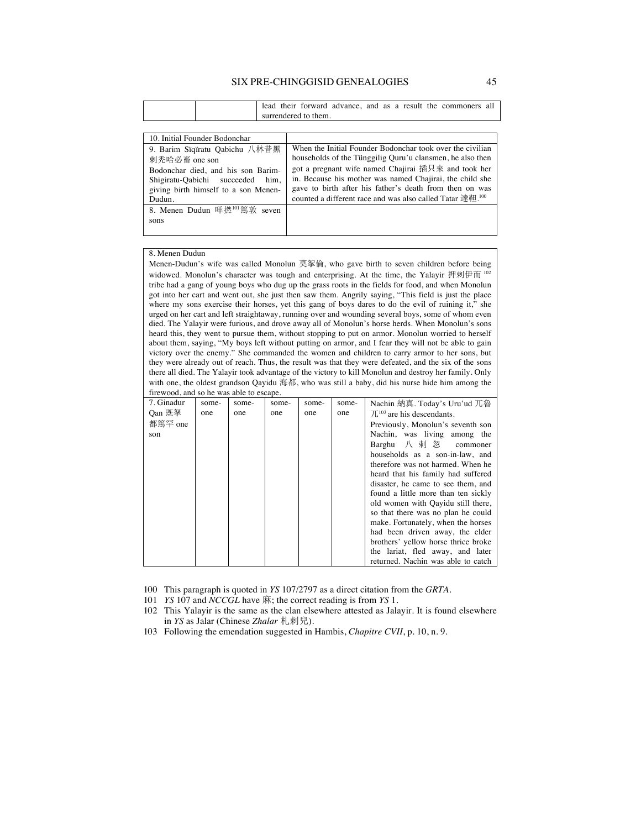#### SIX PRE-CHINGGISID GENEALOGIES 45

|  |  |                      |  |  |  | lead their forward advance, and as a result the commoners all |  |
|--|--|----------------------|--|--|--|---------------------------------------------------------------|--|
|  |  | surrendered to them. |  |  |  |                                                               |  |

| 10. Initial Founder Bodonchar                                                                                                                                                  |                                                                                                                                                                                                                                                                                                                                                                                                |
|--------------------------------------------------------------------------------------------------------------------------------------------------------------------------------|------------------------------------------------------------------------------------------------------------------------------------------------------------------------------------------------------------------------------------------------------------------------------------------------------------------------------------------------------------------------------------------------|
| 9. Barim Siqiratu Qabichu 八林昔黑<br>刺秃哈必畜 one son<br>Bodonchar died, and his son Barim-<br>him.<br>Shigiratu-Qabichi succeeded<br>giving birth himself to a son Menen-<br>Dudun. | When the Initial Founder Bodonchar took over the civilian<br>households of the Tünggilig Quru'u clansmen, he also then<br>got a pregnant wife named Chajirai 插只來 and took her<br>in. Because his mother was named Chajirai, the child she<br>gave to birth after his father's death from then on was<br>counted a different race and was also called Tatar $\mathbb{R}^{3}$ $\mathbb{H}^{100}$ |
| 8. Menen Dudun 咩撚 <sup>101</sup> 篤敦 seven<br>sons                                                                                                                              |                                                                                                                                                                                                                                                                                                                                                                                                |

#### 8. Menen Dudun

Menen-Dudun's wife was called Monolun 莫挐倫, who gave birth to seven children before being widowed. Monolun's character was tough and enterprising. At the time, the Yalayir  $#$  $#$  $#$  $\overline{m}$ <sup>102</sup> tribe had a gang of young boys who dug up the grass roots in the fields for food, and when Monolun got into her cart and went out, she just then saw them. Angrily saying, "This field is just the place where my sons exercise their horses, yet this gang of boys dares to do the evil of ruining it," she urged on her cart and left straightaway, running over and wounding several boys, some of whom even died. The Yalayir were furious, and drove away all of Monolun's horse herds. When Monolun's sons heard this, they went to pursue them, without stopping to put on armor. Monolun worried to herself about them, saying, "My boys left without putting on armor, and I fear they will not be able to gain victory over the enemy." She commanded the women and children to carry armor to her sons, but they were already out of reach. Thus, the result was that they were defeated, and the six of the sons there all died. The Yalayir took advantage of the victory to kill Monolun and destroy her family. Only with one, the oldest grandson Qayidu 海都, who was still a baby, did his nurse hide him among the firewood, and so he was able to escape.

| 7. Ginadur | some- | some- | some- | some- | some- | Nachin 納真. Today's Uru'ud 兀魯             |
|------------|-------|-------|-------|-------|-------|------------------------------------------|
| Oan 既拏     | one   | one   | one   | one   | one   | $\mathcal{L}^{103}$ are his descendants. |
| 都篤罕 one    |       |       |       |       |       | Previously, Monolun's seventh son        |
| son        |       |       |       |       |       | Nachin, was living among the             |
|            |       |       |       |       |       | Barghu 八 剌 忽<br>commoner                 |
|            |       |       |       |       |       | households as a son-in-law, and          |
|            |       |       |       |       |       | therefore was not harmed. When he        |
|            |       |       |       |       |       | heard that his family had suffered       |
|            |       |       |       |       |       | disaster, he came to see them, and       |
|            |       |       |       |       |       | found a little more than ten sickly      |
|            |       |       |       |       |       | old women with Qayidu still there,       |
|            |       |       |       |       |       | so that there was no plan he could       |
|            |       |       |       |       |       | make. Fortunately, when the horses       |
|            |       |       |       |       |       | had been driven away, the elder          |
|            |       |       |       |       |       | brothers' yellow horse thrice broke      |
|            |       |       |       |       |       | the lariat, fled away, and later         |
|            |       |       |       |       |       | returned. Nachin was able to catch       |

100 This paragraph is quoted in *YS* 107/2797 as a direct citation from the *GRTA*.

101 *YS* 107 and *NCCGL* have 麻; the correct reading is from *YS* 1.

102 This Yalayir is the same as the clan elsewhere attested as Jalayir. It is found elsewhere in *YS* as Jalar (Chinese *Zhalar* 札剌兒).

103 Following the emendation suggested in Hambis, *Chapitre CVII*, p. 10, n. 9.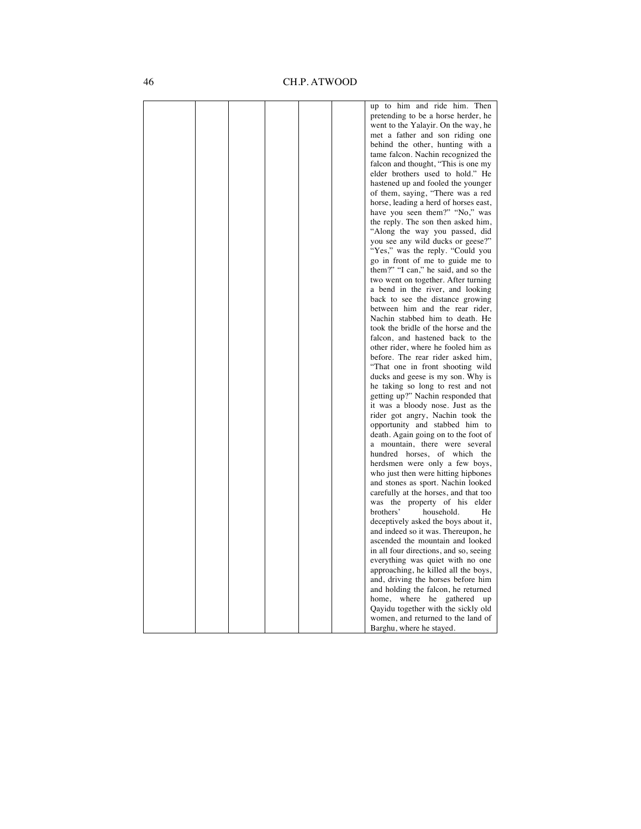|  |  |  | up to him and ride him. Then           |
|--|--|--|----------------------------------------|
|  |  |  | pretending to be a horse herder, he    |
|  |  |  | went to the Yalayir. On the way, he    |
|  |  |  | met a father and son riding one        |
|  |  |  | behind the other, hunting with a       |
|  |  |  | tame falcon. Nachin recognized the     |
|  |  |  | falcon and thought, "This is one my    |
|  |  |  | elder brothers used to hold." He       |
|  |  |  | hastened up and fooled the younger     |
|  |  |  | of them, saying, "There was a red      |
|  |  |  | horse, leading a herd of horses east,  |
|  |  |  | have you seen them?" "No," was         |
|  |  |  | the reply. The son then asked him,     |
|  |  |  | "Along the way you passed, did         |
|  |  |  | you see any wild ducks or geese?"      |
|  |  |  | "Yes," was the reply. "Could you       |
|  |  |  | go in front of me to guide me to       |
|  |  |  | them?" "I can," he said, and so the    |
|  |  |  | two went on together. After turning    |
|  |  |  | a bend in the river, and looking       |
|  |  |  | back to see the distance growing       |
|  |  |  | between him and the rear rider,        |
|  |  |  | Nachin stabbed him to death. He        |
|  |  |  | took the bridle of the horse and the   |
|  |  |  | falcon, and hastened back to the       |
|  |  |  | other rider, where he fooled him as    |
|  |  |  | before. The rear rider asked him,      |
|  |  |  | "That one in front shooting wild       |
|  |  |  | ducks and geese is my son. Why is      |
|  |  |  | he taking so long to rest and not      |
|  |  |  | getting up?" Nachin responded that     |
|  |  |  | it was a bloody nose. Just as the      |
|  |  |  | rider got angry, Nachin took the       |
|  |  |  | opportunity and stabbed him to         |
|  |  |  | death. Again going on to the foot of   |
|  |  |  | mountain, there were several<br>a      |
|  |  |  | hundred horses, of which the           |
|  |  |  | herdsmen were only a few boys,         |
|  |  |  | who just then were hitting hipbones    |
|  |  |  | and stones as sport. Nachin looked     |
|  |  |  | carefully at the horses, and that too  |
|  |  |  | was the property of his elder          |
|  |  |  | brothers'<br>household.<br>He          |
|  |  |  | deceptively asked the boys about it,   |
|  |  |  | and indeed so it was. Thereupon, he    |
|  |  |  | ascended the mountain and looked       |
|  |  |  | in all four directions, and so, seeing |
|  |  |  | everything was quiet with no one       |
|  |  |  | approaching, he killed all the boys,   |
|  |  |  | and, driving the horses before him     |
|  |  |  | and holding the falcon, he returned    |
|  |  |  | home,<br>where he<br>gathered<br>up    |
|  |  |  | Qayidu together with the sickly old    |
|  |  |  | women, and returned to the land of     |
|  |  |  | Barghu, where he stayed.               |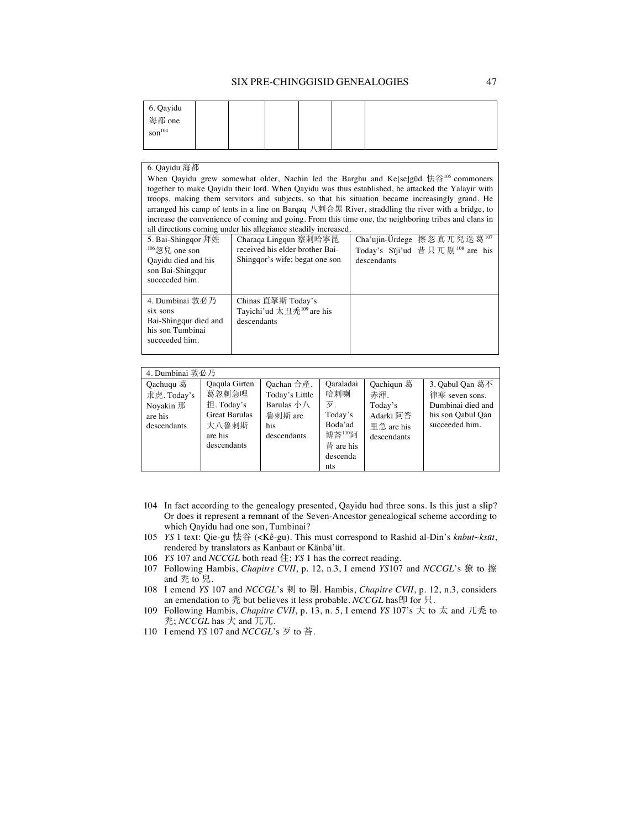| 6. Qayidu<br>海都 one<br>$\sin^{104}$ |  |  |  |
|-------------------------------------|--|--|--|
|                                     |  |  |  |

#### 6. Qayidu 海都

When Qayidu grew somewhat older, Nachin led the Barghu and Ke[se]güd 怯谷<sup>105</sup> commoners together to make Qayidu their lord. When Qayidu was thus established, he attacked the Yalayir with troops, making them servitors and subjects, so that his situation became increasingly grand. He arranged his camp of tents in a line on Barqaq 八刺合黑 River, straddling the river with a bridge, to increase the convenience of coming and going. From this time one, the neighboring tribes and clans in all directions coming under his allegiance steadily increased.

| 5. Bai-Shinggor 拜姓<br>$106$ 忽兒 one son<br>Oayidu died and his<br>son Bai-Shingqur<br>succeeded him. | Charaqa Lingqun 察剌哈寧昆<br>received his elder brother Bai-<br>Shinggor's wife; begat one son | Cha'ujin-Ürdege 擦忽真兀兒迭葛 <sup>107</sup><br>Today's Siji'ud 昔只兀剔 $108$ are his<br>descendants |
|-----------------------------------------------------------------------------------------------------|--------------------------------------------------------------------------------------------|---------------------------------------------------------------------------------------------|
| 4. Dumbinai 敦必乃<br>six sons<br>Bai-Shingqur died and<br>his son Tumbinai<br>succeeded him.          | Chinas 直拏斯 Today's<br>Tayichi'ud 太丑禿 $109$ are his<br>descendants                          |                                                                                             |

| 4. Dumbinai 敦必乃                                                 |                                                                                                 |                                                                                                    |                                                                                        |                                                                        |                                                                                               |
|-----------------------------------------------------------------|-------------------------------------------------------------------------------------------------|----------------------------------------------------------------------------------------------------|----------------------------------------------------------------------------------------|------------------------------------------------------------------------|-----------------------------------------------------------------------------------------------|
| Qachuqu 葛<br>术虎. Today's<br>Novakin 那<br>are his<br>descendants | Qaqula Girten<br>葛忽剌急哩<br>担. Today's<br><b>Great Barulas</b><br>大八魯剌斯<br>are his<br>descendants | Oachan 合產.<br>Today's Little<br>Barulas $\sqrt{ }\land\ \sqrt{ }$<br>魯剌斯 are<br>his<br>descendants | Oaraladai<br>哈剌喇<br>万.<br>Today's<br>Boda'ad<br>博荅110阿<br>替 are his<br>descenda<br>nts | Qachiqun 葛<br>赤渾.<br>Today's<br>Adarki 阿答<br>里急 are his<br>descendants | 3. Oabul Oan 葛不<br>律寒 seven sons.<br>Dumbinai died and<br>his son Oabul Oan<br>succeeded him. |

- 104 In fact according to the genealogy presented, Qayidu had three sons. Is this just a slip? Or does it represent a remnant of the Seven-Ancestor genealogical scheme according to which Qayidu had one son, Tumbinai?
- 105 *YS* 1 text: Qie-gu 怯谷 (<Kê-gu). This must correspond to Rashid al-Din's *knbut~ksūt*, rendered by translators as Kanbaut or Känbä'üt.
- 106 *YS* 107 and *NCCGL* both read 住; *YS* 1 has the correct reading.
- 107 Following Hambis, *Chapitre CVII*, p. 12, n.3, I emend *YS107* and *NCCGL*'s 獠 to 擦 and 秃 to 兒.
- 108 I emend *YS* 107 and *NCCGL*'s 刺 to 剔. Hambis, *Chapitre CVII*, p. 12, n.3, considers an emendation to  $\bar{\mathcal{R}}$  but believes it less probable. *NCCGL* has  $\sharp$  for  $\bar{\mathcal{R}}$ .
- 109 Following Hambis, *Chapitre CVII*, p. 13, n. 5, I emend *YS* 107's 大 to 太 and 兀禿 to  $\bar{\mathcal{F}}$ ; *NCCGL* has  $\pm$  and  $\bar{\mathcal{F}}$ .
- 110 I emend *YS* 107 and *NCCGL*'s  $\overline{5}$  to 荅.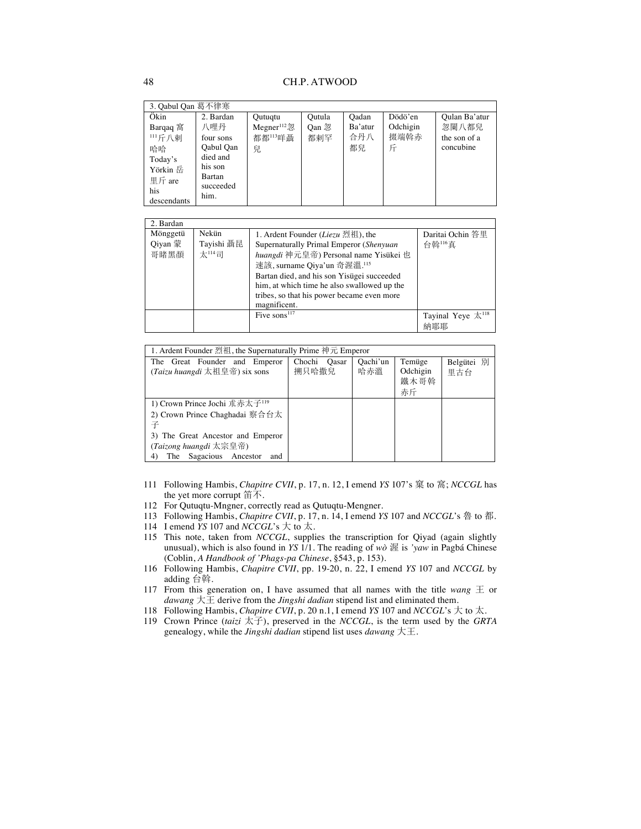| 3. Qabul Qan 葛不律寒                                                                       |                                                                                                  |                                                       |                        |                               |                             |                                                     |
|-----------------------------------------------------------------------------------------|--------------------------------------------------------------------------------------------------|-------------------------------------------------------|------------------------|-------------------------------|-----------------------------|-----------------------------------------------------|
| Ökin<br>Barqaq 窩<br>111斤八剌<br>哈哈<br>Today's<br>Yörkin 岳<br>里斤 are<br>his<br>descendants | 2. Bardan<br>八哩丹<br>four sons<br>Qabul Qan<br>died and<br>his son<br>Bartan<br>succeeded<br>him. | Qutuqtu<br>Megner $112$ <sup>22</sup><br>都都113咩聶<br>兒 | Qutula<br>Oan 忽<br>都刺罕 | Oadan<br>Ba'atur<br>合丹八<br>都兒 | Dödö'en<br>Odchigin<br>掇端斡赤 | Qulan Ba'atur<br>忽闌八都兒<br>the son of a<br>concubine |

| 2. Bardan |            |                                             |                                   |
|-----------|------------|---------------------------------------------|-----------------------------------|
| Mönggetü  | Nekün      | 1. Ardent Founder ( <i>Liezu</i> 烈祖), the   | Daritai Ochin 答里                  |
| Qiyan 蒙   | Tayishi 聶昆 | Supernaturally Primal Emperor (Shenyuan     | 台斡116直                            |
| 哥睹黑顏      | 太114司      | huangdi 神元皇帝) Personal name Yisükei 也       |                                   |
|           |            | 速該, surname Qiya'un 奇渥溫. <sup>115</sup>     |                                   |
|           |            | Bartan died, and his son Yisügei succeeded  |                                   |
|           |            | him, at which time he also swallowed up the |                                   |
|           |            | tribes, so that his power became even more  |                                   |
|           |            | magnificent.                                |                                   |
|           |            | Five sons $117$                             | Tayinal Yeye $\overline{X}^{118}$ |
|           |            |                                             | 納耶耶                               |

| 1. Ardent Founder 烈祖, the Supernaturally Prime 神元 Emperor      |                       |                 |                                  |                   |  |  |  |
|----------------------------------------------------------------|-----------------------|-----------------|----------------------------------|-------------------|--|--|--|
| The Great Founder and Emperor<br>(Taizu huangdi 太祖皇帝) six sons | Chochi Qasar<br>搠只哈撒兒 | Qachi'un<br>哈赤溫 | Temüge<br>Odchigin<br>鐵木哥斡<br>赤斤 | Belgütei 別<br>里古台 |  |  |  |
| 1) Crown Prince Jochi 术赤太子 <sup>119</sup>                      |                       |                 |                                  |                   |  |  |  |
| 2) Crown Prince Chaghadai 察合台太                                 |                       |                 |                                  |                   |  |  |  |
| 구                                                              |                       |                 |                                  |                   |  |  |  |
| 3) The Great Ancestor and Emperor                              |                       |                 |                                  |                   |  |  |  |
| (Taizong huangdi 太宗皇帝)                                         |                       |                 |                                  |                   |  |  |  |
| Sagacious Ancestor<br>The<br>and                               |                       |                 |                                  |                   |  |  |  |

- 111 Following Hambis, *Chapitre CVII*, p. 17, n. 12, I emend *YS* 107's 窠 to 窩; *NCCGL* has the yet more corrupt  $\hat{\mathbb{F}}$ .
- 112 For Qutuqtu-Mngner, correctly read as Qutuqtu-Mengner.
- 113 Following Hambis, *Chapitre CVII*, p. 17, n. 14, I emend *YS* 107 and *NCCGL*'s 魯 to 都.
- 114 I emend *YS* 107 and *NCCGL*'s  $\pm$  to  $\pm$ .
- 115 This note, taken from *NCCGL*, supplies the transcription for Qiyad (again slightly unusual), which is also found in *YS* 1/1. The reading of *wò* 渥 is *'yaw* in Pagbá Chinese (Coblin, *A Handbook of 'Phags-pa Chinese*, §543, p. 153).
- 116 Following Hambis, *Chapitre CVII*, pp. 19-20, n. 22, I emend *YS* 107 and *NCCGL* by adding 台斡.
- 117 From this generation on, I have assumed that all names with the title *wang*  $\pm$  or *dawang*  $\overline{\uparrow}$   $\overline{\pm}$  derive from the *Jingshi dadian* stipend list and eliminated them.
- 118 Following Hambis, *Chapitre CVII*, p. 20 n.1, I emend *YS* 107 and *NCCGL*'s  $\pm$  to  $\pm$ .
- 119 Crown Prince (*taizi*  $\overline{\overline{X}}$ ), preserved in the *NCCGL*, is the term used by the *GRTA* genealogy, while the *Jingshi dadian* stipend list uses *dawang*  $\pm \pm$ .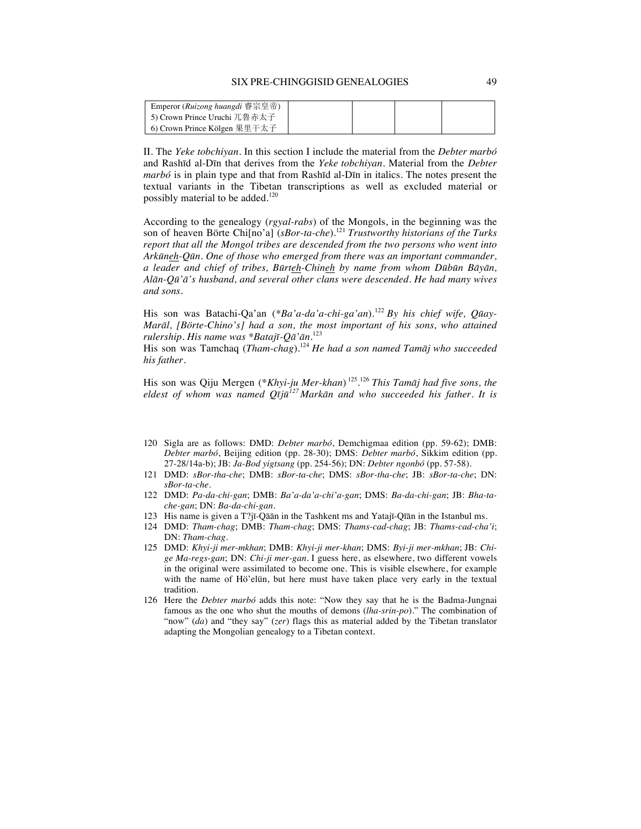#### SIX PRE-CHINGGISID GENEALOGIES 49

| Emperor (Ruizong huangdi 睿宗皇帝) |  |  |
|--------------------------------|--|--|
| 15) Crown Prince Uruchi 兀魯赤太子  |  |  |
| 6) Crown Prince Kölgen 果里干太子   |  |  |

II. The *Yeke tobchiyan*. In this section I include the material from the *Debter marbó* and Rashīd al-Dīn that derives from the *Yeke tobchiyan*. Material from the *Debter marbó* is in plain type and that from Rashīd al-Dīn in italics. The notes present the textual variants in the Tibetan transcriptions as well as excluded material or possibly material to be added.<sup>120</sup>

According to the genealogy (*rgyal-rabs*) of the Mongols, in the beginning was the son of heaven Börte Chi[no'a] (*sBor-ta-che*).<sup>121</sup> *Trustworthy historians of the Turks report that all the Mongol tribes are descended from the two persons who went into Arkūneh-Qūn. One of those who emerged from there was an important commander, a leader and chief of tribes, Būrteh-Chineh by name from whom Dūbūn Bāyān, Alān-Qū'ā's husband, and several other clans were descended. He had many wives and sons.*

His son was Batachi-Qa'an (\*Ba'a-da'a-chi-ga'an).<sup>122</sup> By his chief wife, Qūay-*Marāl, [Börte-Chino's] had a son, the most important of his sons, who attained rulership. His name was \*Batajī-Qā'ān.*<sup>123</sup>

His son was Tamchaq (*Tham-chag*).124 *He had a son named Tamāj who succeeded his father.*

His son was Qiju Mergen (\**Khyi-ju Mer-khan*) 125. <sup>126</sup> *This Tamāj had five sons, the eldest of whom was named Qījū<sup>127</sup> Markān and who succeeded his father. It is* 

- 120 Sigla are as follows: DMD: *Debter marbó*, Demchigmaa edition (pp. 59-62); DMB: *Debter marbó*, Beijing edition (pp. 28-30); DMS: *Debter marbó*, Sikkim edition (pp. 27-28/14a-b); JB: *Ja-Bod yigtsang* (pp. 254-56); DN: *Debter ngonbó* (pp. 57-58).
- 121 DMD: *sBor-tha-che*; DMB: *sBor-ta-che*; DMS: *sBor-tha-che*; JB: *sBor-ta-che*; DN: *sBor-ta-che*.
- 122 DMD: *Pa-da-chi-gan*; DMB: *Ba'a-da'a-chi'a-gan*; DMS: *Ba-da-chi-gan*; JB: *Bha-tache-gan*; DN: *Ba-da-chi-gan*.
- 123 His name is given a  $T$ ?jī-Qāān in the Tashkent ms and Yatajī-Qīān in the Istanbul ms.
- 124 DMD: *Tham-chag*; DMB: *Tham-chag*; DMS: *Thams-cad-chag*; JB: *Thams-cad-cha'i*; DN: *Tham-chag*.
- 125 DMD: *Khyi-ji mer-mkhan*; DMB: *Khyi-ji mer-khan*; DMS: *Byi-ji mer-mkhan*; JB: *Chige Ma-regs-gan*; DN: *Chi-ji mer-gan.* I guess here, as elsewhere, two different vowels in the original were assimilated to become one. This is visible elsewhere, for example with the name of Hö'elün, but here must have taken place very early in the textual tradition.
- 126 Here the *Debter marbó* adds this note: "Now they say that he is the Badma-Jungnai famous as the one who shut the mouths of demons (*lha-srin-po*)." The combination of "now" (*da*) and "they say" (*zer*) flags this as material added by the Tibetan translator adapting the Mongolian genealogy to a Tibetan context.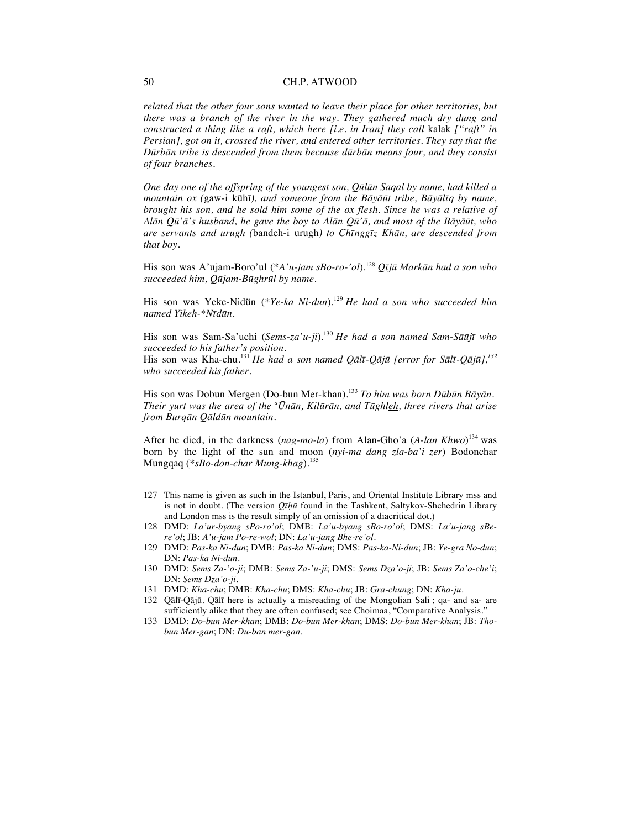*related that the other four sons wanted to leave their place for other territories, but there was a branch of the river in the way. They gathered much dry dung and constructed a thing like a raft, which here [i.e. in Iran] they call kalak ["raft" in Persian], got on it, crossed the river, and entered other territories. They say that the Dūrbān tribe is descended from them because dūrbān means four, and they consist of four branches.*

*One day one of the offspring of the youngest son, Qūlūn Saqal by name, had killed a mountain ox (*gaw-i kūhī*), and someone from the Bāyāūt tribe, Bāyālīq by name, brought his son, and he sold him some of the ox flesh. Since he was a relative of Alān Qū'ā's husband, he gave the boy to Alān Qū'ā, and most of the Bāyāūt, who are servants and urugh (*bandeh-i urugh*) to Chīnggīz Khān, are descended from that boy.*

His son was A'ujam-Boro'ul (\**A'u-jam sBo-ro-'ol*).128 *Qījū Markān had a son who succeeded him, Qūjam-Būghrūl by name.*

His son was Yeke-Nidün (*\*Ye-ka Ni-dun*).<sup>129</sup> *He had a son who succeeded him named Yikeh-\*Nīdūn.*

His son was Sam-Sa'uchi (*Sems-za'u-ji*).130 *He had a son named Sam-Sāūjī who succeeded to his father's position.* His son was Kha-chu.<sup>131</sup> *He had a son named Qālī-Qājū [error for Sālī-Qājū],132*

*who succeeded his father.*

His son was Dobun Mergen (Do-bun Mer-khan).<sup>133</sup> *To him was born Dūbūn Bāyān. Their yurt was the area of the <sup>a</sup> Ūnān, Kilūrān, and Tūghleh, three rivers that arise from Burqān Qāldūn mountain.*

After he died, in the darkness (*nag-mo-la*) from Alan-Gho'a (*A-lan Khwo*) <sup>134</sup> was born by the light of the sun and moon (*nyi-ma dang zla-ba'i zer*) Bodonchar Mungqaq (*\*sBo-don-char Mung-khag*).<sup>135</sup>

- 127 This name is given as such in the Istanbul, Paris, and Oriental Institute Library mss and is not in doubt. (The version *Qīḥū* found in the Tashkent, Saltykov-Shchedrin Library and London mss is the result simply of an omission of a diacritical dot.)
- 128 DMD: *La'ur-byang sPo-ro'ol*; DMB: *La'u-byang sBo-ro'ol*; DMS: *La'u-jang sBere'ol*; JB: *A'u-jam Po-re-wol*; DN: *La'u-jang Bhe-re'ol*.
- 129 DMD: *Pas-ka Ni-dun*; DMB: *Pas-ka Ni-dun*; DMS: *Pas-ka-Ni-dun*; JB: *Ye-gra No-dun*; DN: *Pas-ka Ni-dun*.
- 130 DMD: *Sems Za-'o-ji*; DMB: *Sems Za-'u-ji*; DMS: *Sems Dza'o-ji*; JB: *Sems Za'o-che'i*; DN: *Sems Dza'o-ji*.
- 131 DMD: *Kha-chu*; DMB: *Kha-chu*; DMS: *Kha-chu*; JB: *Gra-chung*; DN: *Kha-ju*.
- 132 Qālī-Qājū. Qālī here is actually a misreading of the Mongolian Sali ; qa- and sa- are sufficiently alike that they are often confused; see Choimaa, "Comparative Analysis."
- 133 DMD: *Do-bun Mer-khan*; DMB: *Do-bun Mer-khan*; DMS: *Do-bun Mer-khan*; JB: *Thobun Mer-gan*; DN: *Du-ban mer-gan*.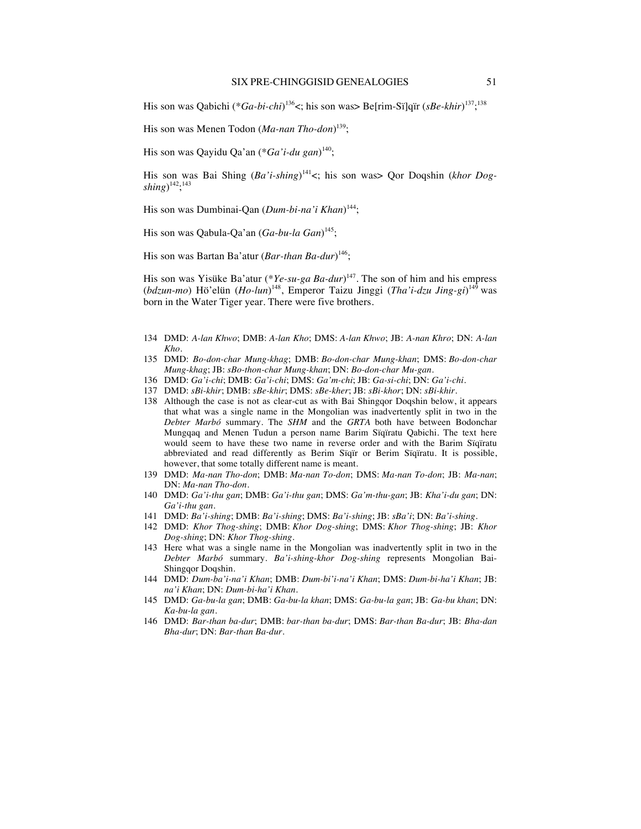His son was Qabichi (\**Ga-bi-chi*)<sup>136</sup><; his son was> Be[rim-Sï]qïr (*sBe-khir*)<sup>137</sup>;<sup>138</sup>

His son was Menen Todon (*Ma-nan Tho-don*) 139;

His son was Qayidu Qa'an (\**Ga'i-du gan*) 140;

His son was Bai Shing (*Ba'i-shing*) 141<; his son was> Qor Doqshin (*khor Dogshing*) 142; 143

His son was Dumbinai-Qan (*Dum-bi-na'i Khan*) 144;

His son was Qabula-Qa'an (*Ga*-*bu-la Gan*) 145;

His son was Bartan Ba'atur (*Bar-than Ba-dur*) 146;

His son was Yisüke Ba'atur (\**Ye-su-ga Ba-dur*) 147. The son of him and his empress (*bdzun*-*mo*) Hö'elün (*Ho-lun*) 148, Emperor Taizu Jinggi (*Tha'i-dzu Jing-gi*) <sup>149</sup> was born in the Water Tiger year. There were five brothers.

- 134 DMD: *A-lan Khwo*; DMB: *A-lan Kho*; DMS: *A-lan Khwo*; JB: *A-nan Khro*; DN: *A-lan Kho*.
- 135 DMD: *Bo-don-char Mung-khag*; DMB: *Bo-don-char Mung-khan*; DMS: *Bo-don-char Mung-khag*; JB: *sBo-thon-char Mung-khan*; DN: *Bo-don-char Mu-gan*.
- 136 DMD: *Ga'i-chi*; DMB: *Ga'i-chi*; DMS: *Ga'm-chi*; JB: *Ga-si-chi*; DN: *Ga'i-chi*.
- 137 DMD: *sBi-khir*; DMB: *sBe-khir*; DMS: *sBe-kher*; JB: *sBi-khor*; DN: *sBi-khir*.
- 138 Although the case is not as clear-cut as with Bai Shingqor Doqshin below, it appears that what was a single name in the Mongolian was inadvertently split in two in the *Debter Marbó* summary. The *SHM* and the *GRTA* both have between Bodonchar Mungqaq and Menen Tudun a person name Barim Sïqïratu Qabichi. The text here would seem to have these two name in reverse order and with the Barim Sïqïratu abbreviated and read differently as Berim Sïqïr or Berim Sïqïratu. It is possible, however, that some totally different name is meant.
- 139 DMD: *Ma-nan Tho-don*; DMB: *Ma-nan To-don*; DMS: *Ma-nan To-don*; JB: *Ma-nan*; DN: *Ma-nan Tho-don*.
- 140 DMD: *Ga'i-thu gan*; DMB: *Ga'i-thu gan*; DMS: *Ga'm-thu-gan*; JB: *Kha'i-du gan*; DN: *Ga'i-thu gan*.
- 141 DMD: *Ba'i-shing*; DMB: *Ba'i-shing*; DMS: *Ba'i-shing*; JB: *sBa'i*; DN: *Ba'i-shing*.
- 142 DMD: *Khor Thog-shing*; DMB: *Khor Dog-shing*; DMS: *Khor Thog-shing*; JB: *Khor Dog-shing*; DN: *Khor Thog-shing*.
- 143 Here what was a single name in the Mongolian was inadvertently split in two in the *Debter Marbó* summary. *Ba'i-shing-khor Dog-shing* represents Mongolian Bai-Shingqor Doqshin.
- 144 DMD: *Dum-ba'i-na'i Khan*; DMB: *Dum-bi'i-na'i Khan*; DMS: *Dum-bi-ha'i Khan*; JB: *na'i Khan*; DN: *Dum-bi-ha'i Khan*.
- 145 DMD: *Ga-bu-la gan*; DMB: *Ga-bu-la khan*; DMS: *Ga-bu-la gan*; JB: *Ga-bu khan*; DN: *Ka-bu-la gan*.
- 146 DMD: *Bar-than ba-dur*; DMB: *bar-than ba-dur*; DMS: *Bar-than Ba-dur*; JB: *Bha-dan Bha-dur*; DN: *Bar-than Ba-dur*.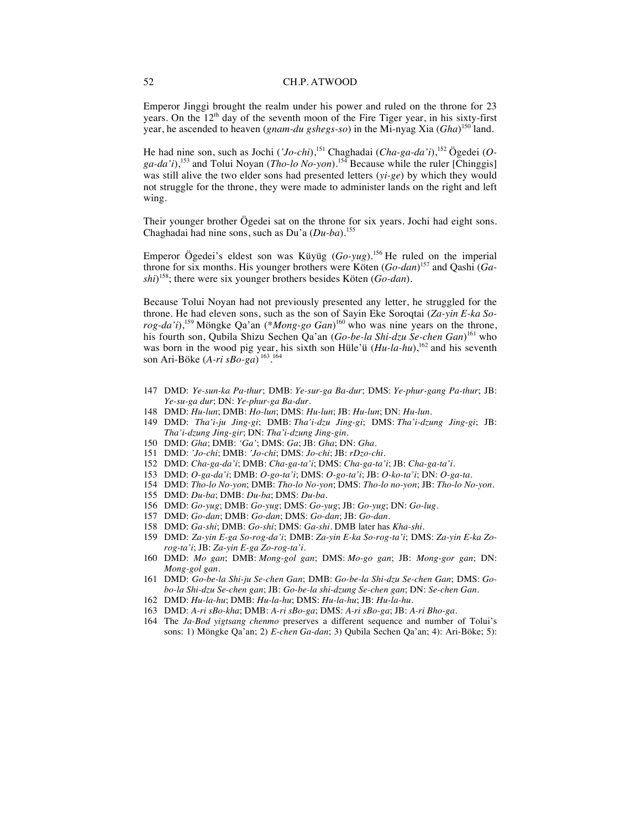Emperor Jinggi brought the realm under his power and ruled on the throne for 23 years. On the 12<sup>th</sup> day of the seventh moon of the Fire Tiger year, in his sixty-first year, he ascended to heaven (*gnam-du gshegs-so*) in the Mi-nyag Xia (*Gha*) <sup>150</sup> land.

He had nine son, such as Jochi ('Jo-chi),<sup>151</sup> Chaghadai (Cha-ga-da'i),<sup>152</sup> Ögedei (O*ga-da'i*),<sup>153</sup> and Tolui Noyan (*Tho-lo No-yon*).<sup>154</sup> Because while the ruler [Chinggis] was still alive the two elder sons had presented letters (*yi-ge*) by which they would not struggle for the throne, they were made to administer lands on the right and left wing.

Their younger brother Ögedei sat on the throne for six years. Jochi had eight sons. Chaghadai had nine sons, such as Du'a (*Du-ba*).<sup>155</sup>

Emperor Ögedei's eldest son was Küyüg (*Go-yug*).<sup>156</sup> He ruled on the imperial throne for six months. His younger brothers were Köten (*Go-dan*) <sup>157</sup> and Qashi (*Gashi*) 158; there were six younger brothers besides Köten (*Go-dan*).

Because Tolui Noyan had not previously presented any letter, he struggled for the throne. He had eleven sons, such as the son of Sayin Eke Soroqtai (*Za-yin E-ka Sorog-da'i*),<sup>159</sup> Möngke Qa'an (\**Mong-go Gan*) <sup>160</sup> who was nine years on the throne, his fourth son, Qubila Shizu Sechen Qa'an (*Go-be-la Shi-dzu Se-chen Gan*) <sup>161</sup> who was born in the wood pig year, his sixth son Hüle'ü (*Hu-la-hu*),<sup>162</sup> and his seventh son Ari-Böke (*A-ri sBo-ga*) 163. 164

- 147 DMD: *Ye-sun-ka Pa-thur*; DMB: *Ye-sur-ga Ba-dur*; DMS: *Ye-phur-gang Pa-thur*; JB: *Ye-su-ga dur*; DN: *Ye-phur-ga Ba-dur*.
- 148 DMD: *Hu-lun*; DMB: *Ho-lun*; DMS: *Hu-lun*; JB: *Hu-lun*; DN: *Hu-lun*.
- 149 DMD: *Tha'i-ju Jing-gi*; DMB: *Tha'i-dzu Jing-gi*; DMS: *Tha'i-dzung Jing-gi*; JB: *Tha'i-dzung Jing-gir*; DN: *Tha'i-dzung Jing-gin*.
- 150 DMD: *Gha*; DMB: *'Ga'*; DMS: *Ga*; JB: *Gha*; DN: *Gha*.
- 151 DMD: *'Jo-chi*; DMB: *'Jo-chi*; DMS: *Jo-chi*; JB: *rDzo-chi*.
- 152 DMD: *Cha-ga-da'i*; DMB: *Cha-ga-ta'i*; DMS: *Cha-ga-ta'i*; JB: *Cha-ga-ta'i*.
- 153 DMD: *O-ga-da'i*; DMB: *O-go-ta'i*; DMS: *O-go-ta'i*; JB: *O-ko-ta'i*; DN: *O-ga-ta*.
- 154 DMD: *Tho-lo No-yon*; DMB: *Tho-lo No-yon*; DMS: *Tho-lo no-yon*; JB: *Tho-lo No-yon*.
- 155 DMD: *Du-ba*; DMB: *Du-ba*; DMS: *Du-ba*.
- 156 DMD: *Go-yug*; DMB: *Go-yug*; DMS: *Go-yug*; JB: *Go-yug*; DN: *Go-lug*.
- 157 DMD: *Go-dan*; DMB: *Go-dan*; DMS: *Go-dan*; JB: *Go-dan*.
- 158 DMD: *Ga-shi*; DMB: *Go-shi*; DMS: *Ga-shi*. DMB later has *Kha-shi.*
- 159 DMD: *Za-yin E-ga So-rog-da'i*; DMB: *Za-yin E-ka So-rog-ta'i*; DMS: *Za-yin E-ka Zorog-ta'i*; JB: *Za-yin E-ga Zo-rog-ta'i*.
- 160 DMD: *Mo gan*; DMB: *Mong-gol gan*; DMS: *Mo-go gan*; JB: *Mong-gor gan*; DN: *Mong-gol gan*.
- 161 DMD: *Go-be-la Shi-ju Se-chen Gan*; DMB: *Go-be-la Shi-dzu Se-chen Gan*; DMS: *Gobo-la Shi-dzu Se-chen gan*; JB: *Go-be-la shi-dzung Se-chen gan*; DN: *Se-chen Gan*.
- 162 DMD: *Hu-la-hu*; DMB: *Hu-la-hu*; DMS: *Hu-la-hu*; JB: *Hu-la-hu*.
- 163 DMD: *A-ri sBo-kha*; DMB: *A-ri sBo-ga*; DMS: *A-ri sBo-ga*; JB: *A-ri Bho-ga*.
- 164 The *Ja-Bod yigtsang chenmo* preserves a different sequence and number of Tolui's sons: 1) Möngke Qa'an; 2) *E-chen Ga-dan*; 3) Qubila Sechen Qa'an; 4): Ari-Böke; 5):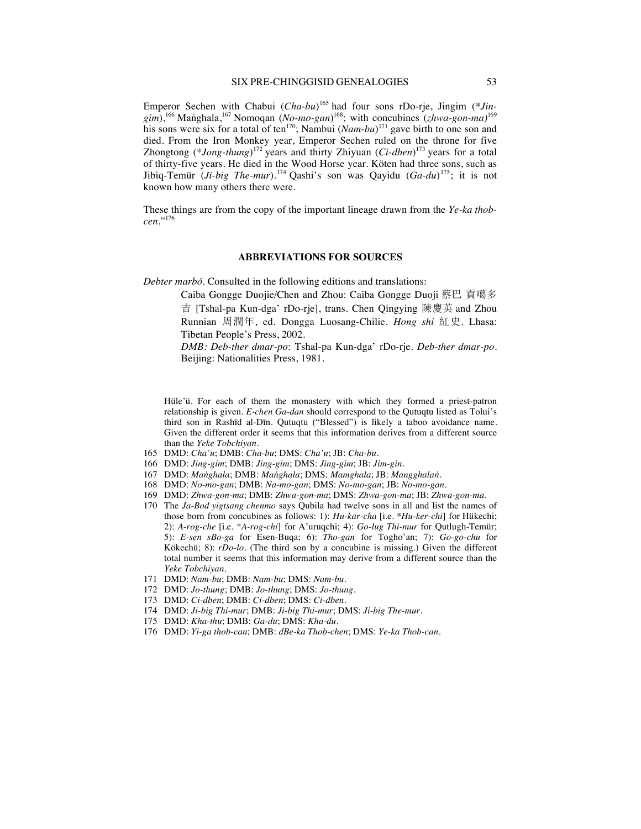Emperor Sechen with Chabui (*Cha-bu*) <sup>165</sup> had four sons rDo-rje, Jingim (*\*Jingim*),<sup>166</sup> Maṅghala,<sup>167</sup> Nomoqan (*No-mo-gan*) 168; with concubines (*zhwa-gon-ma)*<sup>169</sup> his sons were six for a total of ten<sup>170</sup>; Nambui (*Nam-bu*)<sup>171</sup> gave birth to one son and died. From the Iron Monkey year, Emperor Sechen ruled on the throne for five Zhongtong (\**Jong-thung*)<sup>172</sup> years and thirty Zhiyuan (*Ci-dben*)<sup>173</sup> years for a total of thirty-five years. He died in the Wood Horse year. Köten had three sons, such as Jibiq-Temür (*Ji-big The-mur*).<sup>174</sup> Qashi's son was Qayidu (*Ga-du*) 175; it is not known how many others there were.

These things are from the copy of the important lineage drawn from the *Ye-ka thobcen*."<sup>176</sup>

#### **ABBREVIATIONS FOR SOURCES**

*Debter marbó.* Consulted in the following editions and translations:

Caiba Gongge Duojie/Chen and Zhou: Caiba Gongge Duoji 蔡巴 貢噶多 吉 [Tshal-pa Kun-dga' rDo-rje], trans. Chen Qingying 陳慶英 and Zhou Runnian 周潤年, ed. Dongga Luosang-Chilie. *Hong shi* 紅史. Lhasa: Tibetan People's Press, 2002.

*DMB: Deb-ther dmar-po*: Tshal-pa Kun-dga' rDo-rje. *Deb-ther dmar-po*. Beijing: Nationalities Press, 1981.

Hüle'ü. For each of them the monastery with which they formed a priest-patron relationship is given. *E-chen Ga-dan* should correspond to the Qutuqtu listed as Tolui's third son in Rashīd al-Dīn. Qutuqtu ("Blessed") is likely a taboo avoidance name. Given the different order it seems that this information derives from a different source than the *Yeke Tobchiyan*.

- 165 DMD: *Cha'u*; DMB: *Cha-bu*; DMS: *Cha'u*; JB: *Cha-bu*.
- 166 DMD: *Jing-gim*; DMB: *Jing-gim*; DMS: *Jing-gim*; JB: *Jim-gin*.
- 167 DMD: *Maṅghala*; DMB: *Maṅghala*; DMS: *Mamghala*; JB: *Mangghalaṅ*.
- 168 DMD: *No-mo-gan*; DMB: *Na-mo-gan*; DMS: *No-mo-gan*; JB: *No-mo-gan*.
- 169 DMD: *Zhwa-gon*-*ma*; DMB: *Zhwa-gon*-*ma*; DMS: *Zhwa-gon-ma*; JB: *Zhwa-gon-ma*.
- 170 The *Ja-Bod yigtsang chenmo* says Qubila had twelve sons in all and list the names of those born from concubines as follows: 1): *Hu-kar-cha* [i.e. *\*Hu-ker-chi*] for Hükechi; 2): *A-rog-che* [i.e. *\*A-rog-chi*] for A'uruqchi; 4): *Go-lug Thi-mur* for Qutlugh-Temür; 5): *E-sen sBo-ga* for Esen-Buqa; 6): *Tho-gan* for Togho'an; 7): *Go-go-chu* for Kökechü; 8): *rDo-lo*. (The third son by a concubine is missing.) Given the different total number it seems that this information may derive from a different source than the *Yeke Tobchiyan*.
- 171 DMD: *Nam-bu*; DMB: *Nam-bu*; DMS: *Nam-bu*.
- 172 DMD: *Jo-thung*; DMB: *Jo-thung*; DMS: *Jo-thung*.
- 173 DMD: *Ci-dben*; DMB: *Ci-dben*; DMS: *Ci-dben*.
- 174 DMD: *Ji-big Thi-mur*; DMB: *Ji-big Thi-mur*; DMS: *Ji-big The-mur*.
- 175 DMD: *Kha-thu*; DMB: *Ga-du*; DMS: *Kha-du*.
- 176 DMD: *Yi-ga thob-can*; DMB: *dBe-ka Thob-chen*; DMS: *Ye-ka Thob-can*.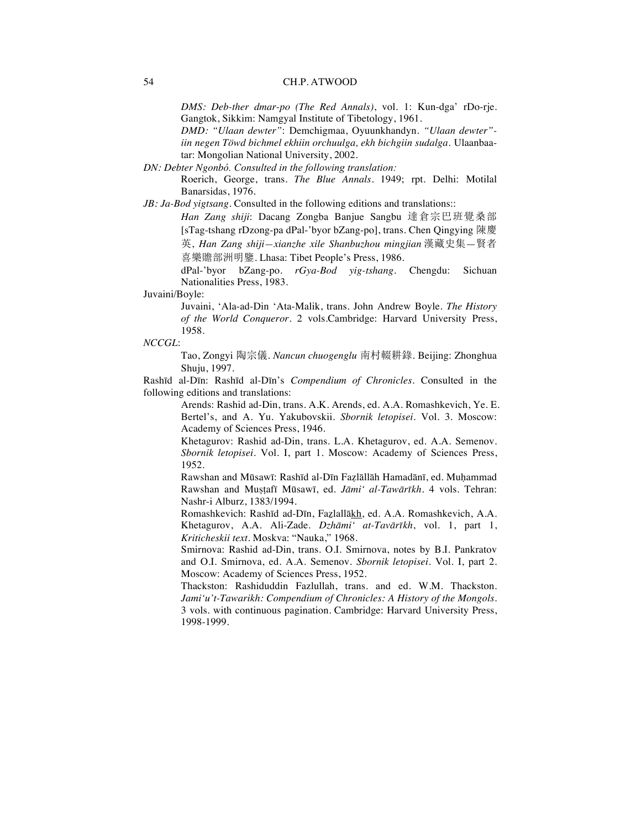*DMS: Deb-ther dmar-po (The Red Annals)*, vol. 1: Kun-dga' rDo-rje. Gangtok, Sikkim: Namgyal Institute of Tibetology, 1961.

*DMD: "Ulaan dewter"*: Demchigmaa, Oyuunkhandyn. *"Ulaan dewter" iin negen Töwd bichmel ekhiin orchuulga, ekh bichgiin sudalga*. Ulaanbaatar: Mongolian National University, 2002.

*DN: Debter Ngonbó. Consulted in the following translation:*

Roerich, George, trans. *The Blue Annals.* 1949; rpt. Delhi: Motilal Banarsidas, 1976.

*JB: Ja-Bod yigtsang*. Consulted in the following editions and translations::

Han Zang shiji: Dacang Zongba Banjue Sangbu 達倉宗巴班覺桑部 [sTag-tshang rDzong-pa dPal-'byor bZang-po], trans. Chen Qingying 陳慶 英, *Han Zang shiji—xianzhe xile Shanbuzhou mingjian* 漢藏史集—賢者 喜樂贍部洲明鑒. Lhasa: Tibet People's Press, 1986.

dPal-'byor bZang-po. *rGya-Bod yig-tshang*. Chengdu: Sichuan Nationalities Press, 1983.

#### Juvaini/Boyle:

Juvaini, 'Ala-ad-Din 'Ata-Malik, trans. John Andrew Boyle. *The History of the World Conqueror.* 2 vols.Cambridge: Harvard University Press, 1958.

#### *NCCGL*:

Tao, Zongyi 陶宗儀. *Nancun chuogenglu* 南村輟耕錄. Beijing: Zhonghua Shuju, 1997.

Rashīd al-Dīn: Rashīd al-Dīn's *Compendium of Chronicles.* Consulted in the following editions and translations:

> Arends: Rashid ad-Din, trans. A.K. Arends, ed. A.A. Romashkevich, Ye. E. Bertel's, and A. Yu. Yakubovskii. *Sbornik letopisei*. Vol. 3. Moscow: Academy of Sciences Press, 1946.

> Khetagurov: Rashid ad-Din, trans. L.A. Khetagurov, ed. A.A. Semenov. *Sbornik letopisei*. Vol. I, part 1. Moscow: Academy of Sciences Press, 1952.

> Rawshan and Mūsawī: Rashīd al-Dīn Faẓlāllāh Hamadānī, ed. Muḥammad Rawshan and Muṣṭafī Mūsawī, ed. *Jāmi' al-Tawārīkh*. 4 vols. Tehran: Nashr-i Alburz, 1383/1994.

> Romashkevich: Rashīd ad-Dīn, Faẕlallākh, ed. A.A. Romashkevich, A.A. Khetagurov, A.A. Ali-Zade. *Dzhāmi' at-Tavārīkh*, vol. 1, part 1, *Kriticheskii text*. Moskva: "Nauka," 1968.

> Smirnova: Rashid ad-Din, trans. O.I. Smirnova, notes by B.I. Pankratov and O.I. Smirnova, ed. A.A. Semenov. *Sbornik letopisei*. Vol. I, part 2. Moscow: Academy of Sciences Press, 1952.

> Thackston: Rashiduddin Fazlullah, trans. and ed. W.M. Thackston. *Jami'u't-Tawarikh: Compendium of Chronicles: A History of the Mongols.* 3 vols. with continuous pagination*.* Cambridge: Harvard University Press, 1998-1999.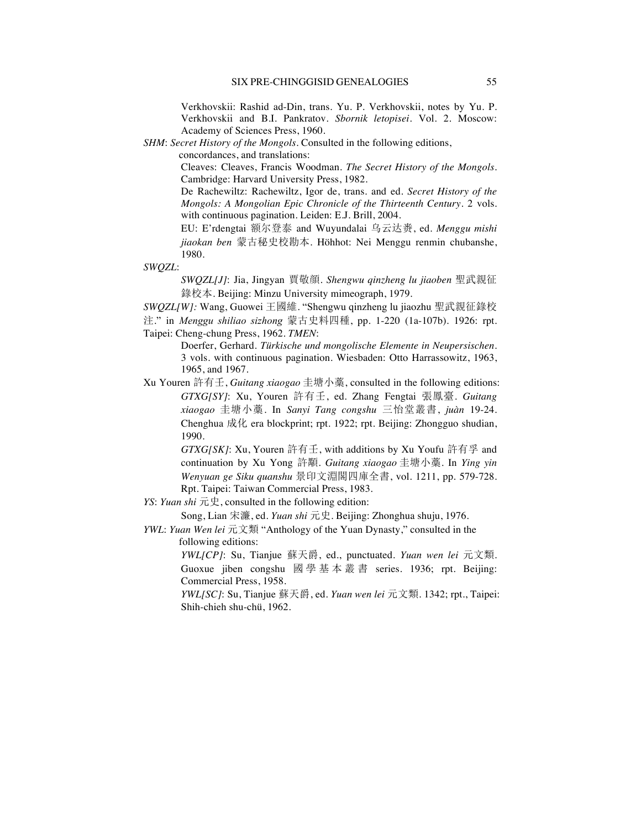Verkhovskii: Rashid ad-Din, trans. Yu. P. Verkhovskii, notes by Yu. P. Verkhovskii and B.I. Pankratov. *Sbornik letopisei*. Vol. 2. Moscow: Academy of Sciences Press, 1960.

*SHM*: *Secret History of the Mongols*. Consulted in the following editions,

concordances, and translations:

Cleaves: Cleaves, Francis Woodman. *The Secret History of the Mongols*. Cambridge: Harvard University Press, 1982.

De Rachewiltz: Rachewiltz, Igor de, trans. and ed. *Secret History of the Mongols: A Mongolian Epic Chronicle of the Thirteenth Century*. 2 vols. with continuous pagination. Leiden: E.J. Brill, 2004.

EU: E'rdengtai 额尔登泰 and Wuyundalai 乌云达赉, ed. *Menggu mishi* jiaokan ben 蒙古秘史校勘本. Höhhot: Nei Menggu renmin chubanshe, 1980.

*SWQZL*:

*SWQZL[J]*: Jia, Jingyan 賈敬顏. *Shengwu qinzheng lu jiaoben* 聖武親征 錄校本. Beijing: Minzu University mimeograph, 1979.

*SWQZL[W]*: Wang, Guowei 王國維. "Shengwu qinzheng lu jiaozhu 聖武親征錄校

注." in *Menggu shiliao sizhong* 蒙古史料四種, pp. 1-220 (1a-107b). 1926: rpt. Taipei: Cheng-chung Press, 1962. *TMEN*:

> Doerfer, Gerhard. *Türkische und mongolische Elemente in Neupersischen*. 3 vols. with continuous pagination. Wiesbaden: Otto Harrassowitz, 1963, 1965, and 1967.

Xu Youren 許有壬, *Guitang xiaogao* 圭塘小藁, consulted in the following editions: *GTXG[SY]*: Xu, Youren 許有壬, ed. Zhang Fengtai 張鳳臺. *Guitang xiaogao* 圭塘小藁. In *Sanyi Tang congshu* 三怡堂叢書, *juàn* 19-24. Chenghua  ${\rm f} \& \mathcal{H}$  era blockprint; rpt. 1922; rpt. Beijing: Zhongguo shudian, 1990.

> *GTXG[SK]*: Xu, Youren 許有壬, with additions by Xu Youfu 許有孚 and continuation by Xu Yong 許顒. *Guitang xiaogao* 圭塘小藁. In *Ying yin Wenyuan ge Siku quanshu* 景印文淵閣四庫全書, vol. 1211, pp. 579-728. Rpt. Taipei: Taiwan Commercial Press, 1983.

*YS*: *Yuan shi*  $\overline{\pi} \overline{\mathcal{L}}$ , consulted in the following edition:

Song, Lian 宋濂, ed. *Yuan shi* 元史. Beijing: Zhonghua shuju, 1976.

*YWL: Yuan Wen lei* 元文類 "Anthology of the Yuan Dynasty," consulted in the following editions:

> *YWL[CP]*: Su, Tianjue 蘇天爵, ed., punctuated. *Yuan wen lei* 元文類. Guoxue jiben congshu 國學基本叢書 series. 1936; rpt. Beijing: Commercial Press, 1958.

> *YWL[SC]*: Su, Tianjue 蘇天爵, ed. *Yuan wen lei* 元文類. 1342; rpt., Taipei: Shih-chieh shu-chü, 1962.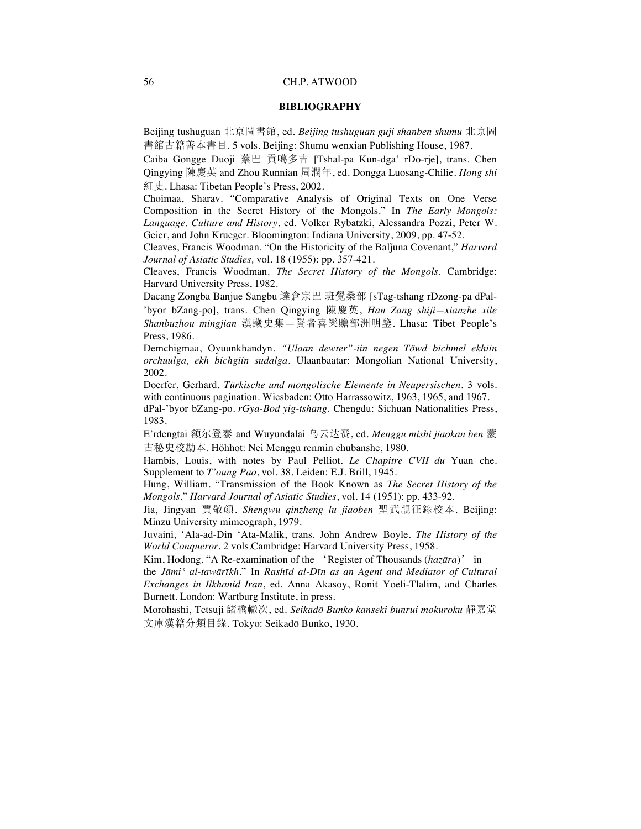#### **BIBLIOGRAPHY**

Beijing tushuguan 北京圖書館, ed. *Beijing tushuguan guji shanben shumu* 北京圖 書館古籍善本書目. 5 vols. Beijing: Shumu wenxian Publishing House, 1987.

Caiba Gongge Duoji 蔡巴 貢噶多吉 [Tshal-pa Kun-dga' rDo-rje], trans. Chen Qingying 陳慶英 and Zhou Runnian 周潤年, ed. Dongga Luosang-Chilie. *Hong shi* 紅史. Lhasa: Tibetan People's Press, 2002.

Choimaa, Sharav. "Comparative Analysis of Original Texts on One Verse Composition in the Secret History of the Mongols." In *The Early Mongols: Language, Culture and History*, ed. Volker Rybatzki, Alessandra Pozzi, Peter W. Geier, and John Krueger. Bloomington: Indiana University, 2009, pp. 47-52.

Cleaves, Francis Woodman. "On the Historicity of the Balǰuna Covenant," *Harvard Journal of Asiatic Studies,* vol*.* 18 (1955): pp. 357-421.

Cleaves, Francis Woodman. *The Secret History of the Mongols*. Cambridge: Harvard University Press, 1982.

Dacang Zongba Banjue Sangbu 達倉宗巴 班覺桑部 [sTag-tshang rDzong-pa dPal-

'byor bZang-po], trans. Chen Qingying 陳慶英, *Han Zang shiji—xianzhe xile Shanbuzhou mingjian* 漢藏史集—賢者喜樂贍部洲明鑒. Lhasa: Tibet People's Press, 1986.

Demchigmaa, Oyuunkhandyn. *"Ulaan dewter"-iin negen Töwd bichmel ekhiin orchuulga, ekh bichgiin sudalga*. Ulaanbaatar: Mongolian National University, 2002.

Doerfer, Gerhard. *Türkische und mongolische Elemente in Neupersischen*. 3 vols. with continuous pagination. Wiesbaden: Otto Harrassowitz, 1963, 1965, and 1967.

dPal-'byor bZang-po. *rGya-Bod yig-tshang*. Chengdu: Sichuan Nationalities Press, 1983.

E'rdengtai 额尔登泰 and Wuyundalai 乌云达赉, ed. *Menggu mishi jiaokan ben* 蒙 古秘史校勘本. Höhhot: Nei Menggu renmin chubanshe, 1980.

Hambis, Louis, with notes by Paul Pelliot. *Le Chapitre CVII du* Yuan che. Supplement to *T'oung Pao*, vol. 38. Leiden: E.J. Brill, 1945.

Hung, William. "Transmission of the Book Known as *The Secret History of the Mongols.*" *Harvard Journal of Asiatic Studies*, vol. 14 (1951): pp. 433-92.

Jia, Jingyan 賈敬顔. *Shengwu qinzheng lu jiaoben* 聖武親征錄校本. Beijing: Minzu University mimeograph, 1979.

Juvaini, 'Ala-ad-Din 'Ata-Malik, trans. John Andrew Boyle. *The History of the World Conqueror.* 2 vols.Cambridge: Harvard University Press, 1958.

Kim, Hodong. "A Re-examination of the 'Register of Thousands (hazara)' in

the *Jāmiʿ al-tawārīkh*." In *Rashīd al-Dīn as an Agent and Mediator of Cultural Exchanges in Ilkhanid Iran*, ed. Anna Akasoy, Ronit Yoeli-Tlalim, and Charles Burnett. London: Wartburg Institute, in press.

Morohashi, Tetsuji 諸橋轍次, ed. Seikadō Bunko kanseki bunrui mokuroku 靜嘉堂 文庫漢籍分類目錄. Tokyo: Seikadō Bunko, 1930.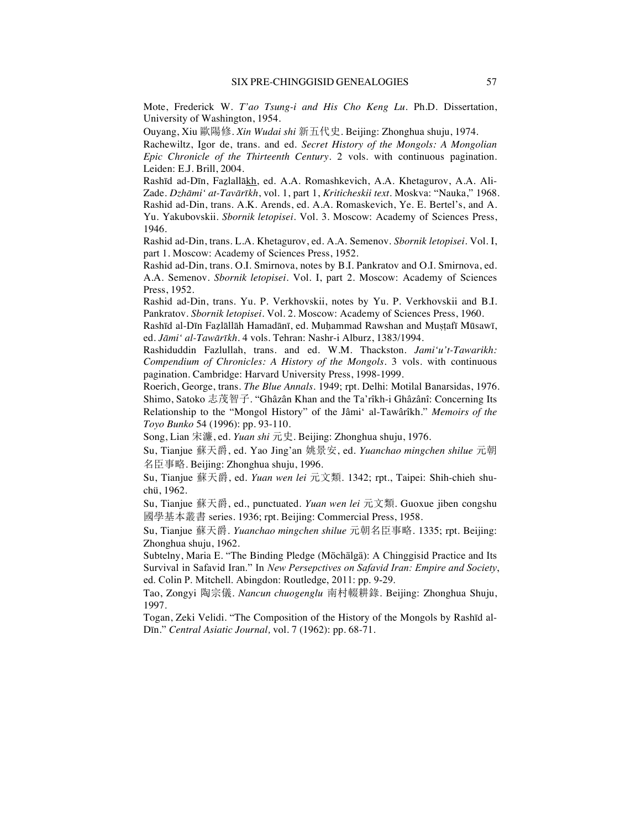Mote, Frederick W. *T'ao Tsung-i and His Cho Keng Lu*. Ph.D. Dissertation, University of Washington, 1954.

Ouyang, Xiu 歐陽修. *Xin Wudai shi* 新五代史. Beijing: Zhonghua shuju, 1974.

Rachewiltz, Igor de, trans. and ed. *Secret History of the Mongols: A Mongolian Epic Chronicle of the Thirteenth Century*. 2 vols. with continuous pagination. Leiden: E.J. Brill, 2004.

Rashīd ad-Dīn, Faẕlallākh, ed. A.A. Romashkevich, A.A. Khetagurov, A.A. Ali-Zade. *Dzhāmi' at-Tavārīkh*, vol. 1, part 1, *Kriticheskii text*. Moskva: "Nauka," 1968. Rashid ad-Din, trans. A.K. Arends, ed. A.A. Romaskevich, Ye. E. Bertel's, and A. Yu. Yakubovskii. *Sbornik letopisei*. Vol. 3. Moscow: Academy of Sciences Press, 1946.

Rashid ad-Din, trans. L.A. Khetagurov, ed. A.A. Semenov. *Sbornik letopisei*. Vol. I, part 1. Moscow: Academy of Sciences Press, 1952.

Rashid ad-Din, trans. O.I. Smirnova, notes by B.I. Pankratov and O.I. Smirnova, ed. A.A. Semenov. *Sbornik letopisei*. Vol. I, part 2. Moscow: Academy of Sciences Press, 1952.

Rashid ad-Din, trans. Yu. P. Verkhovskii, notes by Yu. P. Verkhovskii and B.I. Pankratov. *Sbornik letopisei*. Vol. 2. Moscow: Academy of Sciences Press, 1960.

Rashīd al-Dīn Faẓlāllāh Hamadānī, ed. Muḥammad Rawshan and Muṣṭafī Mūsawī, ed. *Jāmi' al-Tawārīkh*. 4 vols. Tehran: Nashr-i Alburz, 1383/1994.

Rashiduddin Fazlullah, trans. and ed. W.M. Thackston. *Jami'u't-Tawarikh: Compendium of Chronicles: A History of the Mongols.* 3 vols. with continuous pagination*.* Cambridge: Harvard University Press, 1998-1999.

Roerich, George, trans. *The Blue Annals.* 1949; rpt. Delhi: Motilal Banarsidas, 1976. Shimo, Satoko 志茂智子. "Ghâzân Khan and the Ta'rîkh-i Ghâzânî: Concerning Its Relationship to the "Mongol History" of the Jâmi' al-Tawârîkh." *Memoirs of the Toyo Bunko* 54 (1996): pp. 93-110.

Song, Lian ]¶, ed. *Yuan shi* 3. Beijing: Zhonghua shuju, 1976.

Su, Tianjue 蘇天爵, ed. Yao Jing'an 姚景安, ed. *Yuanchao mingchen shilue* 元朝 名臣事略. Beijing: Zhonghua shuju, 1996.

Su, Tianjue 蘇天爵, ed. *Yuan wen lei* 元文類. 1342; rpt., Taipei: Shih-chieh shuchü, 1962.

Su, Tianjue 蘇天爵, ed., punctuated. *Yuan wen lei* 元文類. Guoxue jiben congshu 國學基本叢書 series. 1936; rpt. Beijing: Commercial Press, 1958.

Su, Tianjue 蘇天爵. *Yuanchao mingchen shilue* 元朝名臣事略. 1335; rpt. Beijing: Zhonghua shuju, 1962.

Subtelny, Maria E. "The Binding Pledge (Möchälgä): A Chinggisid Practice and Its Survival in Safavid Iran." In *New Persepctives on Safavid Iran: Empire and Society*, ed. Colin P. Mitchell. Abingdon: Routledge, 2011: pp. 9-29.

Tao, Zongyi 陶宗儀. *Nancun chuogenglu* 南村輟耕錄. Beijing: Zhonghua Shuju, 1997.

Togan, Zeki Velidi. "The Composition of the History of the Mongols by Rashīd al-Dīn." *Central Asiatic Journal,* vol. 7 (1962): pp. 68-71.